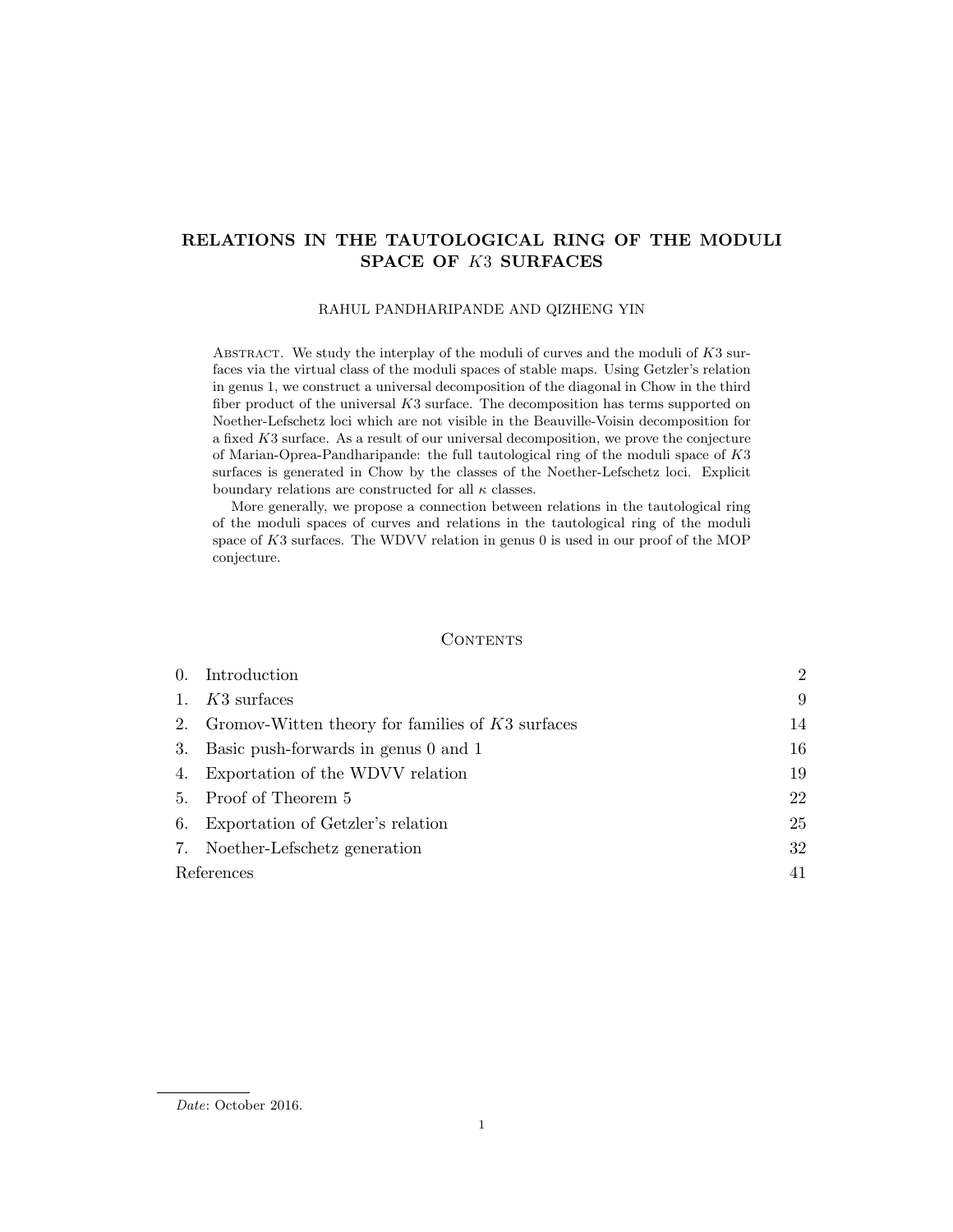# RELATIONS IN THE TAUTOLOGICAL RING OF THE MODULI SPACE OF K3 SURFACES

#### RAHUL PANDHARIPANDE AND QIZHENG YIN

ABSTRACT. We study the interplay of the moduli of curves and the moduli of  $K3$  surfaces via the virtual class of the moduli spaces of stable maps. Using Getzler's relation in genus 1, we construct a universal decomposition of the diagonal in Chow in the third fiber product of the universal K3 surface. The decomposition has terms supported on Noether-Lefschetz loci which are not visible in the Beauville-Voisin decomposition for a fixed K3 surface. As a result of our universal decomposition, we prove the conjecture of Marian-Oprea-Pandharipande: the full tautological ring of the moduli space of K3 surfaces is generated in Chow by the classes of the Noether-Lefschetz loci. Explicit boundary relations are constructed for all  $\kappa$  classes.

More generally, we propose a connection between relations in the tautological ring of the moduli spaces of curves and relations in the tautological ring of the moduli space of K3 surfaces. The WDVV relation in genus 0 is used in our proof of the MOP conjecture.

#### **CONTENTS**

|            | 0. Introduction                                       | $\overline{2}$ |
|------------|-------------------------------------------------------|----------------|
| 1.         | $K3$ surfaces                                         | 9              |
|            | 2. Gromov-Witten theory for families of $K3$ surfaces | 14             |
|            | 3. Basic push-forwards in genus 0 and 1               | 16             |
|            | 4. Exportation of the WDVV relation                   | 19             |
|            | 5. Proof of Theorem 5                                 | 22             |
|            | 6. Exportation of Getzler's relation                  | 25             |
|            | 7. Noether-Lefschetz generation                       | 32             |
| References |                                                       | 41             |

Date: October 2016.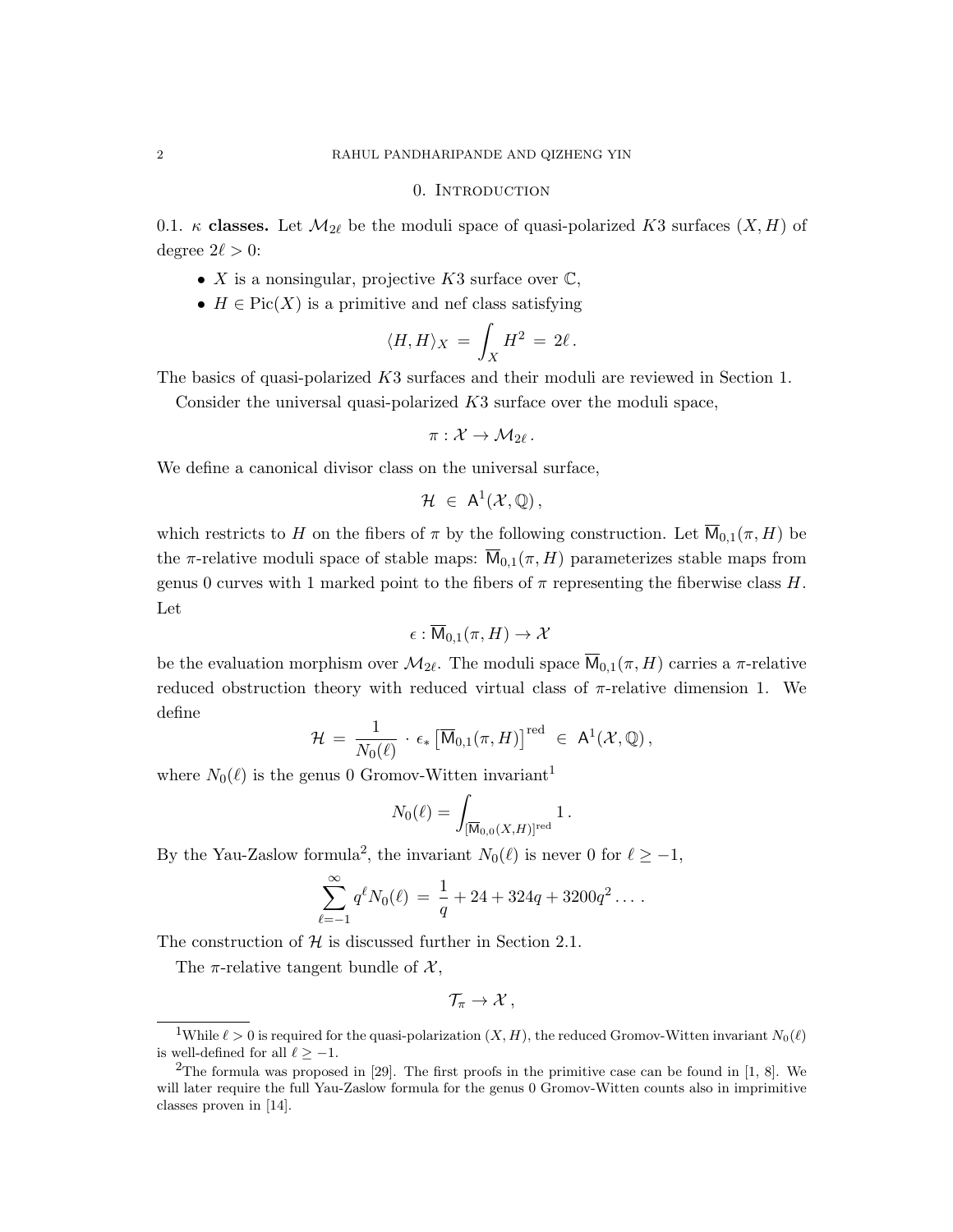#### 0. INTRODUCTION

0.1. κ classes. Let  $\mathcal{M}_{2\ell}$  be the moduli space of quasi-polarized K3 surfaces  $(X, H)$  of degree  $2\ell > 0$ :

- X is a nonsingular, projective K3 surface over  $\mathbb{C}$ ,
- $H \in Pic(X)$  is a primitive and nef class satisfying

$$
\langle H, H \rangle_X \,=\, \int_X H^2 \,=\, 2 \ell\,.
$$

The basics of quasi-polarized K3 surfaces and their moduli are reviewed in Section 1.

Consider the universal quasi-polarized K3 surface over the moduli space,

$$
\pi: \mathcal{X} \to \mathcal{M}_{2\ell} \, .
$$

We define a canonical divisor class on the universal surface,

$$
\mathcal{H}\ \in\ \mathsf{A}^1(\mathcal{X},\mathbb{Q})\,,
$$

which restricts to H on the fibers of  $\pi$  by the following construction. Let  $\overline{M}_{0,1}(\pi, H)$  be the  $\pi$ -relative moduli space of stable maps:  $\overline{M}_{0,1}(\pi, H)$  parameterizes stable maps from genus 0 curves with 1 marked point to the fibers of  $\pi$  representing the fiberwise class H. Let

$$
\epsilon:\overline{\mathsf{M}}_{0,1}(\pi,H)\to\mathcal{X}
$$

be the evaluation morphism over  $\mathcal{M}_{2\ell}$ . The moduli space  $\mathsf{M}_{0,1}(\pi, H)$  carries a  $\pi$ -relative reduced obstruction theory with reduced virtual class of  $\pi$ -relative dimension 1. We define

$$
\mathcal{H} \,=\, \frac{1}{N_0(\ell)}\,\cdot\, \epsilon_* \left[\overline{\mathsf{M}}_{0,1}(\pi,H)\right]^{\text{red}} \;\in\; \mathsf{A}^1(\mathcal{X},\mathbb{Q})\,,
$$

where  $N_0(\ell)$  is the genus 0 Gromov-Witten invariant<sup>1</sup>

$$
N_0(\ell)=\int_{[\overline{\mathsf{M}}_{0,0}(X,H)]^{\mathrm{red}}}1\,.
$$

By the Yau-Zaslow formula<sup>2</sup>, the invariant  $N_0(\ell)$  is never 0 for  $\ell \geq -1$ ,

$$
\sum_{\ell=-1}^{\infty} q^{\ell} N_0(\ell) = \frac{1}{q} + 24 + 324q + 3200q^2 \dots
$$

The construction of  $H$  is discussed further in Section 2.1.

The  $\pi$ -relative tangent bundle of  $\mathcal{X},$ 

$$
\mathcal{T}_{\pi}\to\mathcal{X}\,,
$$

<sup>&</sup>lt;sup>1</sup>While  $\ell > 0$  is required for the quasi-polarization  $(X, H)$ , the reduced Gromov-Witten invariant  $N_0(\ell)$ is well-defined for all  $\ell \ge -1$ .

<sup>&</sup>lt;sup>2</sup>The formula was proposed in [29]. The first proofs in the primitive case can be found in  $[1, 8]$ . We will later require the full Yau-Zaslow formula for the genus 0 Gromov-Witten counts also in imprimitive classes proven in [14].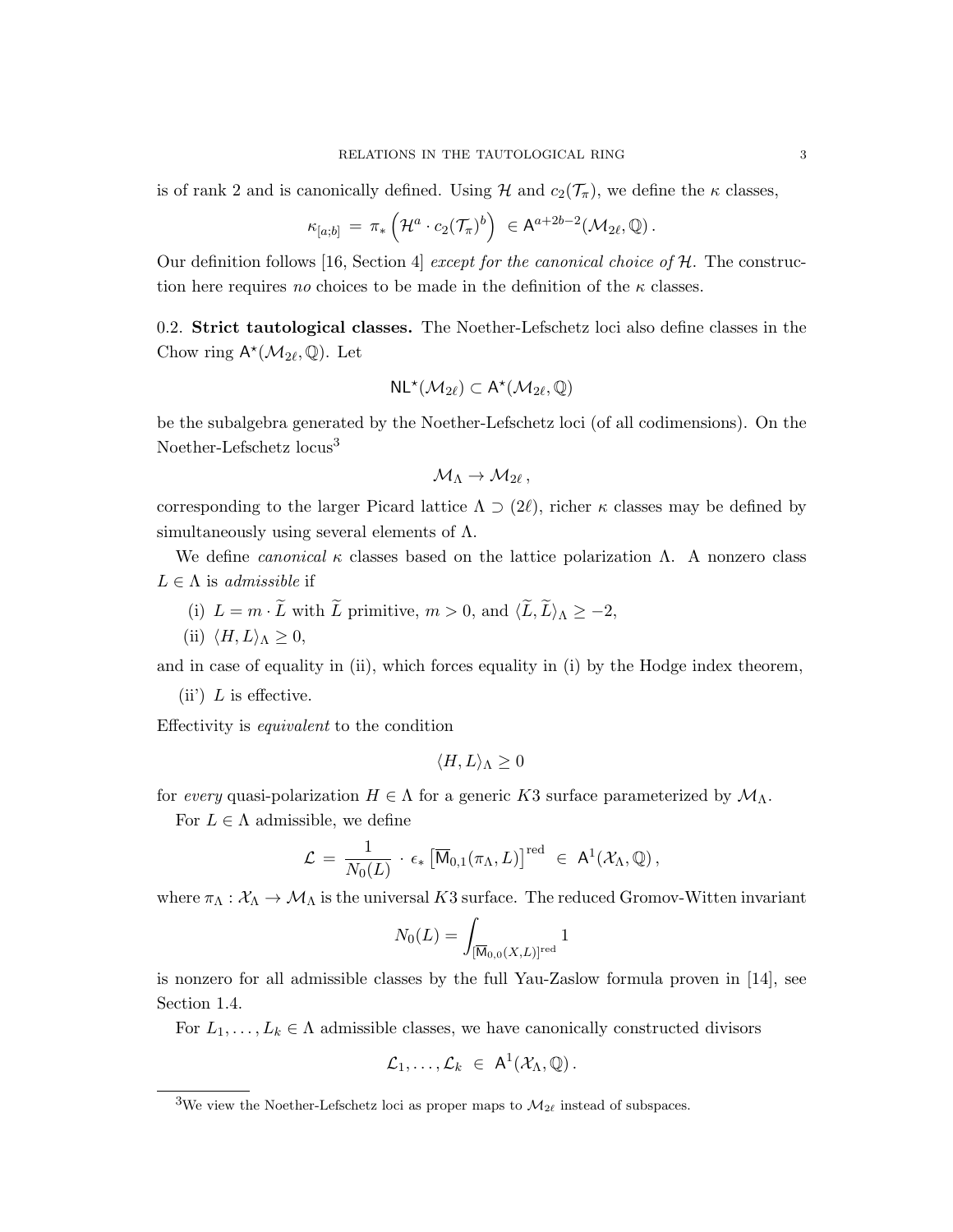is of rank 2 and is canonically defined. Using  $\mathcal H$  and  $c_2(\mathcal T_\pi)$ , we define the  $\kappa$  classes,

$$
\kappa_{[a;b]} = \pi_* \left( \mathcal{H}^a \cdot c_2(\mathcal{T}_{\pi})^b \right) \in A^{a+2b-2}(\mathcal{M}_{2\ell}, \mathbb{Q}).
$$

Our definition follows [16, Section 4] except for the canonical choice of  $H$ . The construction here requires no choices to be made in the definition of the  $\kappa$  classes.

0.2. Strict tautological classes. The Noether-Lefschetz loci also define classes in the Chow ring  $\mathsf{A}^{\star}(\mathcal{M}_{2\ell},\mathbb{Q})$ . Let

$$
\mathsf{NL}^\star(\mathcal{M}_{2\ell}) \subset \mathsf{A}^\star(\mathcal{M}_{2\ell},\mathbb{Q})
$$

be the subalgebra generated by the Noether-Lefschetz loci (of all codimensions). On the Noether-Lefschetz locus<sup>3</sup>

$$
\mathcal{M}_{\Lambda} \to \mathcal{M}_{2\ell} \,,
$$

corresponding to the larger Picard lattice  $\Lambda \supset (2\ell)$ , richer  $\kappa$  classes may be defined by simultaneously using several elements of  $\Lambda$ .

We define *canonical*  $\kappa$  classes based on the lattice polarization  $\Lambda$ . A nonzero class  $L \in \Lambda$  is admissible if

- (i)  $L = m \cdot \widetilde{L}$  with  $\widetilde{L}$  primitive,  $m > 0$ , and  $\langle \widetilde{L}, \widetilde{L} \rangle_{\Lambda} \geq -2$ ,
- (ii)  $\langle H, L \rangle_{\Lambda} \geq 0$ ,

and in case of equality in (ii), which forces equality in (i) by the Hodge index theorem,

(ii)  $L$  is effective.

Effectivity is equivalent to the condition

$$
\langle H, L \rangle_{\Lambda} \ge 0
$$

for every quasi-polarization  $H \in \Lambda$  for a generic K3 surface parameterized by  $\mathcal{M}_{\Lambda}$ .

For  $L \in \Lambda$  admissible, we define

$$
\mathcal{L} \,=\, \frac{1}{N_0(L)}\,\cdot\, \epsilon_*\left[\overline{\mathsf{M}}_{0,1}(\pi_\Lambda,L)\right]^{\text{red}} \;\in\; \mathsf{A}^1(\mathcal{X}_\Lambda,\mathbb{Q})\,,
$$

where  $\pi_{\Lambda}: \mathcal{X}_{\Lambda} \to \mathcal{M}_{\Lambda}$  is the universal K3 surface. The reduced Gromov-Witten invariant

$$
N_0(L) = \int_{[\overline{\mathsf{M}}_{0,0}(X,L)]^{\text{red}}} 1
$$

is nonzero for all admissible classes by the full Yau-Zaslow formula proven in [14], see Section 1.4.

For  $L_1, \ldots, L_k \in \Lambda$  admissible classes, we have canonically constructed divisors

$$
\mathcal{L}_1,\ldots,\mathcal{L}_k \in \mathsf{A}^1(\mathcal{X}_\Lambda,\mathbb{Q})\,.
$$

<sup>&</sup>lt;sup>3</sup>We view the Noether-Lefschetz loci as proper maps to  $\mathcal{M}_{2\ell}$  instead of subspaces.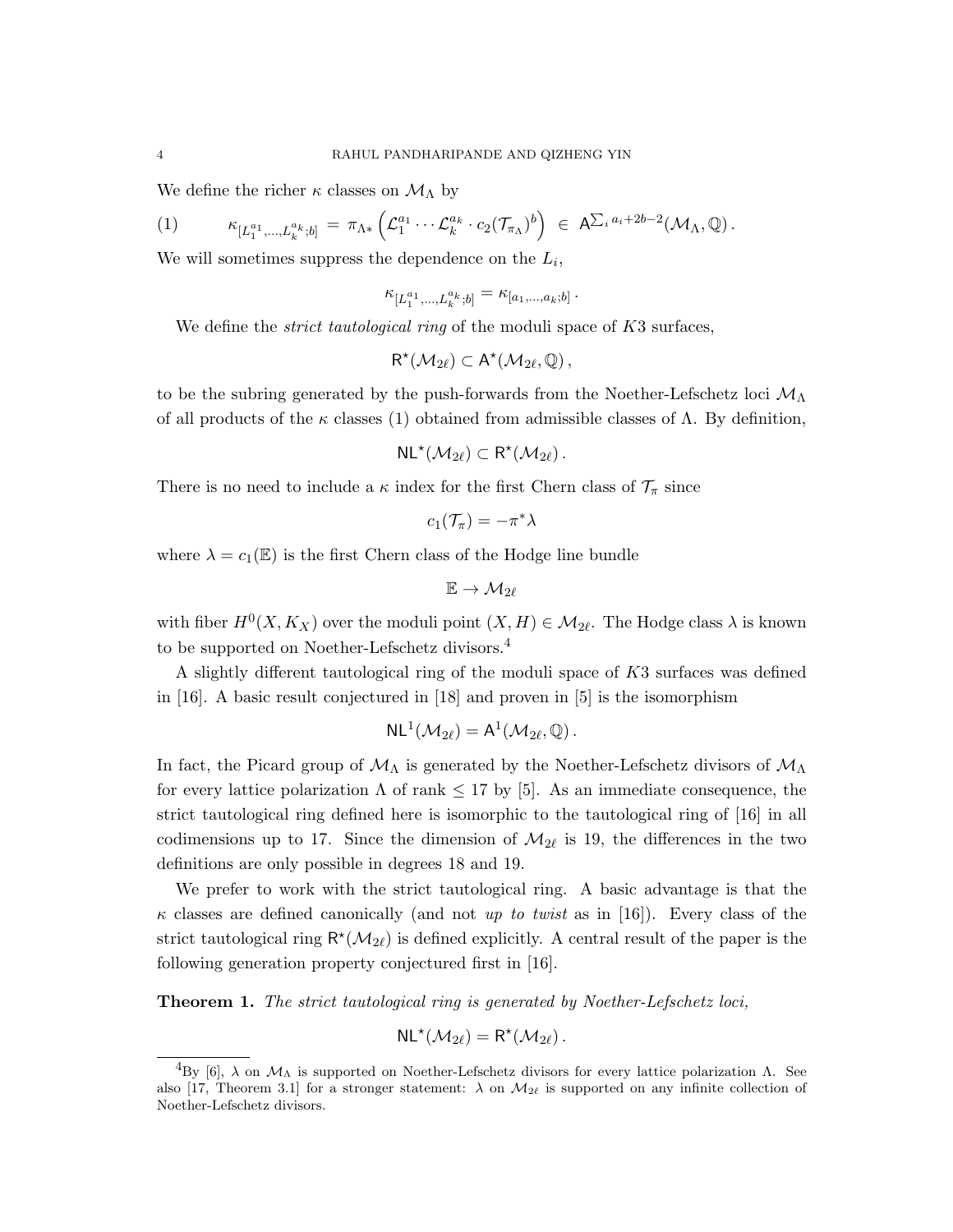We define the richer  $\kappa$  classes on  $\mathcal{M}_{\Lambda}$  by

$$
(1) \qquad \kappa_{[L_1^{a_1},...,L_k^{a_k};b]} = \pi_{\Lambda*} \left( \mathcal{L}_1^{a_1} \cdots \mathcal{L}_k^{a_k} \cdot c_2(\mathcal{T}_{\pi_{\Lambda}})^b \right) \in A^{\sum_i a_i + 2b - 2}(\mathcal{M}_{\Lambda}, \mathbb{Q}).
$$

We will sometimes suppress the dependence on the  $L_i$ ,

$$
\kappa_{[L_1^{a_1}, \ldots, L_k^{a_k}; b]} = \kappa_{[a_1, \ldots, a_k; b]} \, .
$$

We define the *strict tautological ring* of the moduli space of  $K3$  surfaces,

$$
R^{\star}(\mathcal{M}_{2\ell})\subset A^{\star}(\mathcal{M}_{2\ell},\mathbb{Q})\,,
$$

to be the subring generated by the push-forwards from the Noether-Lefschetz loci  $\mathcal{M}_{\Lambda}$ of all products of the  $\kappa$  classes (1) obtained from admissible classes of  $\Lambda$ . By definition,

$$
\mathsf{NL}^\star(\mathcal{M}_{2\ell}) \subset \mathsf{R}^\star(\mathcal{M}_{2\ell})\,.
$$

There is no need to include a  $\kappa$  index for the first Chern class of  $\mathcal{T}_{\pi}$  since

$$
c_1(\mathcal{T}_\pi)=-\pi^*\lambda
$$

where  $\lambda = c_1(\mathbb{E})$  is the first Chern class of the Hodge line bundle

$$
\mathbb{E} \to \mathcal{M}_{2\ell}
$$

with fiber  $H^0(X, K_X)$  over the moduli point  $(X, H) \in \mathcal{M}_{2\ell}$ . The Hodge class  $\lambda$  is known to be supported on Noether-Lefschetz divisors.<sup>4</sup>

A slightly different tautological ring of the moduli space of K3 surfaces was defined in [16]. A basic result conjectured in [18] and proven in [5] is the isomorphism

$$
\mathsf{NL}^1(\mathcal{M}_{2\ell}) = \mathsf{A}^1(\mathcal{M}_{2\ell}, \mathbb{Q})\,.
$$

In fact, the Picard group of  $M_\Lambda$  is generated by the Noether-Lefschetz divisors of  $M_\Lambda$ for every lattice polarization  $\Lambda$  of rank  $\leq 17$  by [5]. As an immediate consequence, the strict tautological ring defined here is isomorphic to the tautological ring of [16] in all codimensions up to 17. Since the dimension of  $\mathcal{M}_{2\ell}$  is 19, the differences in the two definitions are only possible in degrees 18 and 19.

We prefer to work with the strict tautological ring. A basic advantage is that the  $\kappa$  classes are defined canonically (and not up to twist as in [16]). Every class of the strict tautological ring  $\mathsf{R}^{\star}(\mathcal{M}_{2\ell})$  is defined explicitly. A central result of the paper is the following generation property conjectured first in [16].

Theorem 1. The strict tautological ring is generated by Noether-Lefschetz loci,

$$
NL^{\star}(\mathcal{M}_{2\ell})=R^{\star}(\mathcal{M}_{2\ell}).
$$

<sup>&</sup>lt;sup>4</sup>By [6],  $\lambda$  on  $\mathcal{M}_\Lambda$  is supported on Noether-Lefschetz divisors for every lattice polarization  $\Lambda$ . See also [17, Theorem 3.1] for a stronger statement:  $\lambda$  on  $\mathcal{M}_{2\ell}$  is supported on any infinite collection of Noether-Lefschetz divisors.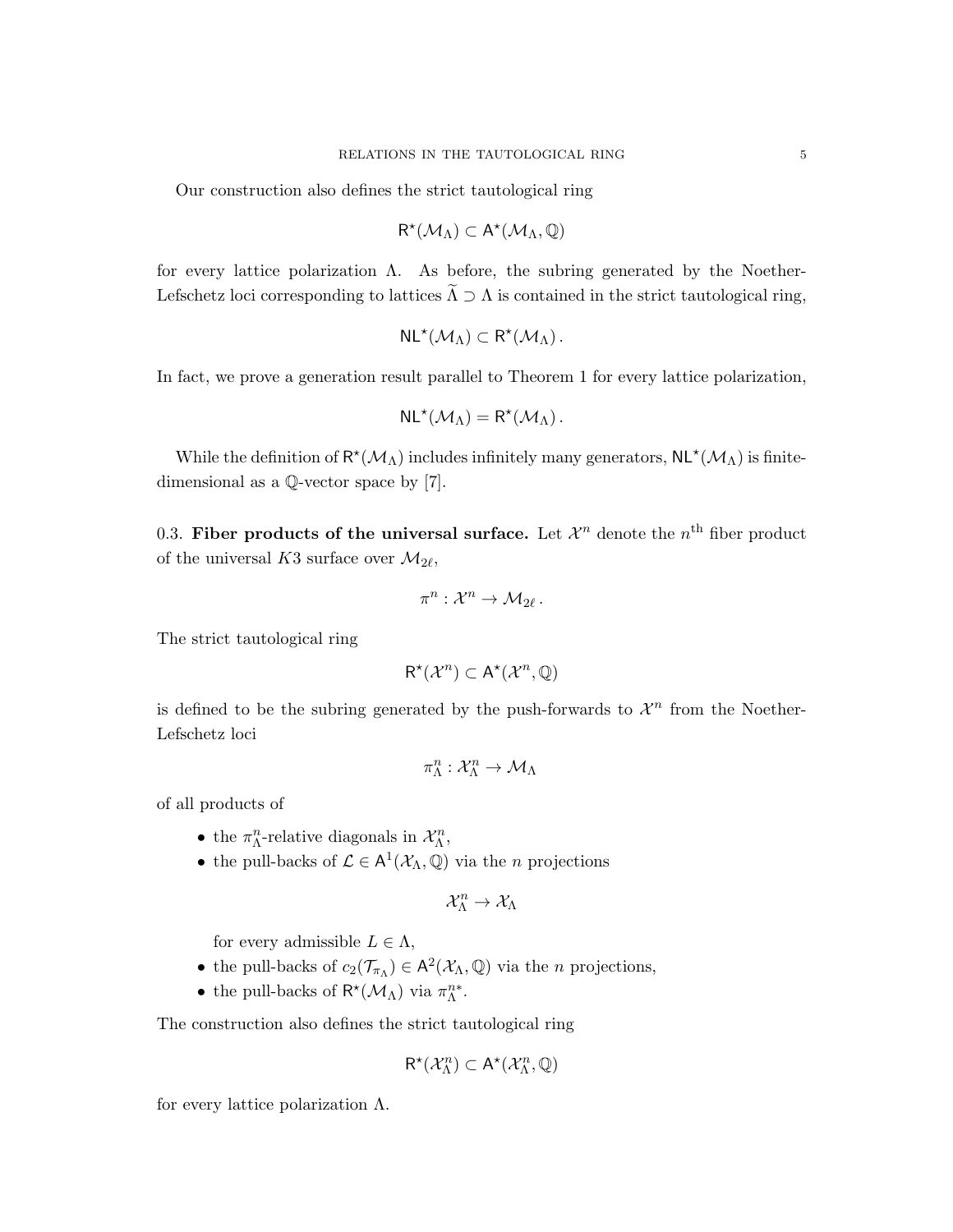Our construction also defines the strict tautological ring

$$
R^\star(\mathcal{M}_\Lambda)\subset A^\star(\mathcal{M}_\Lambda,\mathbb{Q})
$$

for every lattice polarization  $\Lambda$ . As before, the subring generated by the Noether-Lefschetz loci corresponding to lattices  $\widetilde{\Lambda} \supset \Lambda$  is contained in the strict tautological ring,

$$
NL^{\star}(\mathcal{M}_{\Lambda})\subset R^{\star}(\mathcal{M}_{\Lambda})\,.
$$

In fact, we prove a generation result parallel to Theorem 1 for every lattice polarization,

$$
NL^{\star}(\mathcal{M}_{\Lambda})=R^{\star}(\mathcal{M}_{\Lambda}).
$$

While the definition of  $R^*(\mathcal{M}_\Lambda)$  includes infinitely many generators,  $NL^*(\mathcal{M}_\Lambda)$  is finitedimensional as a Q-vector space by [7].

0.3. Fiber products of the universal surface. Let  $\mathcal{X}^n$  denote the  $n^{\text{th}}$  fiber product of the universal K3 surface over  $\mathcal{M}_{2\ell}$ ,

$$
\pi^n: \mathcal{X}^n \to \mathcal{M}_{2\ell}.
$$

The strict tautological ring

$$
R^{\star}(\mathcal{X}^n) \subset A^{\star}(\mathcal{X}^n, \mathbb{Q})
$$

is defined to be the subring generated by the push-forwards to  $\mathcal{X}^n$  from the Noether-Lefschetz loci

$$
\pi^n_{\Lambda}: \mathcal{X}^n_{\Lambda} \to \mathcal{M}_{\Lambda}
$$

of all products of

- the  $\pi^n_{\Lambda}$ -relative diagonals in  $\mathcal{X}^n_{\Lambda}$ ,
- the pull-backs of  $\mathcal{L} \in A^1(\mathcal{X}_\Lambda, \mathbb{Q})$  via the *n* projections

$$
\mathcal{X}^n_\Lambda \to \mathcal{X}_\Lambda
$$

for every admissible  $L \in \Lambda$ ,

- the pull-backs of  $c_2(\mathcal{T}_{\pi_\Lambda}) \in \mathsf{A}^2(\mathcal{X}_\Lambda,\mathbb{Q})$  via the *n* projections,
- the pull-backs of  $\mathsf{R}^{\star}(\mathcal{M}_{\Lambda})$  via  $\pi_{\Lambda}^{n*}$ .

The construction also defines the strict tautological ring

$$
\mathsf{R}^{\star}(\mathcal{X}_{\Lambda}^n)\subset \mathsf{A}^{\star}(\mathcal{X}_{\Lambda}^n,\mathbb{Q})
$$

for every lattice polarization  $\Lambda$ .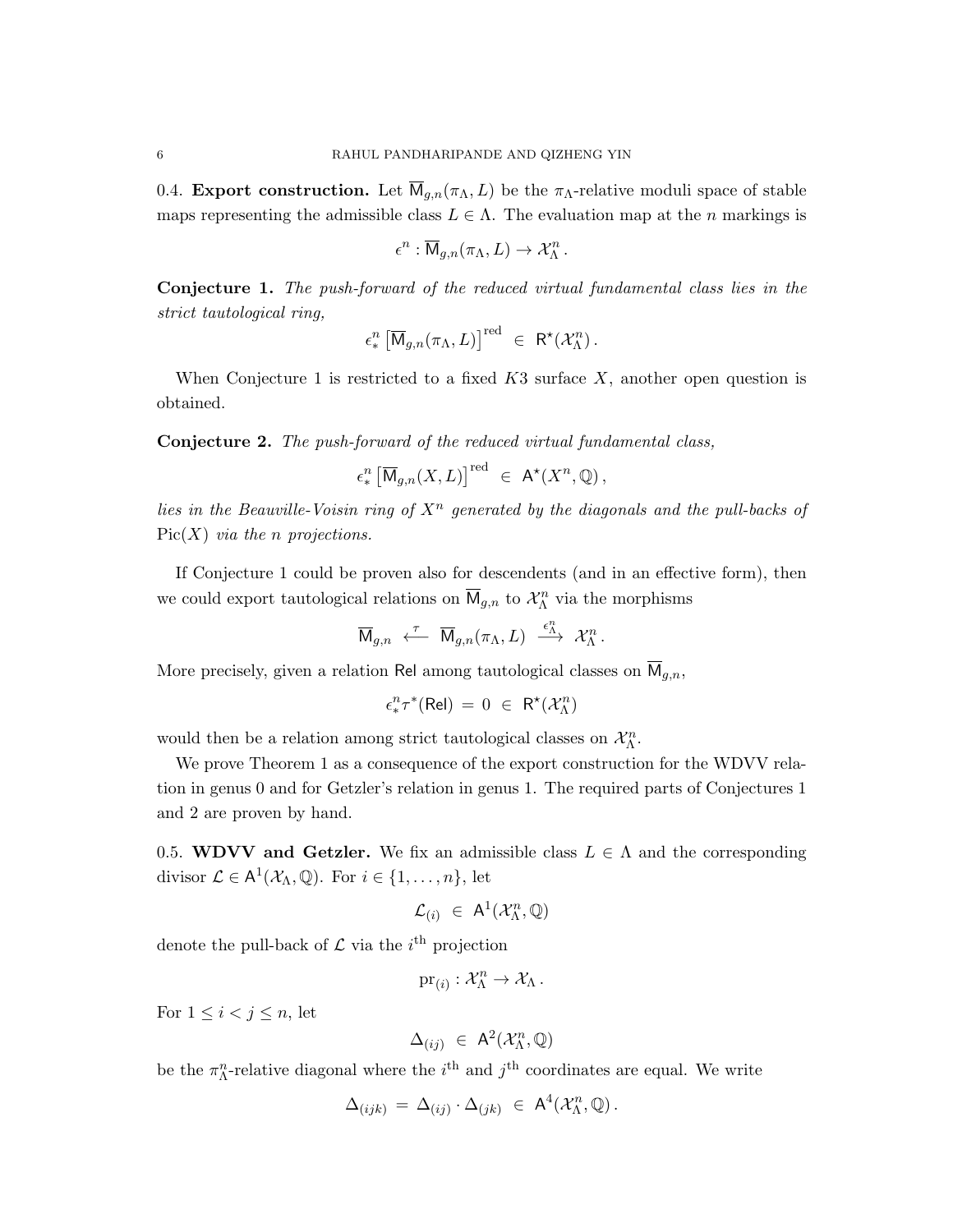0.4. Export construction. Let  $\overline{M}_{q,n}(\pi_{\Lambda},L)$  be the  $\pi_{\Lambda}$ -relative moduli space of stable maps representing the admissible class  $L \in \Lambda$ . The evaluation map at the *n* markings is

$$
\epsilon^n : \overline{\mathsf{M}}_{g,n}(\pi_\Lambda, L) \to \mathcal{X}_\Lambda^n.
$$

Conjecture 1. The push-forward of the reduced virtual fundamental class lies in the strict tautological ring,

$$
\epsilon_*^n \left[ \overline{\mathsf{M}}_{g,n}(\pi_\Lambda, L) \right]^{\text{red}} \ \in \ \mathsf{R}^\star(\mathcal{X}_\Lambda^n) \, .
$$

When Conjecture 1 is restricted to a fixed  $K3$  surface  $X$ , another open question is obtained.

Conjecture 2. The push-forward of the reduced virtual fundamental class,

$$
\epsilon^n_* \left[ \overline{\mathsf{M}}_{g,n}(X,L) \right]^{\text{red}} \ \in \ \mathsf{A}^{\star}(X^n,\mathbb{Q}) \,,
$$

lies in the Beauville-Voisin ring of  $X<sup>n</sup>$  generated by the diagonals and the pull-backs of  $Pic(X)$  via the n projections.

If Conjecture 1 could be proven also for descendents (and in an effective form), then we could export tautological relations on  $\overline{M}_{g,n}$  to  $\mathcal{X}_{\Lambda}^{n}$  via the morphisms

$$
\overline{\mathsf{M}}_{g,n} \overset{\tau}{\longleftarrow} \overline{\mathsf{M}}_{g,n}(\pi_{\Lambda},L) \overset{\epsilon_{\Lambda}^n}{\longrightarrow} \mathcal{X}_{\Lambda}^n.
$$

More precisely, given a relation Rel among tautological classes on  $\overline{M}_{q,n}$ ,

$$
\epsilon^n_\ast\tau^\ast(\mathrm{Rel})\,=\,0\;\in\;\mathsf{R}^\star(\mathcal{X}^n_\Lambda)
$$

would then be a relation among strict tautological classes on  $\mathcal{X}_{\Lambda}^n$ .

We prove Theorem 1 as a consequence of the export construction for the WDVV relation in genus 0 and for Getzler's relation in genus 1. The required parts of Conjectures 1 and 2 are proven by hand.

0.5. WDVV and Getzler. We fix an admissible class  $L \in \Lambda$  and the corresponding divisor  $\mathcal{L} \in A^1(\mathcal{X}_\Lambda, \mathbb{Q})$ . For  $i \in \{1, \ldots, n\}$ , let

$$
\mathcal{L}_{(i)} \ \in \ \mathsf{A}^1(\mathcal{X}_{\Lambda}^n,\mathbb{Q})
$$

denote the pull-back of  $\mathcal L$  via the *i*<sup>th</sup> projection

$$
\mathrm{pr}_{(i)}:\mathcal{X}_{\Lambda}^n\to \mathcal{X}_{\Lambda}.
$$

For  $1 \leq i < j \leq n$ , let

$$
\Delta_{(ij)} \ \in \ \mathsf{A}^2(\mathcal{X}_{\Lambda}^n,\mathbb{Q})
$$

be the  $\pi^n_{\Lambda}$ -relative diagonal where the *i*<sup>th</sup> and *j*<sup>th</sup> coordinates are equal. We write

$$
\Delta_{(ijk)} = \Delta_{(ij)} \cdot \Delta_{(jk)} \in \mathsf{A}^4(\mathcal{X}_{\Lambda}^n, \mathbb{Q}).
$$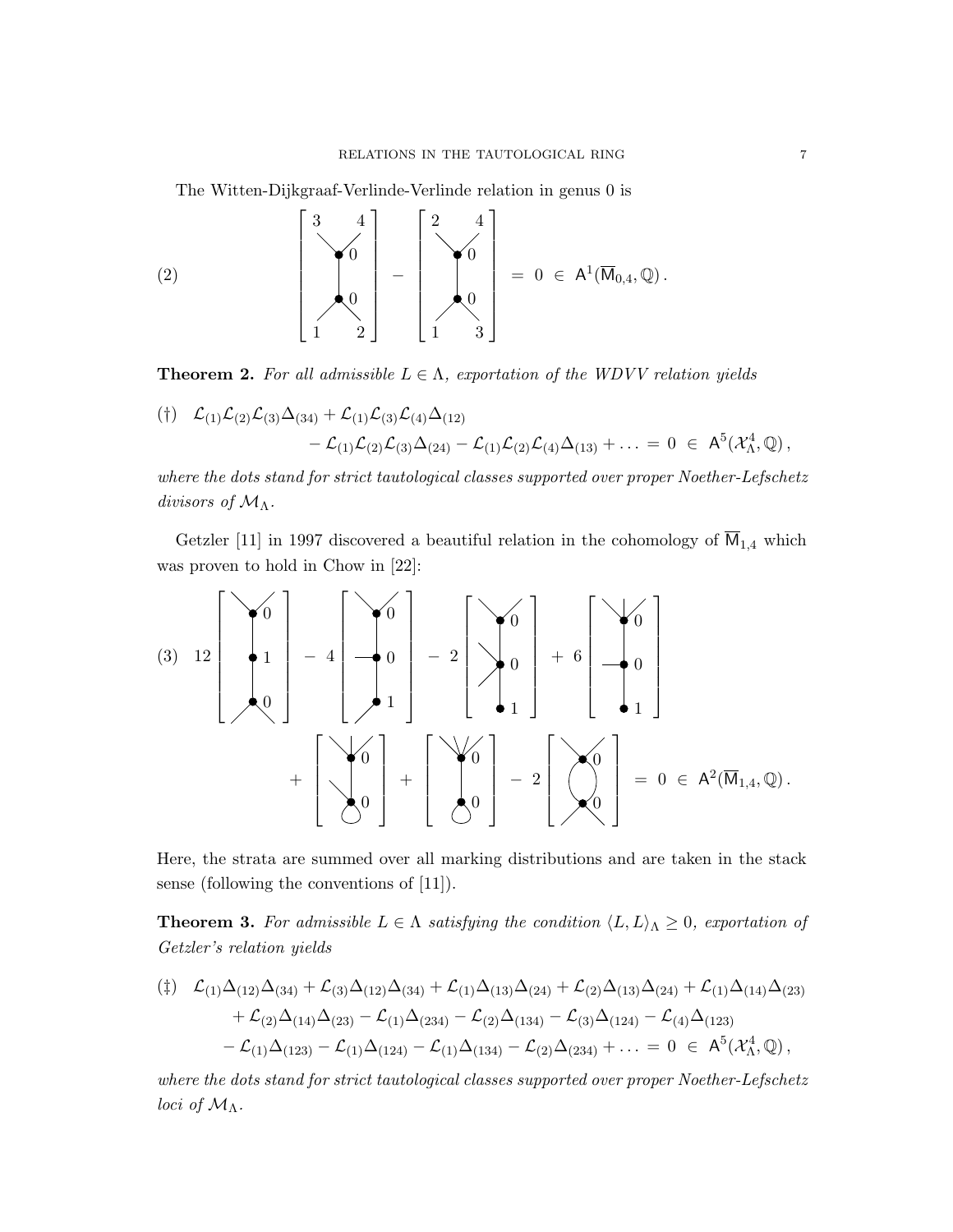The Witten-Dijkgraaf-Verlinde-Verlinde relation in genus 0 is

$$
(2) \qquad \qquad \left[\begin{array}{c} 3 & 4 \\ \searrow 0 \\ 0 \\ 1 & 2 \end{array}\right] \; - \; \left[\begin{array}{c} 2 & 4 \\ \searrow 0 \\ 0 \\ 1 & 3 \end{array}\right] \; = \; 0 \; \in \; A^1(\overline{\mathsf{M}}_{0,4}, \mathbb{Q}) \, .
$$

**Theorem 2.** For all admissible  $L \in \Lambda$ , exportation of the WDVV relation yields

$$
\begin{array}{ll}\n(\dagger) & \mathcal{L}_{(1)}\mathcal{L}_{(2)}\mathcal{L}_{(3)}\Delta_{(34)} + \mathcal{L}_{(1)}\mathcal{L}_{(3)}\mathcal{L}_{(4)}\Delta_{(12)} \\
 & -\mathcal{L}_{(1)}\mathcal{L}_{(2)}\mathcal{L}_{(3)}\Delta_{(24)} - \mathcal{L}_{(1)}\mathcal{L}_{(2)}\mathcal{L}_{(4)}\Delta_{(13)} + \ldots = 0 \;\; \in \;\; \mathsf{A}^5(\mathcal{X}^4_\Lambda,\mathbb{Q})\,,\n\end{array}
$$

where the dots stand for strict tautological classes supported over proper Noether-Lefschetz divisors of  $\mathcal{M}_{\Lambda}$ .

Getzler [11] in 1997 discovered a beautiful relation in the cohomology of  $\overline{M}_{1,4}$  which was proven to hold in Chow in [22]:

(3) 
$$
12\begin{bmatrix} 0 \\ 1 \\ 0 \end{bmatrix} - 4 \begin{bmatrix} 0 \\ -1 \\ 1 \end{bmatrix} - 2 \begin{bmatrix} 0 \\ 0 \\ 1 \end{bmatrix} + 6 \begin{bmatrix} 0 \\ -0 \\ 1 \end{bmatrix}
$$
  
+  $\begin{bmatrix} 0 \\ 0 \\ 0 \end{bmatrix} + \begin{bmatrix} 0 \\ 0 \\ 0 \end{bmatrix} - 2 \begin{bmatrix} 0 \\ 0 \\ 0 \end{bmatrix} = 0 \in A^2(\overline{M}_{1,4}, \mathbb{Q}).$ 

Here, the strata are summed over all marking distributions and are taken in the stack sense (following the conventions of [11]).

**Theorem 3.** For admissible  $L \in \Lambda$  satisfying the condition  $\langle L, L \rangle_{\Lambda} \geq 0$ , exportation of Getzler's relation yields

$$
\begin{aligned} (\ddag) \quad & \mathcal{L}_{(1)}\Delta_{(12)}\Delta_{(34)} + \mathcal{L}_{(3)}\Delta_{(12)}\Delta_{(34)} + \mathcal{L}_{(1)}\Delta_{(13)}\Delta_{(24)} + \mathcal{L}_{(2)}\Delta_{(13)}\Delta_{(24)} + \mathcal{L}_{(1)}\Delta_{(14)}\Delta_{(23)} \\ &+ \mathcal{L}_{(2)}\Delta_{(14)}\Delta_{(23)} - \mathcal{L}_{(1)}\Delta_{(234)} - \mathcal{L}_{(2)}\Delta_{(134)} - \mathcal{L}_{(3)}\Delta_{(124)} - \mathcal{L}_{(4)}\Delta_{(123)} \\ &- \mathcal{L}_{(1)}\Delta_{(123)} - \mathcal{L}_{(1)}\Delta_{(124)} - \mathcal{L}_{(1)}\Delta_{(134)} - \mathcal{L}_{(2)}\Delta_{(234)} + \ldots = 0 \in \mathsf{A}^5(\mathcal{X}_{\Lambda}^4,\mathbb{Q})\,, \end{aligned}
$$

where the dots stand for strict tautological classes supported over proper Noether-Lefschetz *loci* of  $\mathcal{M}_{\Lambda}$ .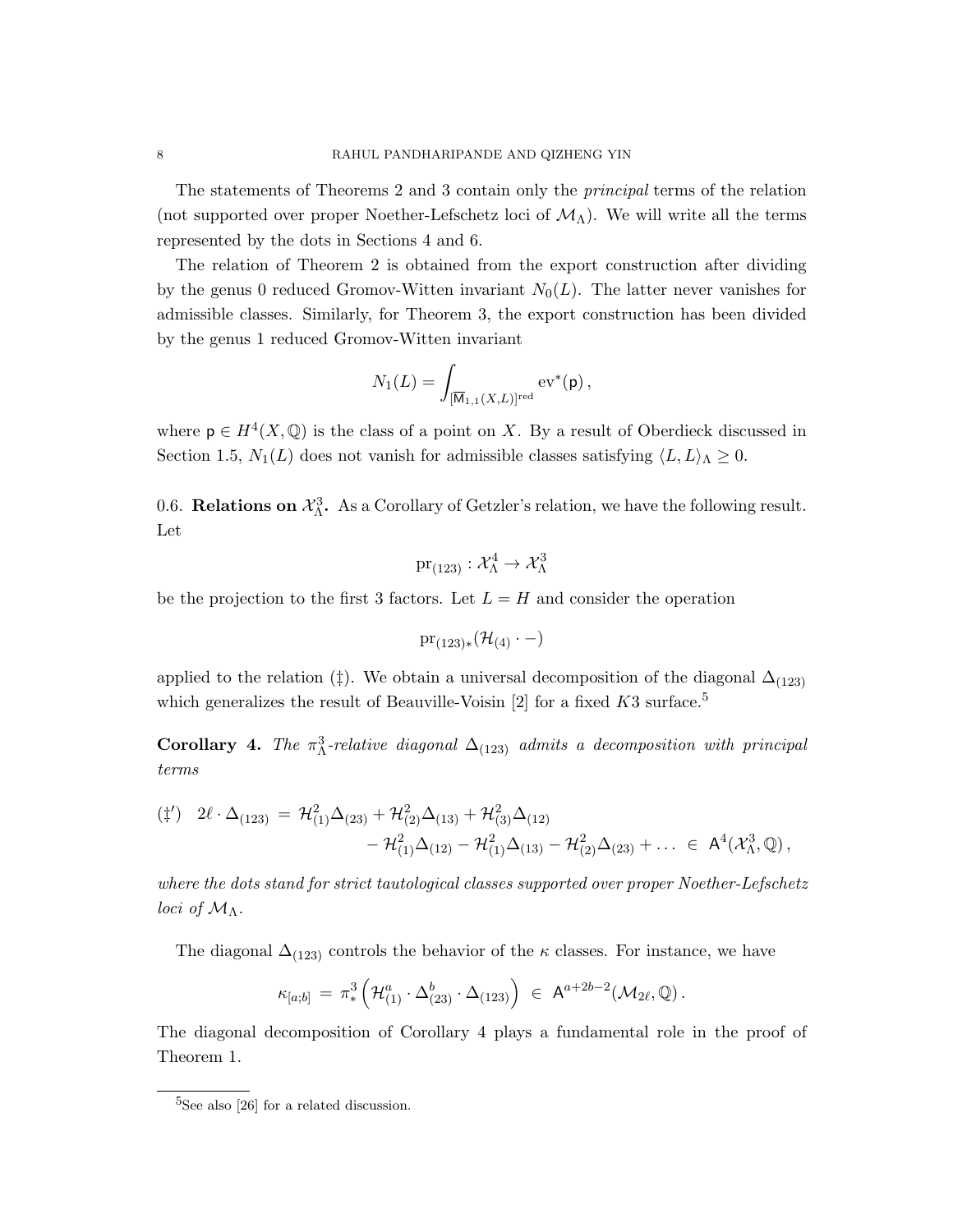The statements of Theorems 2 and 3 contain only the principal terms of the relation (not supported over proper Noether-Lefschetz loci of  $\mathcal{M}_{\Lambda}$ ). We will write all the terms represented by the dots in Sections 4 and 6.

The relation of Theorem 2 is obtained from the export construction after dividing by the genus 0 reduced Gromov-Witten invariant  $N_0(L)$ . The latter never vanishes for admissible classes. Similarly, for Theorem 3, the export construction has been divided by the genus 1 reduced Gromov-Witten invariant

$$
N_1(L) = \int_{[\overline{\mathsf{M}}_{1,1}(X,L)]^{\mathrm{red}}} \mathrm{ev}^*(\mathsf{p})\,,
$$

where  $p \in H^4(X, \mathbb{Q})$  is the class of a point on X. By a result of Oberdieck discussed in Section 1.5,  $N_1(L)$  does not vanish for admissible classes satisfying  $\langle L, L \rangle_{\Lambda} \geq 0$ .

0.6. **Relations on**  $\mathcal{X}_{\Lambda}^3$ . As a Corollary of Getzler's relation, we have the following result. Let

$$
\mathrm{pr}_{(123)}:\mathcal{X}_\Lambda^4\to \mathcal{X}_\Lambda^3
$$

be the projection to the first 3 factors. Let  $L = H$  and consider the operation

$$
\mathrm{pr}_{(123)*}(\mathcal{H}_{(4)} \cdot -)
$$

applied to the relation (‡). We obtain a universal decomposition of the diagonal  $\Delta_{(123)}$ which generalizes the result of Beauville-Voisin [2] for a fixed  $K3$  surface.<sup>5</sup>

Corollary 4. The  $\pi^3_\Lambda$ -relative diagonal  $\Delta_{(123)}$  admits a decomposition with principal terms

$$
\begin{aligned} (\ddag') \quad & 2\ell \cdot \Delta_{(123)} \, = \, \mathcal{H}^2_{(1)} \Delta_{(23)} + \mathcal{H}^2_{(2)} \Delta_{(13)} + \mathcal{H}^2_{(3)} \Delta_{(12)} \\ &- \mathcal{H}^2_{(1)} \Delta_{(12)} - \mathcal{H}^2_{(1)} \Delta_{(13)} - \mathcal{H}^2_{(2)} \Delta_{(23)} + \ldots \, \in \, \, \mathsf{A}^4(\mathcal{X}^3_\Lambda, \mathbb{Q}) \,, \end{aligned}
$$

where the dots stand for strict tautological classes supported over proper Noether-Lefschetz loci of  $\mathcal{M}_{\Lambda}$ .

The diagonal  $\Delta_{(123)}$  controls the behavior of the  $\kappa$  classes. For instance, we have

$$
\kappa_{[a;b]} = \pi_*^3 \left( \mathcal{H}_{(1)}^a \cdot \Delta_{(23)}^b \cdot \Delta_{(123)} \right) \in \mathsf{A}^{a+2b-2}(\mathcal{M}_{2\ell}, \mathbb{Q}).
$$

The diagonal decomposition of Corollary 4 plays a fundamental role in the proof of Theorem 1.

<sup>&</sup>lt;sup>5</sup>See also [26] for a related discussion.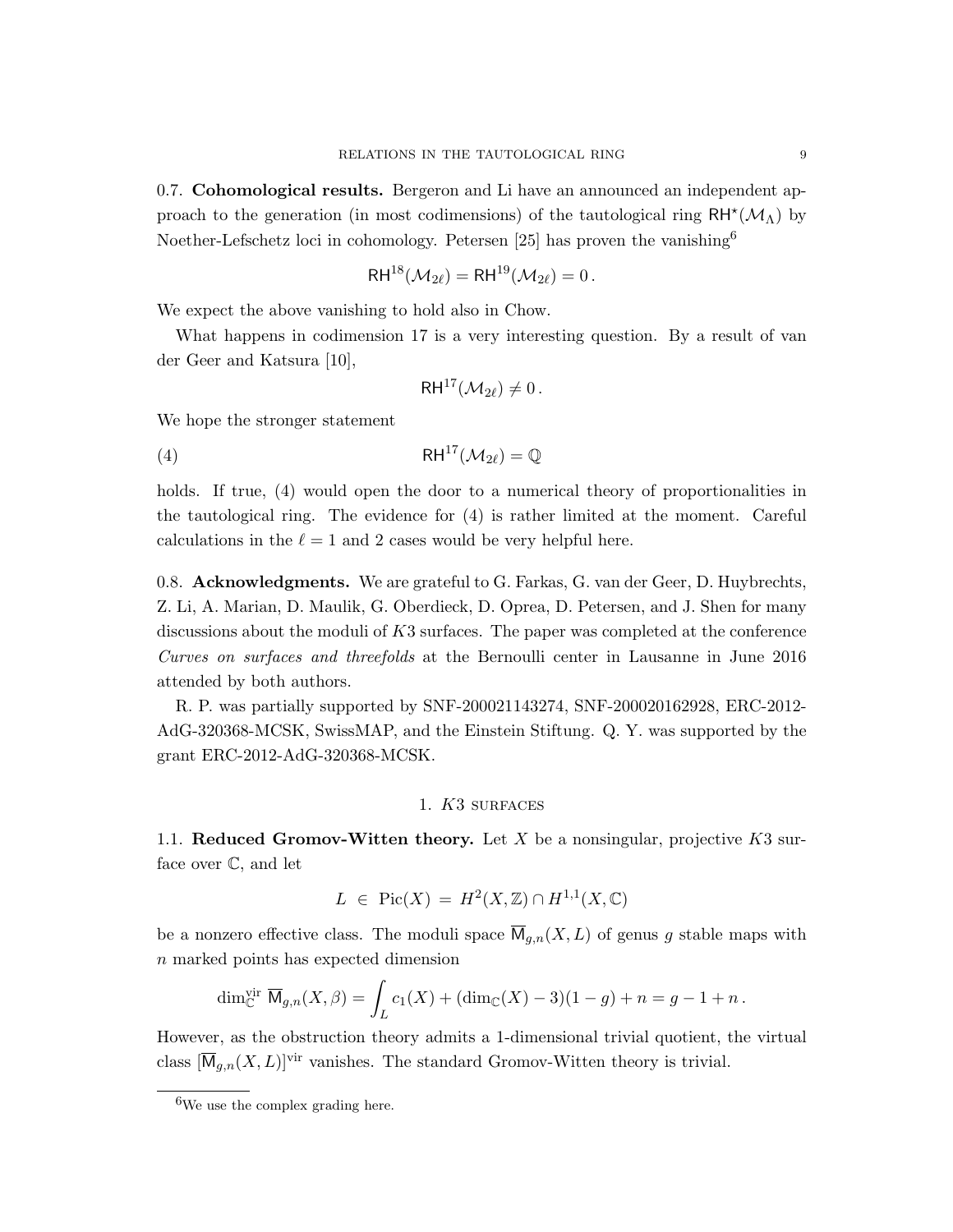0.7. Cohomological results. Bergeron and Li have an announced an independent approach to the generation (in most codimensions) of the tautological ring  $RH^{\star}(\mathcal{M}_{\Lambda})$  by Noether-Lefschetz loci in cohomology. Petersen [25] has proven the vanishing<sup>6</sup>

$$
\mathsf{RH}^{18}(\mathcal{M}_{2\ell}) = \mathsf{RH}^{19}(\mathcal{M}_{2\ell}) = 0.
$$

We expect the above vanishing to hold also in Chow.

What happens in codimension 17 is a very interesting question. By a result of van der Geer and Katsura [10],

$$
\mathsf{RH}^{17}(\mathcal{M}_{2\ell})\neq 0\,.
$$

We hope the stronger statement

(4) RH<sup>17</sup> $(\mathcal{M}_{2\ell}) = \mathbb{Q}$ 

holds. If true, (4) would open the door to a numerical theory of proportionalities in the tautological ring. The evidence for (4) is rather limited at the moment. Careful calculations in the  $\ell = 1$  and 2 cases would be very helpful here.

0.8. Acknowledgments. We are grateful to G. Farkas, G. van der Geer, D. Huybrechts, Z. Li, A. Marian, D. Maulik, G. Oberdieck, D. Oprea, D. Petersen, and J. Shen for many discussions about the moduli of K3 surfaces. The paper was completed at the conference Curves on surfaces and threefolds at the Bernoulli center in Lausanne in June 2016 attended by both authors.

R. P. was partially supported by SNF-200021143274, SNF-200020162928, ERC-2012- AdG-320368-MCSK, SwissMAP, and the Einstein Stiftung. Q. Y. was supported by the grant ERC-2012-AdG-320368-MCSK.

#### 1. K3 surfaces

1.1. Reduced Gromov-Witten theory. Let  $X$  be a nonsingular, projective  $K3$  surface over C, and let

$$
L \in Pic(X) = H^2(X, \mathbb{Z}) \cap H^{1,1}(X, \mathbb{C})
$$

be a nonzero effective class. The moduli space  $\overline{M}_{q,n}(X, L)$  of genus g stable maps with n marked points has expected dimension

$$
\dim_{\mathbb{C}}^{\text{vir}} \overline{M}_{g,n}(X,\beta) = \int_{L} c_1(X) + (\dim_{\mathbb{C}}(X) - 3)(1 - g) + n = g - 1 + n.
$$

However, as the obstruction theory admits a 1-dimensional trivial quotient, the virtual class  $[\overline{M}_{q,n}(X,L)]^{\text{vir}}$  vanishes. The standard Gromov-Witten theory is trivial.

<sup>&</sup>lt;sup>6</sup>We use the complex grading here.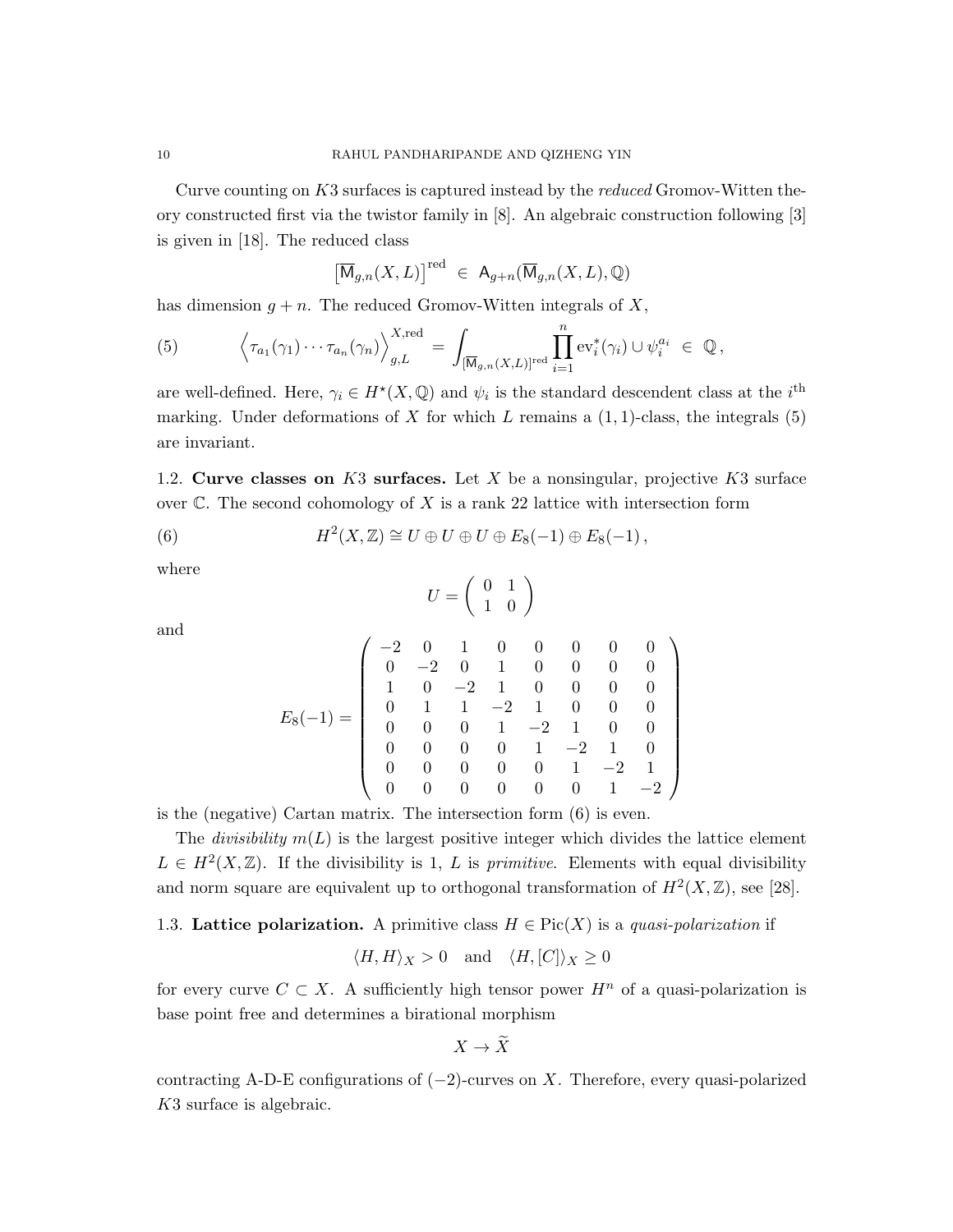Curve counting on K3 surfaces is captured instead by the reduced Gromov-Witten theory constructed first via the twistor family in [8]. An algebraic construction following [3] is given in [18]. The reduced class

$$
\left[\overline{\mathsf{M}}_{g,n}(X,L)\right]^{\text{red}} \in \mathsf{A}_{g+n}(\overline{\mathsf{M}}_{g,n}(X,L),\mathbb{Q})
$$

has dimension  $g + n$ . The reduced Gromov-Witten integrals of X,

(5) 
$$
\left\langle \tau_{a_1}(\gamma_1)\cdots\tau_{a_n}(\gamma_n)\right\rangle_{g,L}^{X,\text{red}} = \int_{[\overline{\mathsf{M}}_{g,n}(X,L)]^{\text{red}}}\prod_{i=1}^n \text{ev}_i^*(\gamma_i) \cup \psi_i^{a_i} \in \mathbb{Q},
$$

are well-defined. Here,  $\gamma_i \in H^*(X, \mathbb{Q})$  and  $\psi_i$  is the standard descendent class at the  $i^{\text{th}}$ marking. Under deformations of X for which L remains a  $(1, 1)$ -class, the integrals  $(5)$ are invariant.

1.2. Curve classes on  $K3$  surfaces. Let X be a nonsingular, projective  $K3$  surface over  $\mathbb C$ . The second cohomology of X is a rank 22 lattice with intersection form

(6) 
$$
H^2(X,\mathbb{Z}) \cong U \oplus U \oplus U \oplus E_8(-1) \oplus E_8(-1),
$$

where

and

$$
U = \left(\begin{array}{cc} 0 & 1 \\ 1 & 0 \end{array}\right)
$$

$$
E_8(-1) = \left(\begin{array}{rrrrrrrr} -2 & 0 & 1 & 0 & 0 & 0 & 0 & 0 \\ 0 & -2 & 0 & 1 & 0 & 0 & 0 & 0 \\ 1 & 0 & -2 & 1 & 0 & 0 & 0 & 0 \\ 0 & 1 & 1 & -2 & 1 & 0 & 0 & 0 \\ 0 & 0 & 0 & 1 & -2 & 1 & 0 & 0 \\ 0 & 0 & 0 & 0 & 1 & -2 & 1 & 0 \\ 0 & 0 & 0 & 0 & 0 & 1 & -2 & 1 \\ 0 & 0 & 0 & 0 & 0 & 0 & 1 & -2 \end{array}\right)
$$

is the (negative) Cartan matrix. The intersection form (6) is even.

The *divisibility*  $m(L)$  is the largest positive integer which divides the lattice element  $L \in H^2(X,\mathbb{Z})$ . If the divisibility is 1, L is *primitive*. Elements with equal divisibility and norm square are equivalent up to orthogonal transformation of  $H^2(X,\mathbb{Z})$ , see [28].

1.3. Lattice polarization. A primitive class  $H \in Pic(X)$  is a quasi-polarization if

$$
\langle H, H \rangle_X > 0
$$
 and  $\langle H, [C] \rangle_X \ge 0$ 

for every curve  $C \subset X$ . A sufficiently high tensor power  $H^n$  of a quasi-polarization is base point free and determines a birational morphism

$$
X \to \widetilde{X}
$$

contracting A-D-E configurations of  $(-2)$ -curves on X. Therefore, every quasi-polarized K3 surface is algebraic.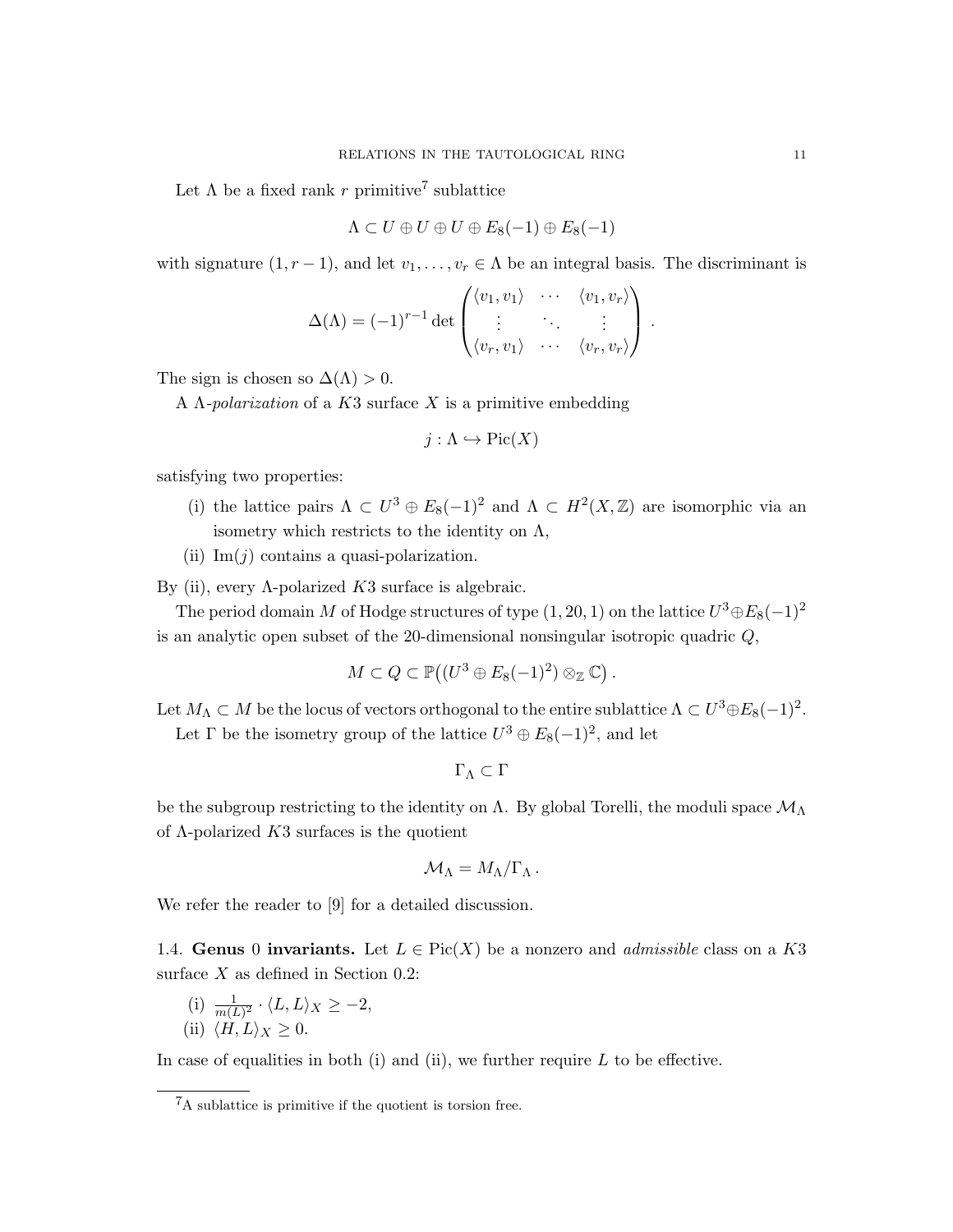Let  $\Lambda$  be a fixed rank r primitive<sup>7</sup> sublattice

$$
\Lambda \subset U \oplus U \oplus U \oplus E_8(-1) \oplus E_8(-1)
$$

with signature  $(1, r - 1)$ , and let  $v_1, \ldots, v_r \in \Lambda$  be an integral basis. The discriminant is

$$
\Delta(\Lambda) = (-1)^{r-1} \det \begin{pmatrix} \langle v_1, v_1 \rangle & \cdots & \langle v_1, v_r \rangle \\ \vdots & \ddots & \vdots \\ \langle v_r, v_1 \rangle & \cdots & \langle v_r, v_r \rangle \end{pmatrix}.
$$

The sign is chosen so  $\Delta(\Lambda) > 0$ .

A  $\Lambda$ -polarization of a K3 surface X is a primitive embedding

$$
j:\Lambda\hookrightarrow Pic(X)
$$

satisfying two properties:

- (i) the lattice pairs  $\Lambda \subset U^3 \oplus E_8(-1)^2$  and  $\Lambda \subset H^2(X,\mathbb{Z})$  are isomorphic via an isometry which restricts to the identity on  $\Lambda$ ,
- (ii)  $\text{Im}(j)$  contains a quasi-polarization.

By (ii), every Λ-polarized  $K3$  surface is algebraic.

The period domain M of Hodge structures of type  $(1, 20, 1)$  on the lattice  $U^3 \oplus E_8(-1)^2$ is an analytic open subset of the 20-dimensional nonsingular isotropic quadric Q,

$$
M\subset Q\subset \mathbb{P}((U^3\oplus E_8(-1)^2)\otimes_{\mathbb{Z}}\mathbb{C})\ .
$$

Let  $M_{\Lambda} \subset M$  be the locus of vectors orthogonal to the entire sublattice  $\Lambda \subset U^3 \oplus E_8(-1)^2$ . Let  $\Gamma$  be the isometry group of the lattice  $U^3 \oplus E_8(-1)^2$ , and let

 $\Gamma_{\Lambda} \subset \Gamma$ 

be the subgroup restricting to the identity on  $\Lambda$ . By global Torelli, the moduli space  $\mathcal{M}_{\Lambda}$ of  $\Lambda$ -polarized  $K3$  surfaces is the quotient

$$
\mathcal{M}_{\Lambda}=M_{\Lambda}/\Gamma_{\Lambda}.
$$

We refer the reader to [9] for a detailed discussion.

1.4. Genus 0 invariants. Let  $L \in Pic(X)$  be a nonzero and *admissible* class on a K3 surface  $X$  as defined in Section 0.2:

- (i)  $\frac{1}{m(L)^2} \cdot \langle L, L \rangle_X \geq -2,$
- (ii)  $\langle H, L \rangle_X \geq 0$ .

In case of equalities in both (i) and (ii), we further require  $L$  to be effective.

<sup>7</sup>A sublattice is primitive if the quotient is torsion free.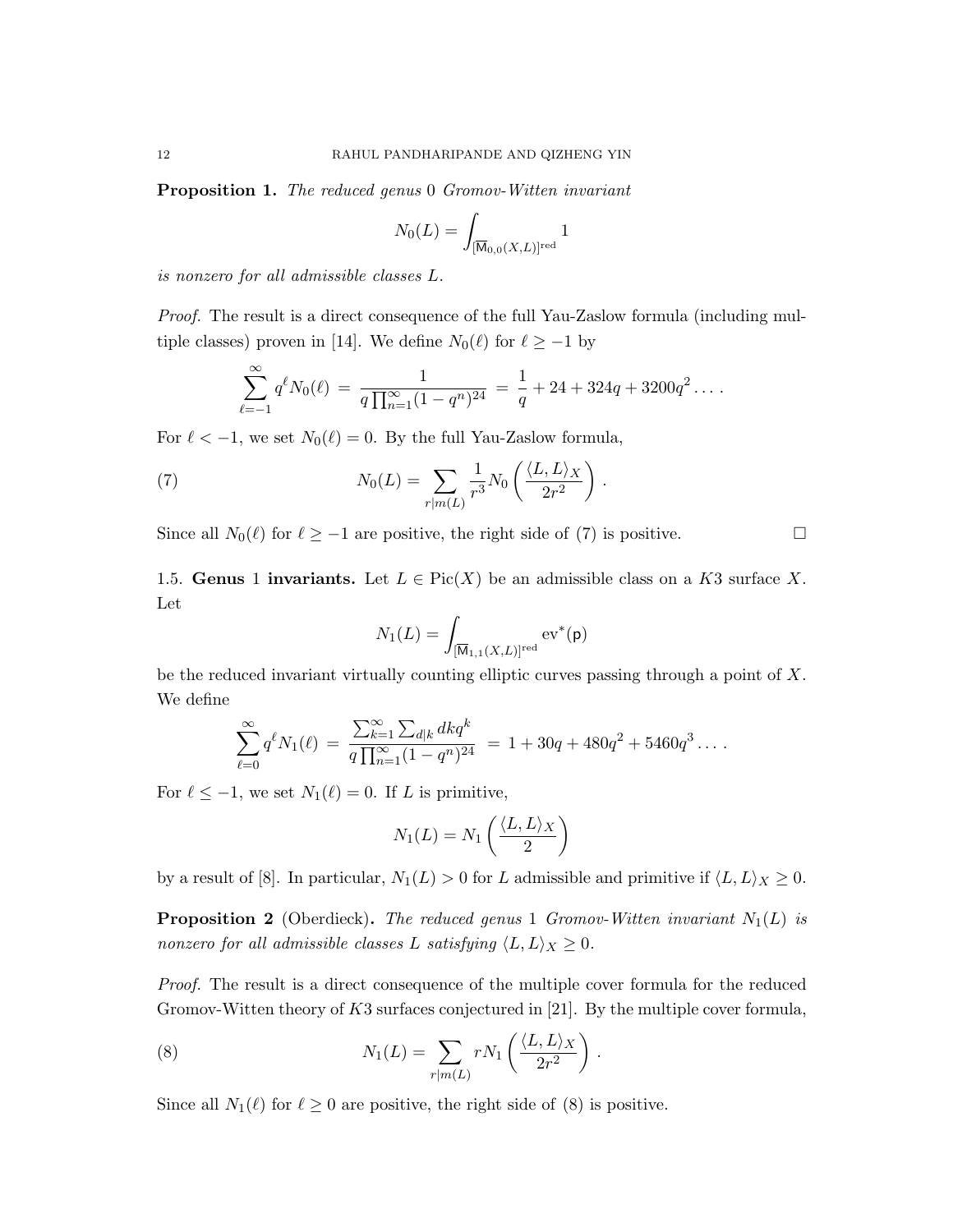**Proposition 1.** The reduced genus 0 Gromov-Witten invariant

$$
N_0(L) = \int_{[\overline{\mathsf{M}}_{0,0}(X,L)]^{\text{red}}} 1
$$

is nonzero for all admissible classes L.

Proof. The result is a direct consequence of the full Yau-Zaslow formula (including multiple classes) proven in [14]. We define  $N_0(\ell)$  for  $\ell \ge -1$  by

$$
\sum_{\ell=-1}^{\infty} q^{\ell} N_0(\ell) = \frac{1}{q \prod_{n=1}^{\infty} (1-q^n)^{24}} = \frac{1}{q} + 24 + 324q + 3200q^2 \ldots
$$

For  $\ell < -1$ , we set  $N_0(\ell) = 0$ . By the full Yau-Zaslow formula,

(7) 
$$
N_0(L) = \sum_{r|m(L)} \frac{1}{r^3} N_0 \left( \frac{\langle L, L \rangle_X}{2r^2} \right).
$$

Since all  $N_0(\ell)$  for  $\ell \ge -1$  are positive, the right side of (7) is positive. □

1.5. Genus 1 invariants. Let  $L \in Pic(X)$  be an admissible class on a K3 surface X. Let

$$
N_1(L) = \int_{[\overline{\mathsf{M}}_{1,1}(X,L)]^{\text{red}}} \text{ev}^*(\mathsf{p})
$$

be the reduced invariant virtually counting elliptic curves passing through a point of X. We define

$$
\sum_{\ell=0}^{\infty} q^{\ell} N_1(\ell) = \frac{\sum_{k=1}^{\infty} \sum_{d|k} dk q^k}{q \prod_{n=1}^{\infty} (1 - q^n)^{24}} = 1 + 30q + 480q^2 + 5460q^3 \dots
$$

For  $\ell \le -1$ , we set  $N_1(\ell) = 0$ . If L is primitive,

$$
N_1(L) = N_1 \left(\frac{\langle L, L \rangle_X}{2}\right)
$$

by a result of [8]. In particular,  $N_1(L) > 0$  for L admissible and primitive if  $\langle L, L \rangle_X \ge 0$ .

**Proposition 2** (Oberdieck). The reduced genus 1 Gromov-Witten invariant  $N_1(L)$  is nonzero for all admissible classes L satisfying  $\langle L, L \rangle_X \geq 0$ .

Proof. The result is a direct consequence of the multiple cover formula for the reduced Gromov-Witten theory of  $K3$  surfaces conjectured in [21]. By the multiple cover formula,

(8) 
$$
N_1(L) = \sum_{r|m(L)} rN_1 \left(\frac{\langle L, L\rangle_X}{2r^2}\right).
$$

Since all  $N_1(\ell)$  for  $\ell \geq 0$  are positive, the right side of (8) is positive.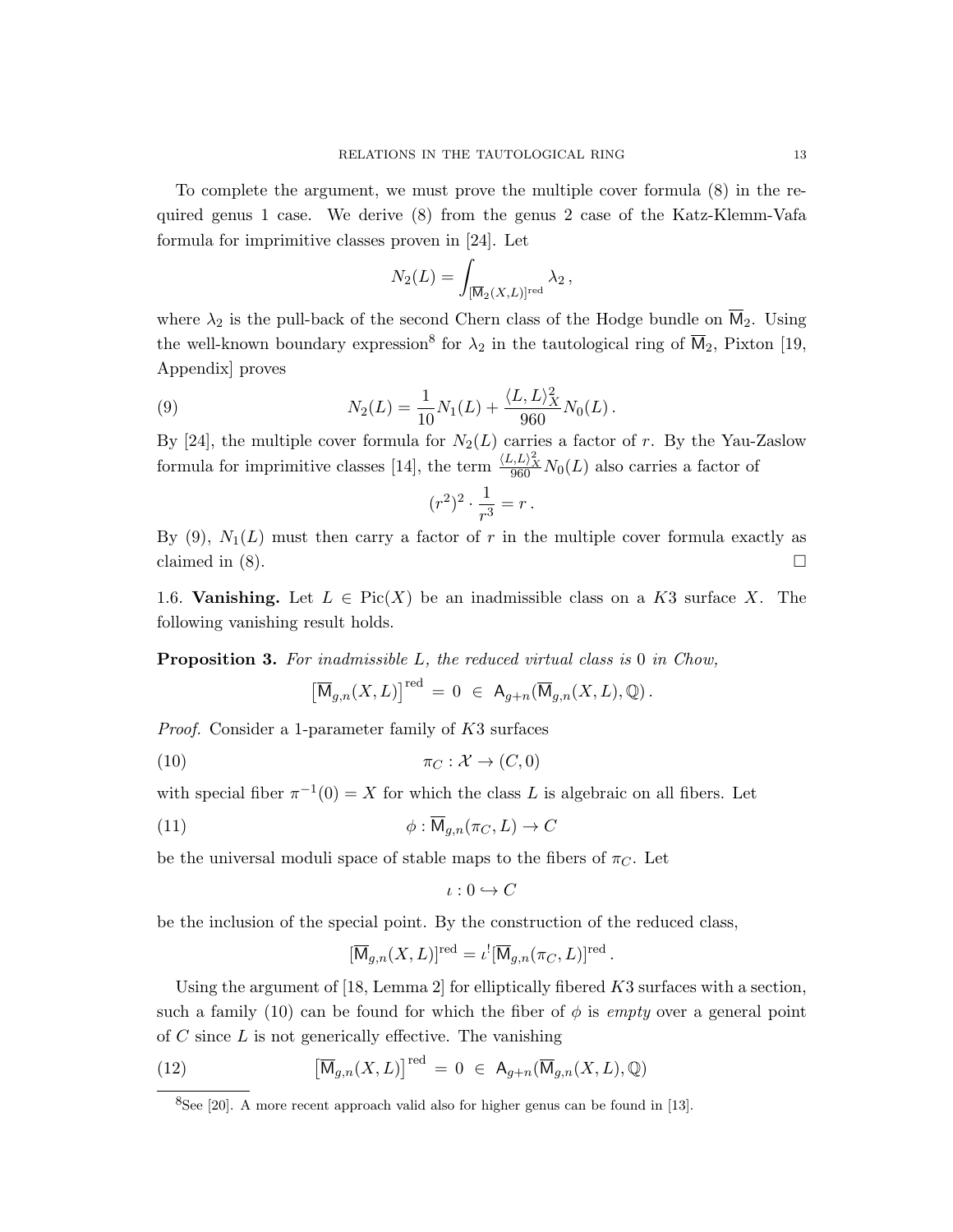To complete the argument, we must prove the multiple cover formula (8) in the required genus 1 case. We derive (8) from the genus 2 case of the Katz-Klemm-Vafa formula for imprimitive classes proven in [24]. Let

$$
N_2(L) = \int_{[\overline{\mathsf{M}}_2(X,L)]^{\text{red}}} \lambda_2,
$$

where  $\lambda_2$  is the pull-back of the second Chern class of the Hodge bundle on  $\overline{M}_2$ . Using the well-known boundary expression<sup>8</sup> for  $\lambda_2$  in the tautological ring of  $\overline{M}_2$ , Pixton [19, Appendix] proves

(9) 
$$
N_2(L) = \frac{1}{10} N_1(L) + \frac{\langle L, L \rangle_X^2}{960} N_0(L).
$$

By [24], the multiple cover formula for  $N_2(L)$  carries a factor of r. By the Yau-Zaslow formula for imprimitive classes [14], the term  $\frac{\langle L, L \rangle_X^2}{960} N_0(L)$  also carries a factor of

$$
(r^2)^2 \cdot \frac{1}{r^3} = r \, .
$$

By  $(9)$ ,  $N_1(L)$  must then carry a factor of r in the multiple cover formula exactly as claimed in  $(8)$ .

1.6. Vanishing. Let  $L \in Pic(X)$  be an inadmissible class on a K3 surface X. The following vanishing result holds.

Proposition 3. For inadmissible L, the reduced virtual class is 0 in Chow,

$$
\left[\overline{\mathsf{M}}_{g,n}(X,L)\right]^{\text{red}}\,=\,0\;\in\;\mathsf{A}_{g+n}(\overline{\mathsf{M}}_{g,n}(X,L),\mathbb{Q})\,.
$$

Proof. Consider a 1-parameter family of K3 surfaces

$$
\pi_C: \mathcal{X} \to (C, 0)
$$

with special fiber  $\pi^{-1}(0) = X$  for which the class L is algebraic on all fibers. Let

(11) 
$$
\phi : \overline{\mathsf{M}}_{g,n}(\pi_C, L) \to C
$$

be the universal moduli space of stable maps to the fibers of  $\pi_{C}$ . Let

$$
\iota:0\hookrightarrow C
$$

be the inclusion of the special point. By the construction of the reduced class,

$$
[\overline{\mathsf{M}}_{g,n}(X,L)]^{\text{red}} = \iota^{!} [\overline{\mathsf{M}}_{g,n}(\pi_C, L)]^{\text{red}}.
$$

Using the argument of [18, Lemma 2] for elliptically fibered  $K3$  surfaces with a section, such a family (10) can be found for which the fiber of  $\phi$  is empty over a general point of  $C$  since  $L$  is not generically effective. The vanishing

(12) 
$$
\left[\overline{\mathsf{M}}_{g,n}(X,L)\right]^{\text{red}} = 0 \in \mathsf{A}_{g+n}(\overline{\mathsf{M}}_{g,n}(X,L),\mathbb{Q})
$$

<sup>8</sup>See [20]. A more recent approach valid also for higher genus can be found in [13].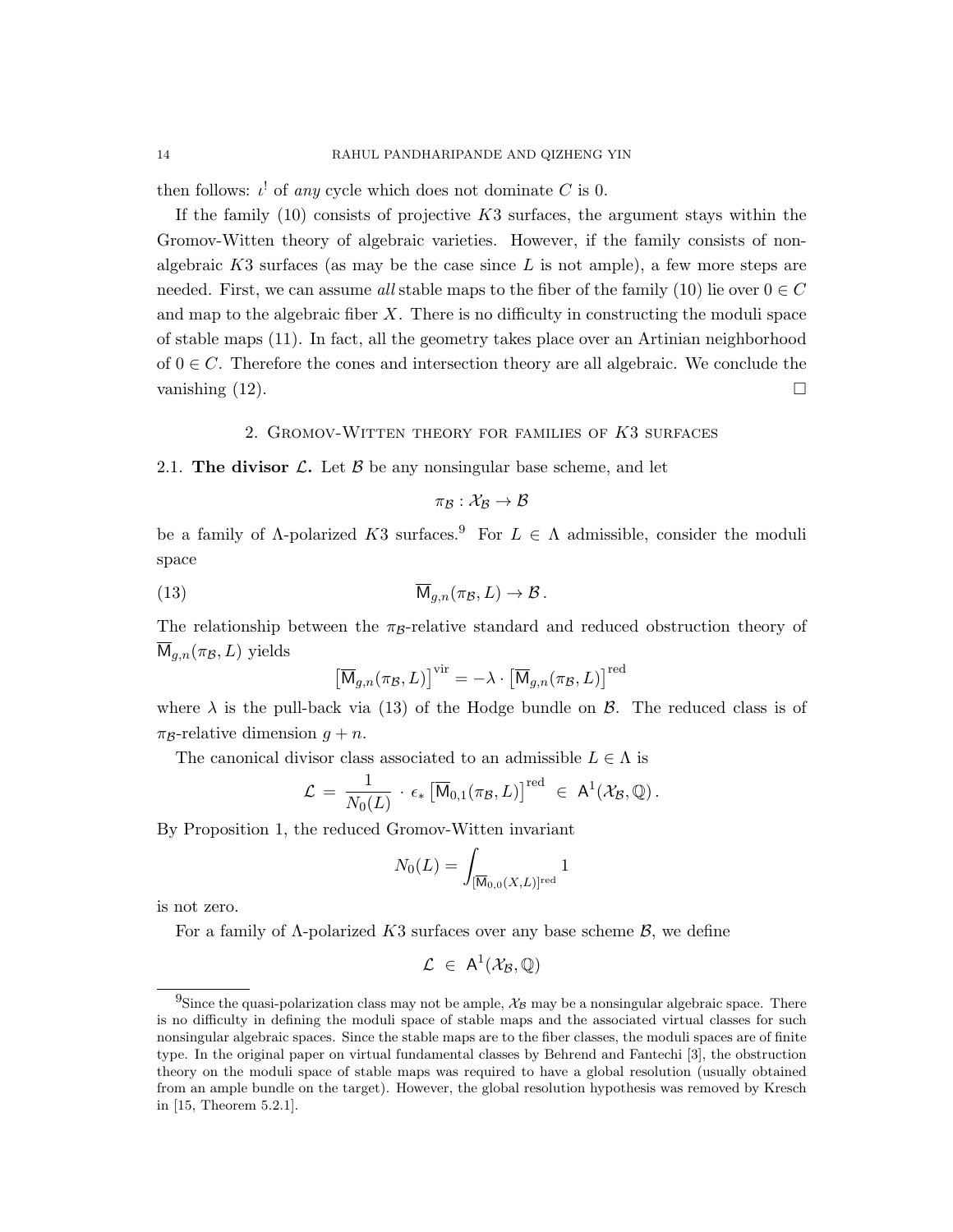then follows:  $\iota^!$  of any cycle which does not dominate C is 0.

If the family  $(10)$  consists of projective K3 surfaces, the argument stays within the Gromov-Witten theory of algebraic varieties. However, if the family consists of nonalgebraic  $K3$  surfaces (as may be the case since L is not ample), a few more steps are needed. First, we can assume all stable maps to the fiber of the family (10) lie over  $0 \in C$ and map to the algebraic fiber  $X$ . There is no difficulty in constructing the moduli space of stable maps (11). In fact, all the geometry takes place over an Artinian neighborhood of  $0 \in C$ . Therefore the cones and intersection theory are all algebraic. We conclude the vanishing  $(12)$ .

2. GROMOV-WITTEN THEORY FOR FAMILIES OF K3 SURFACES

2.1. The divisor  $\mathcal{L}$ . Let  $\mathcal{B}$  be any nonsingular base scheme, and let

$$
\pi_{\mathcal{B}}: \mathcal{X}_{\mathcal{B}} \to \mathcal{B}
$$

be a family of  $\Lambda$ -polarized K3 surfaces.<sup>9</sup> For  $L \in \Lambda$  admissible, consider the moduli space

(13) 
$$
\overline{\mathsf{M}}_{g,n}(\pi_{\mathcal{B}}, L) \to \mathcal{B}.
$$

The relationship between the  $\pi_B$ -relative standard and reduced obstruction theory of  $M_{g,n}(\pi_{\mathcal{B}}, L)$  yields

$$
\left[\overline{\mathsf{M}}_{g,n}(\pi_{\mathcal{B}}, L)\right]^{\text{vir}} = -\lambda \cdot \left[\overline{\mathsf{M}}_{g,n}(\pi_{\mathcal{B}}, L)\right]^{\text{red}}
$$

where  $\lambda$  is the pull-back via (13) of the Hodge bundle on  $\beta$ . The reduced class is of  $\pi_{\mathcal{B}}$ -relative dimension  $g + n$ .

The canonical divisor class associated to an admissible  $L \in \Lambda$  is

$$
\mathcal{L} \,=\, \frac{1}{N_0(L)}\,\cdot\, \epsilon_* \left[\overline{\mathsf{M}}_{0,1}(\pi_{\mathcal{B}},L)\right]^{\text{red}} \,\,\in\,\, \mathsf{A}^1(\mathcal{X}_{\mathcal{B}},\mathbb{Q})\,.
$$

By Proposition 1, the reduced Gromov-Witten invariant

$$
N_0(L) = \int_{[\overline{\mathsf{M}}_{0,0}(X,L)]^{\mathrm{red}}} 1
$$

is not zero.

For a family of  $\Lambda$ -polarized K3 surfaces over any base scheme  $\mathcal{B}$ , we define

$$
\mathcal{L}~\in~A^1(\mathcal{X}_{\mathcal{B}},\mathbb{Q})
$$

<sup>&</sup>lt;sup>9</sup>Since the quasi-polarization class may not be ample,  $\mathcal{X}_{\mathcal{B}}$  may be a nonsingular algebraic space. There is no difficulty in defining the moduli space of stable maps and the associated virtual classes for such nonsingular algebraic spaces. Since the stable maps are to the fiber classes, the moduli spaces are of finite type. In the original paper on virtual fundamental classes by Behrend and Fantechi [3], the obstruction theory on the moduli space of stable maps was required to have a global resolution (usually obtained from an ample bundle on the target). However, the global resolution hypothesis was removed by Kresch in [15, Theorem 5.2.1].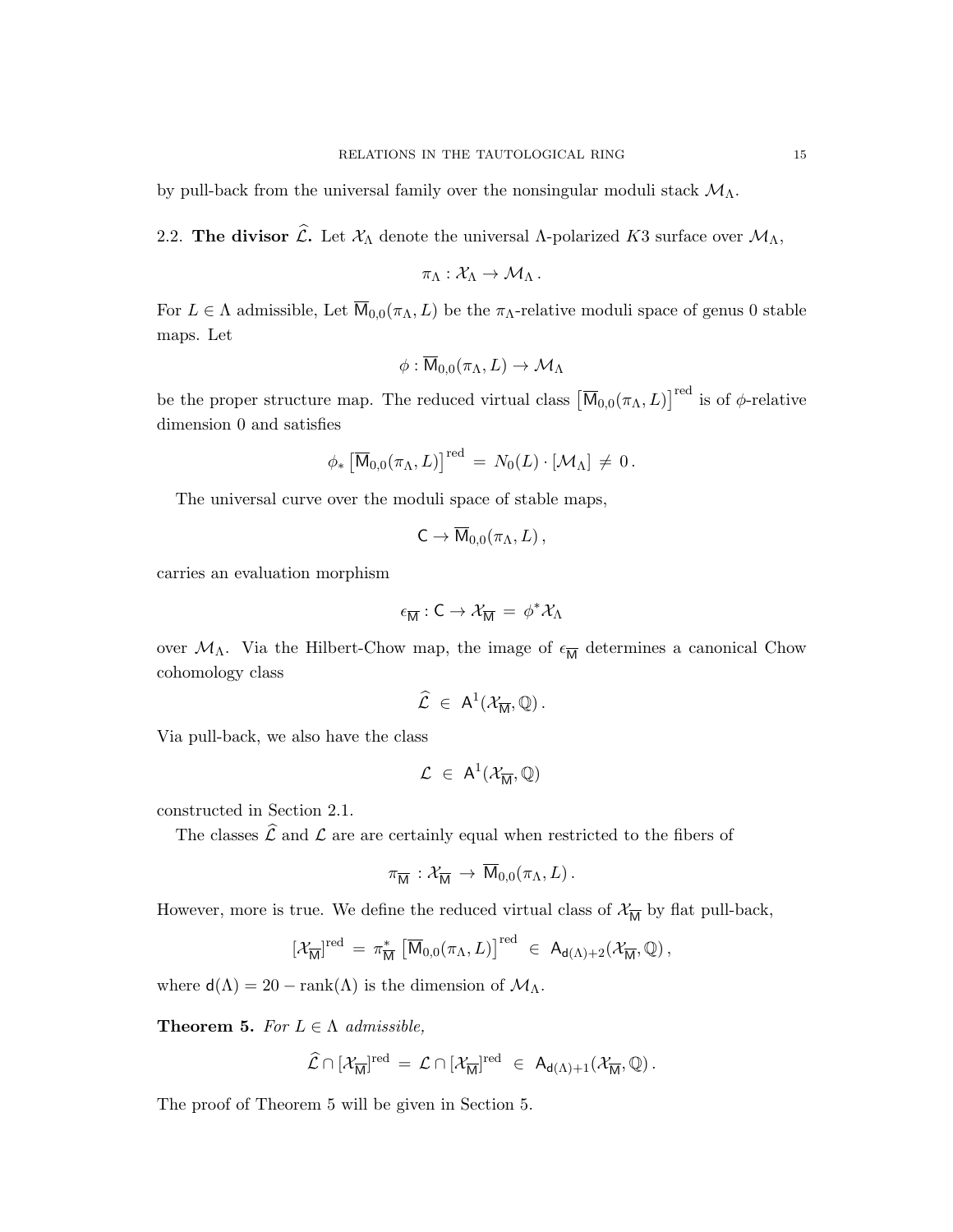by pull-back from the universal family over the nonsingular moduli stack  $\mathcal{M}_{\Lambda}$ .

2.2. The divisor  $\widehat{\mathcal{L}}$ . Let  $\mathcal{X}_{\Lambda}$  denote the universal  $\Lambda$ -polarized K3 surface over  $\mathcal{M}_{\Lambda}$ ,

$$
\pi_\Lambda: \mathcal{X}_\Lambda \to \mathcal{M}_\Lambda\,.
$$

For  $L \in \Lambda$  admissible, Let  $\overline{M}_{0,0}(\pi_{\Lambda}, L)$  be the  $\pi_{\Lambda}$ -relative moduli space of genus 0 stable maps. Let

$$
\phi:\overline{\mathrm{M}}_{0,0}(\pi_{\Lambda},L)\to \mathcal{M}_{\Lambda}
$$

be the proper structure map. The reduced virtual class  $[\overline{M}_{0,0}(\pi_{\Lambda}, L)]^{\text{red}}$  is of  $\phi$ -relative dimension 0 and satisfies

$$
\phi_* \left[ \overline{\mathsf{M}}_{0,0}(\pi_\Lambda, L) \right]^{\text{red}} = N_0(L) \cdot \left[ \mathcal{M}_\Lambda \right] \neq 0.
$$

The universal curve over the moduli space of stable maps,

$$
C \to \overline{M}_{0,0}(\pi_{\Lambda}, L) ,
$$

carries an evaluation morphism

$$
\epsilon_{\overline{M}}:C\to\mathcal{X}_{\overline{M}}=\,\phi^*\mathcal{X}_\Lambda
$$

over  $\mathcal{M}_{\Lambda}$ . Via the Hilbert-Chow map, the image of  $\epsilon_{\overline{M}}$  determines a canonical Chow cohomology class

$$
\widehat{\mathcal{L}} \ \in \ \mathsf{A}^1(\mathcal{X}_{\overline{\mathsf{M}}},\mathbb{Q})\,.
$$

Via pull-back, we also have the class

$$
\mathcal{L}~\in~A^1(\mathcal{X}_{\overline{M}},\mathbb{Q})
$$

constructed in Section 2.1.

The classes  $\widehat{\mathcal{L}}$  and  $\mathcal{L}$  are are certainly equal when restricted to the fibers of

$$
\pi_{\overline{\mathsf{M}}} : \mathcal{X}_{\overline{\mathsf{M}}} \to \overline{\mathsf{M}}_{0,0}(\pi_{\Lambda},L) .
$$

However, more is true. We define the reduced virtual class of  $\mathcal{X}_{\overline{M}}$  by flat pull-back,

$$
[\mathcal{X}_{\overline{\mathsf{M}}}]^{\text{red}} = \pi_{\overline{\mathsf{M}}}^{*} \left[ \overline{\mathsf{M}}_{0,0}(\pi_{\Lambda}, L) \right]^{\text{red}} \in \mathsf{A}_{\mathsf{d}(\Lambda) + 2}(\mathcal{X}_{\overline{\mathsf{M}}}, \mathbb{Q}),
$$

where  $d(\Lambda) = 20 - \text{rank}(\Lambda)$  is the dimension of  $\mathcal{M}_{\Lambda}$ .

**Theorem 5.** For  $L \in \Lambda$  admissible,

$$
\widehat{\mathcal{L}} \cap [\mathcal{X}_{\overline{M}}]^{\mathrm{red}} \, = \, \mathcal{L} \cap [\mathcal{X}_{\overline{M}}]^{\mathrm{red}} \ \in \ A_{d(\Lambda) + 1}(\mathcal{X}_{\overline{M}}, \mathbb{Q}) \, .
$$

The proof of Theorem 5 will be given in Section 5.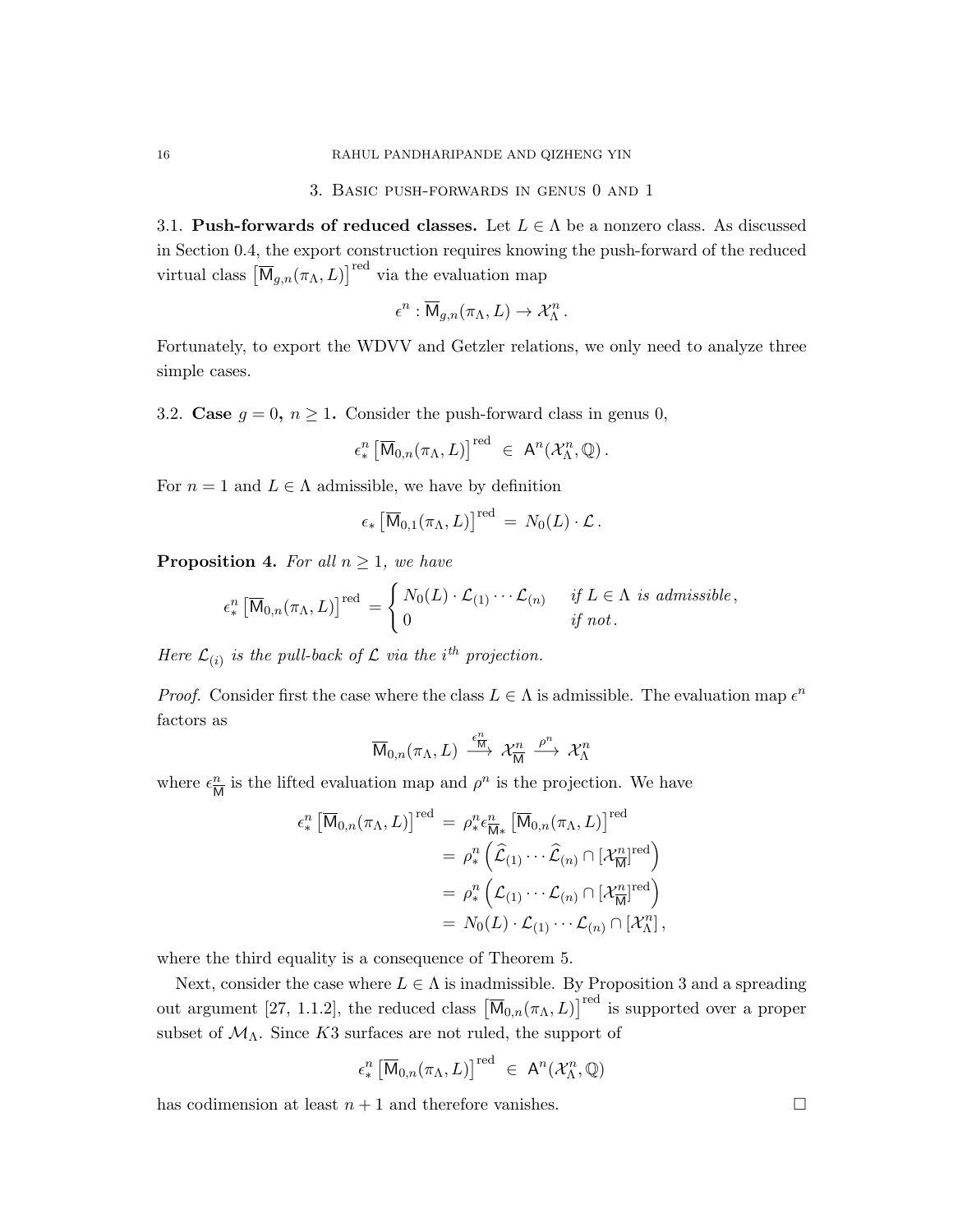3. Basic push-forwards in genus 0 and 1

3.1. Push-forwards of reduced classes. Let  $L \in \Lambda$  be a nonzero class. As discussed in Section 0.4, the export construction requires knowing the push-forward of the reduced virtual class  $\left[\overline{\mathsf{M}}_{g,n}(\pi_{\Lambda},L)\right]^{red}$  via the evaluation map

$$
\epsilon^n : \overline{\mathsf{M}}_{g,n}(\pi_\Lambda, L) \to \mathcal{X}_\Lambda^n.
$$

Fortunately, to export the WDVV and Getzler relations, we only need to analyze three simple cases.

3.2. Case  $g = 0$ ,  $n \ge 1$ . Consider the push-forward class in genus 0,

$$
\epsilon_*^n \left[ \overline{\mathsf{M}}_{0,n}(\pi_\Lambda,L) \right]^{red} \ \in \ \mathsf{A}^n(\mathcal{X}_\Lambda^n,\mathbb{Q}).
$$

For  $n = 1$  and  $L \in \Lambda$  admissible, we have by definition

$$
\epsilon_* \left[ \overline{\mathsf{M}}_{0,1}(\pi_\Lambda,L) \right]^{\text{red}} \,=\, N_0(L) \cdot \mathcal{L} \,.
$$

**Proposition 4.** For all  $n \geq 1$ , we have

$$
\epsilon_*^n \left[\overline{\mathsf{M}}_{0,n}(\pi_{\Lambda}, L)\right]^{\text{red}} = \begin{cases} N_0(L) \cdot \mathcal{L}_{(1)} \cdots \mathcal{L}_{(n)} & \text{if } L \in \Lambda \text{ is admissible,} \\ 0 & \text{if not.} \end{cases}
$$

Here  $\mathcal{L}_{(i)}$  is the pull-back of  $\mathcal L$  via the i<sup>th</sup> projection.

*Proof.* Consider first the case where the class  $L \in \Lambda$  is admissible. The evaluation map  $\epsilon^n$ factors as

$$
\overline{\mathrm{M}}_{0,n}(\pi_{\Lambda},L)\;\xrightarrow{\epsilon_{\overline{\mathrm{M}}}^{n}}\; \mathcal{X}_{\overline{\mathrm{M}}}^{n}\;\xrightarrow{\rho^{n}}\; \mathcal{X}_{\Lambda}^{n}
$$

where  $\epsilon_{\overline{n}}^n$  $\frac{n}{M}$  is the lifted evaluation map and  $\rho^n$  is the projection. We have

$$
\epsilon_{*}^{n} \left[\overline{\mathsf{M}}_{0,n}(\pi_{\Lambda}, L)\right]^{\text{red}} = \rho_{*}^{n} \epsilon_{\overline{\mathsf{M}}*}^{n} \left[\overline{\mathsf{M}}_{0,n}(\pi_{\Lambda}, L)\right]^{\text{red}} \n= \rho_{*}^{n} \left(\widehat{\mathcal{L}}_{(1)} \cdots \widehat{\mathcal{L}}_{(n)} \cap [\mathcal{X}_{\overline{\mathsf{M}}}^{n}]^{\text{red}}\right) \n= \rho_{*}^{n} \left(\mathcal{L}_{(1)} \cdots \mathcal{L}_{(n)} \cap [\mathcal{X}_{\overline{\mathsf{M}}}^{n}]^{\text{red}}\right) \n= N_{0}(L) \cdot \mathcal{L}_{(1)} \cdots \mathcal{L}_{(n)} \cap [\mathcal{X}_{\Lambda}^{n}],
$$

where the third equality is a consequence of Theorem 5.

Next, consider the case where  $L \in \Lambda$  is inadmissible. By Proposition 3 and a spreading out argument [27, 1.1.2], the reduced class  $\left[\overline{M}_{0,n}(\pi_{\Lambda},L)\right]^{red}$  is supported over a proper subset of  $\mathcal{M}_{\Lambda}$ . Since K3 surfaces are not ruled, the support of

$$
\epsilon_*^n \left[ \overline{\mathsf{M}}_{0,n}(\pi_\Lambda, L) \right]^{\text{red}} \ \in \ \mathsf{A}^n(\mathcal{X}_\Lambda^n, \mathbb{Q})
$$

has codimension at least  $n + 1$  and therefore vanishes.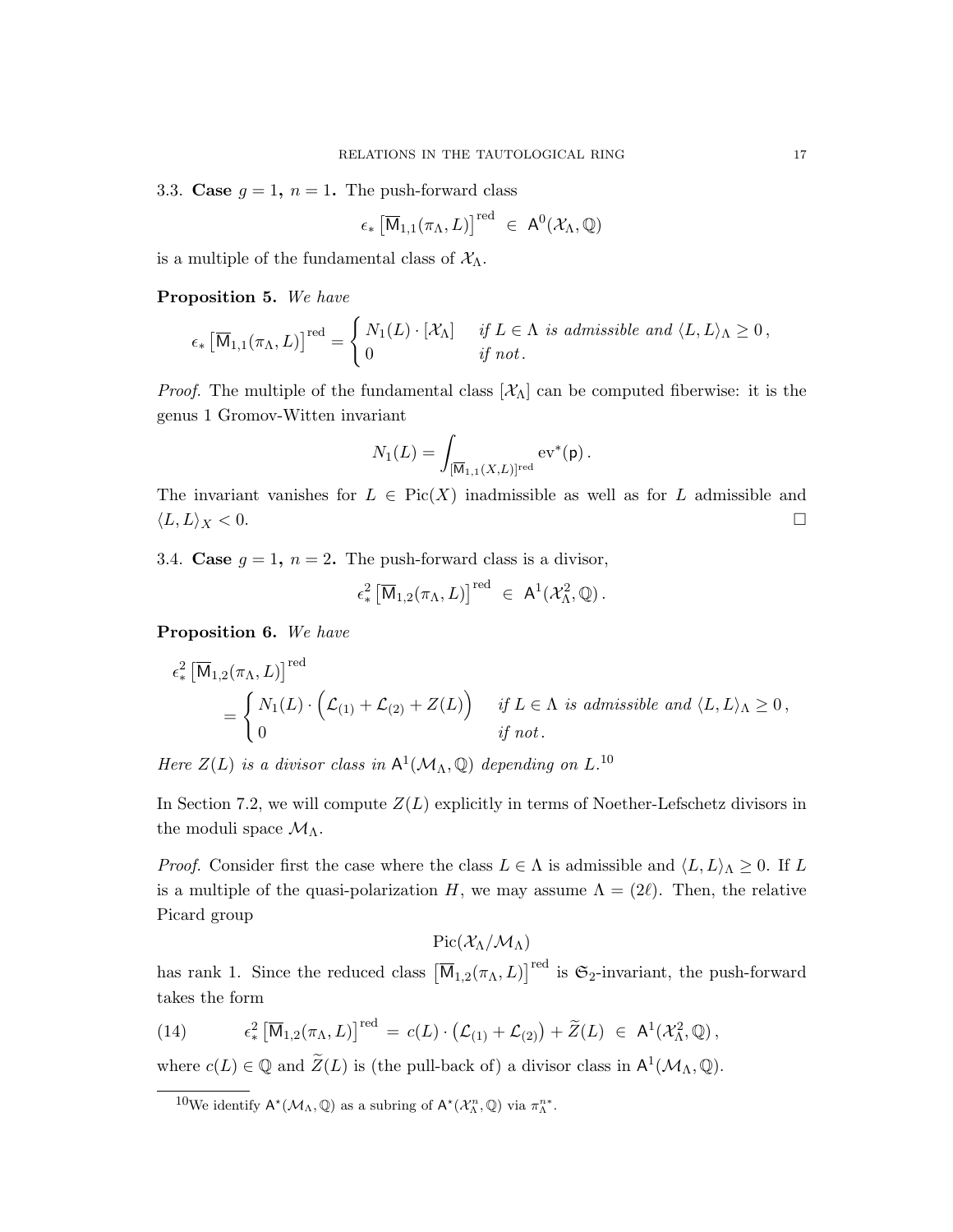3.3. Case  $g = 1$ ,  $n = 1$ . The push-forward class

$$
\epsilon_* \left[ \overline{\mathsf{M}}_{1,1}(\pi_{\Lambda}, L) \right]^{\text{red}} \ \in \ \mathsf{A}^0(\mathcal{X}_{\Lambda}, \mathbb{Q})
$$

is a multiple of the fundamental class of  $X_{\Lambda}$ .

Proposition 5. We have

$$
\epsilon_* \left[ \overline{\mathsf{M}}_{1,1}(\pi_\Lambda,L) \right]^{\text{red}} = \begin{cases} N_1(L) \cdot [\mathcal{X}_\Lambda] & \text{if } L \in \Lambda \text{ is admissible and } \langle L,L \rangle_\Lambda \geq 0, \\ 0 & \text{if not.} \end{cases}
$$

*Proof.* The multiple of the fundamental class  $[\mathcal{X}_\Lambda]$  can be computed fiberwise: it is the genus 1 Gromov-Witten invariant

$$
N_1(L) = \int_{[\overline{\mathsf{M}}_{1,1}(X,L)]^{\mathrm{red}}} \mathrm{ev}^*(\mathsf{p})\,.
$$

The invariant vanishes for  $L \in Pic(X)$  inadmissible as well as for L admissible and  $\langle L, L \rangle_X < 0.$ 

3.4. Case  $g = 1$ ,  $n = 2$ . The push-forward class is a divisor,

$$
\epsilon^2_* \left[ \overline{\mathsf{M}}_{1,2}(\pi_\Lambda,L) \right]^{\text{red}} \; \in \; \mathsf{A}^1(\mathcal{X}_\Lambda^2,\mathbb{Q}) \, .
$$

Proposition 6. We have

$$
\epsilon_*^2 \left[ \overline{\mathsf{M}}_{1,2}(\pi_\Lambda, L) \right]^{red} = \begin{cases} N_1(L) \cdot \left( \mathcal{L}_{(1)} + \mathcal{L}_{(2)} + Z(L) \right) & \text{if } L \in \Lambda \text{ is admissible and } \langle L, L \rangle_\Lambda \geq 0, \\ 0 & \text{if not.} \end{cases}
$$

Here  $Z(L)$  is a divisor class in  $\mathsf{A}^1(\mathcal{M}_\Lambda, \mathbb{Q})$  depending on  $L^{10}$ .

In Section 7.2, we will compute  $Z(L)$  explicitly in terms of Noether-Lefschetz divisors in the moduli space  $\mathcal{M}_{\Lambda}$ .

*Proof.* Consider first the case where the class  $L \in \Lambda$  is admissible and  $\langle L, L \rangle_{\Lambda} \geq 0$ . If L is a multiple of the quasi-polarization H, we may assume  $\Lambda = (2\ell)$ . Then, the relative Picard group

 $Pic(\mathcal{X}_{\Lambda}/\mathcal{M}_{\Lambda})$ 

has rank 1. Since the reduced class  $[\overline{M}_{1,2}(\pi_{\Lambda}, L)]^{\text{red}}$  is  $\mathfrak{S}_2$ -invariant, the push-forward takes the form

(14) 
$$
\epsilon_*^2 \left[ \overline{\mathsf{M}}_{1,2}(\pi_\Lambda, L) \right]^{red} = c(L) \cdot \left( \mathcal{L}_{(1)} + \mathcal{L}_{(2)} \right) + \widetilde{Z}(L) \in \mathsf{A}^1(\mathcal{X}_\Lambda^2, \mathbb{Q}),
$$

where  $c(L) \in \mathbb{Q}$  and  $\widetilde{Z}(L)$  is (the pull-back of) a divisor class in  $\mathsf{A}^1(\mathcal{M}_\Lambda, \mathbb{Q})$ .

<sup>&</sup>lt;sup>10</sup>We identify  $A^*(\mathcal{M}_\Lambda, \mathbb{Q})$  as a subring of  $A^*(\mathcal{X}_\Lambda^n, \mathbb{Q})$  via  $\pi_\Lambda^{n*}$ .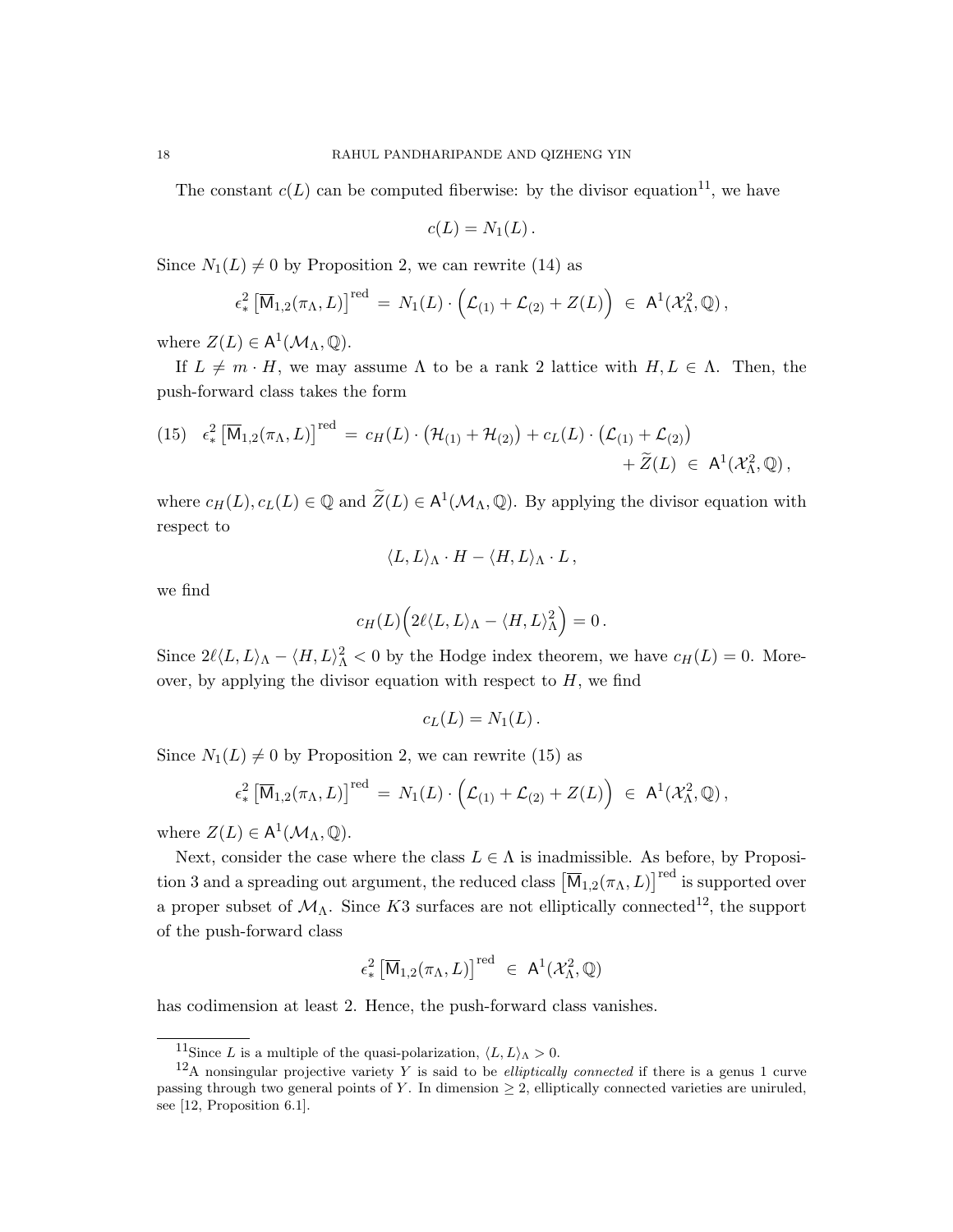The constant  $c(L)$  can be computed fiberwise: by the divisor equation<sup>11</sup>, we have

$$
c(L)=N_1(L).
$$

Since  $N_1(L) \neq 0$  by Proposition 2, we can rewrite (14) as

$$
\epsilon^2_* \left[ \overline{\mathsf{M}}_{1,2}(\pi_\Lambda,L) \right]^{\text{red}} = N_1(L) \cdot \left( \mathcal{L}_{(1)} + \mathcal{L}_{(2)} + Z(L) \right) \in \mathsf{A}^1(\mathcal{X}_\Lambda^2,\mathbb{Q}),
$$

where  $Z(L) \in A^1(\mathcal{M}_\Lambda, \mathbb{Q})$ .

If  $L \neq m \cdot H$ , we may assume  $\Lambda$  to be a rank 2 lattice with  $H, L \in \Lambda$ . Then, the push-forward class takes the form

(15) 
$$
\epsilon_*^2 \left[ \overline{\mathsf{M}}_{1,2}(\pi_{\Lambda}, L) \right]^{\text{red}} = c_H(L) \cdot \left( \mathcal{H}_{(1)} + \mathcal{H}_{(2)} \right) + c_L(L) \cdot \left( \mathcal{L}_{(1)} + \mathcal{L}_{(2)} \right) + \widetilde{Z}(L) \in \mathsf{A}^1(\mathcal{X}_{\Lambda}^2, \mathbb{Q}),
$$

where  $c_H(L), c_L(L) \in \mathbb{Q}$  and  $\widetilde{Z}(L) \in A^1(\mathcal{M}_{\Lambda}, \mathbb{Q})$ . By applying the divisor equation with respect to

$$
\langle L, L \rangle_{\Lambda} \cdot H - \langle H, L \rangle_{\Lambda} \cdot L,
$$

we find

$$
c_H(L)\Big(2\ell\langle L,L\rangle_\Lambda-\langle H,L\rangle_\Lambda^2\Big)=0\,.
$$

Since  $2\ell \langle L, L \rangle_{\Lambda} - \langle H, L \rangle_{\Lambda}^2 < 0$  by the Hodge index theorem, we have  $c_H(L) = 0$ . Moreover, by applying the divisor equation with respect to  $H$ , we find

$$
c_L(L)=N_1(L).
$$

Since  $N_1(L) \neq 0$  by Proposition 2, we can rewrite (15) as

$$
\epsilon^2_* \left[ \overline{\mathsf{M}}_{1,2}(\pi_\Lambda,L) \right]^{\text{red}} \,=\, N_1(L) \cdot \Big( \mathcal{L}_{(1)} + \mathcal{L}_{(2)} + Z(L) \Big) \;\in\; \mathsf{A}^1(\mathcal{X}_\Lambda^2,\mathbb{Q})\,,
$$

where  $Z(L) \in A^1(\mathcal{M}_\Lambda, \mathbb{Q})$ .

Next, consider the case where the class  $L \in \Lambda$  is inadmissible. As before, by Proposition 3 and a spreading out argument, the reduced class  $[\overline{M}_{1,2}(\pi_{\Lambda}, L)]^{\text{red}}$  is supported over a proper subset of  $\mathcal{M}_{\Lambda}$ . Since K3 surfaces are not elliptically connected<sup>12</sup>, the support of the push-forward class

$$
\epsilon^2_* \left[ \overline{\mathsf{M}}_{1,2}(\pi_\Lambda,L) \right]^{\text{red}} \ \in \ \mathsf{A}^1(\mathcal{X}_\Lambda^2,\mathbb{Q})
$$

has codimension at least 2. Hence, the push-forward class vanishes.

<sup>&</sup>lt;sup>11</sup>Since L is a multiple of the quasi-polarization,  $\langle L, L \rangle_{\Lambda} > 0$ .

<sup>&</sup>lt;sup>12</sup>A nonsingular projective variety Y is said to be *elliptically connected* if there is a genus 1 curve passing through two general points of Y. In dimension  $\geq$  2, elliptically connected varieties are uniruled, see [12, Proposition 6.1].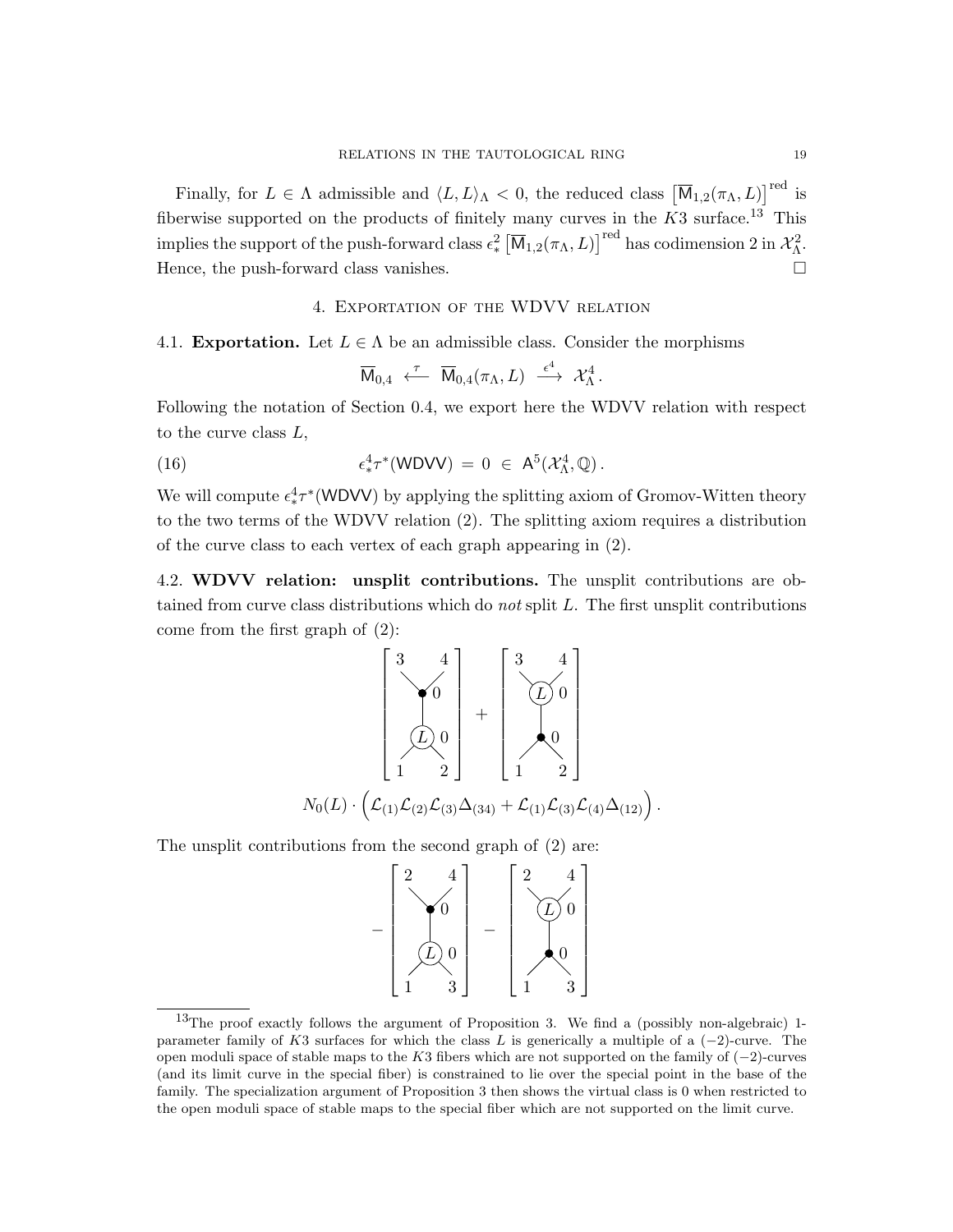Finally, for  $L \in \Lambda$  admissible and  $\langle L, L \rangle_{\Lambda} < 0$ , the reduced class  $\left[\overline{M}_{1,2}(\pi_{\Lambda}, L)\right]^{red}$  is fiberwise supported on the products of finitely many curves in the  $K3$  surface.<sup>13</sup> This implies the support of the push-forward class  $\epsilon^2_* \left[\overline{\mathsf{M}}_{1,2}(\pi_\Lambda,L)\right]^\mathrm{red}$  has codimension 2 in  $\mathcal{X}_\Lambda^2$ . Hence, the push-forward class vanishes.

### 4. Exportation of the WDVV relation

### 4.1. **Exportation.** Let  $L \in \Lambda$  be an admissible class. Consider the morphisms

$$
\overline{\mathsf{M}}_{0,4}\;\stackrel{\tau}{\longleftarrow}\;\overline{\mathsf{M}}_{0,4}(\pi_\Lambda,L)\;\stackrel{\epsilon^4}{\longrightarrow}\; \mathcal{X}_\Lambda^4\,.
$$

Following the notation of Section 0.4, we export here the WDVV relation with respect to the curve class  $L$ ,

(16) 
$$
\epsilon^4_* \tau^* (WDVV) = 0 \in A^5(\mathcal{X}_\Lambda^4, \mathbb{Q}).
$$

We will compute  $\epsilon_*^4 \tau^*$  (WDVV) by applying the splitting axiom of Gromov-Witten theory to the two terms of the WDVV relation (2). The splitting axiom requires a distribution of the curve class to each vertex of each graph appearing in (2).

4.2. WDVV relation: unsplit contributions. The unsplit contributions are obtained from curve class distributions which do *not* split  $L$ . The first unsplit contributions come from the first graph of (2):



The unsplit contributions from the second graph of (2) are:



<sup>&</sup>lt;sup>13</sup>The proof exactly follows the argument of Proposition 3. We find a (possibly non-algebraic) 1parameter family of K3 surfaces for which the class L is generically a multiple of a  $(-2)$ -curve. The open moduli space of stable maps to the K3 fibers which are not supported on the family of  $(-2)$ -curves (and its limit curve in the special fiber) is constrained to lie over the special point in the base of the family. The specialization argument of Proposition 3 then shows the virtual class is 0 when restricted to the open moduli space of stable maps to the special fiber which are not supported on the limit curve.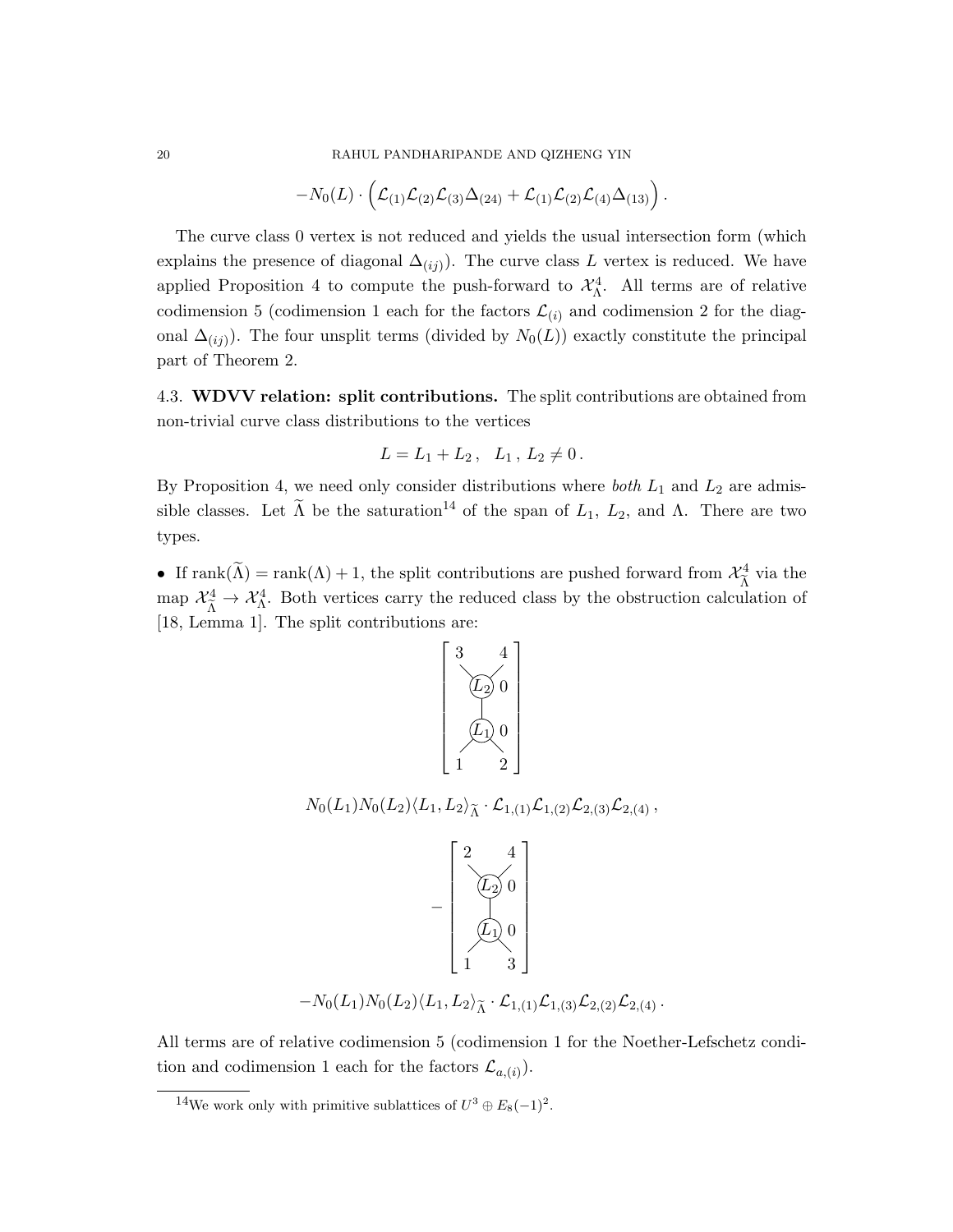$$
-N_0(L) \cdot \left( \mathcal{L}_{(1)} \mathcal{L}_{(2)} \mathcal{L}_{(3)} \Delta_{(24)} + \mathcal{L}_{(1)} \mathcal{L}_{(2)} \mathcal{L}_{(4)} \Delta_{(13)} \right).
$$

The curve class 0 vertex is not reduced and yields the usual intersection form (which explains the presence of diagonal  $\Delta_{(ij)}$ ). The curve class L vertex is reduced. We have applied Proposition 4 to compute the push-forward to  $\mathcal{X}_{\Lambda}^4$ . All terms are of relative codimension 5 (codimension 1 each for the factors  $\mathcal{L}_{(i)}$  and codimension 2 for the diagonal  $\Delta_{(ij)}$ ). The four unsplit terms (divided by  $N_0(L)$ ) exactly constitute the principal part of Theorem 2.

4.3. WDVV relation: split contributions. The split contributions are obtained from non-trivial curve class distributions to the vertices

$$
L = L_1 + L_2, \quad L_1, L_2 \neq 0.
$$

By Proposition 4, we need only consider distributions where *both*  $L_1$  and  $L_2$  are admissible classes. Let  $\widetilde{\Lambda}$  be the saturation<sup>14</sup> of the span of  $L_1$ ,  $L_2$ , and  $\Lambda$ . There are two types.

• If rank $(\tilde{\Lambda})$  = rank $(\Lambda)$  + 1, the split contributions are pushed forward from  $\mathcal{X}_{\tilde{\Lambda}}^4$  $\frac{a}{\tilde{\Lambda}}$  via the map  $\mathcal{X}_{\tilde{\Lambda}}^4 \to \mathcal{X}_{\Lambda}^4$ . Both vertices carry the reduced class by the obstruction calculation of [18, Lemma 1]. The split contributions are:



 $N_0(L_1)N_0(L_2)\langle L_1, L_2\rangle_{\widetilde{\Lambda}}\cdot {\mathcal L}_{1,(1)} {\mathcal L}_{1,(2)} {\mathcal L}_{2,(3)} {\mathcal L}_{2,(4)}\,,$ 



 $-N_0(L_1)N_0(L_2)\langle L_1, L_2\rangle_{\widetilde{\Lambda}}\cdot \mathcal{L}_{1,(1)}\mathcal{L}_{1,(3)}\mathcal{L}_{2,(2)}\mathcal{L}_{2,(4)}$ .

All terms are of relative codimension 5 (codimension 1 for the Noether-Lefschetz condition and codimension 1 each for the factors  $\mathcal{L}_{a,(i)}$ .

<sup>&</sup>lt;sup>14</sup>We work only with primitive sublattices of  $U^3 \oplus E_8(-1)^2$ .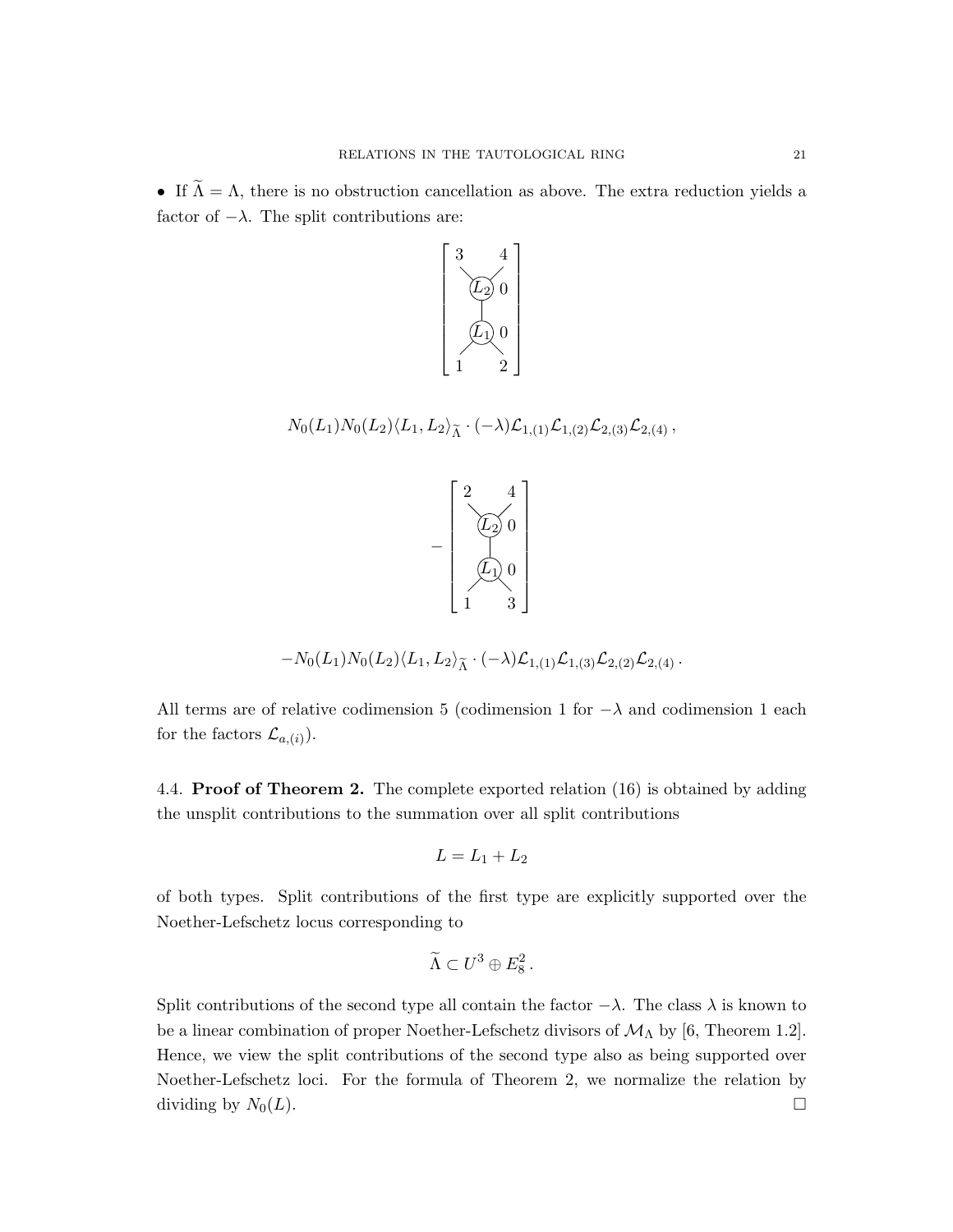• If  $\tilde{\Lambda} = \Lambda$ , there is no obstruction cancellation as above. The extra reduction yields a factor of  $-\lambda$ . The split contributions are:



 $N_0(L_1)N_0(L_2)\langle L_1, L_2\rangle_{\tilde{\Lambda}}\cdot(-\lambda)\mathcal{L}_{1,(1)}\mathcal{L}_{1,(2)}\mathcal{L}_{2,(3)}\mathcal{L}_{2,(4)},$ 



$$
-N_0(L_1)N_0(L_2)\langle L_1,L_2\rangle_{\widetilde{\Lambda}}\cdot(-\lambda)\mathcal{L}_{1,(1)}\mathcal{L}_{1,(3)}\mathcal{L}_{2,(2)}\mathcal{L}_{2,(4)}.
$$

All terms are of relative codimension 5 (codimension 1 for  $-\lambda$  and codimension 1 each for the factors  $\mathcal{L}_{a,(i)}$ ).

4.4. Proof of Theorem 2. The complete exported relation (16) is obtained by adding the unsplit contributions to the summation over all split contributions

$$
L=L_1+L_2
$$

of both types. Split contributions of the first type are explicitly supported over the Noether-Lefschetz locus corresponding to

$$
\widetilde{\Lambda} \subset U^3 \oplus E_8^2 \, .
$$

Split contributions of the second type all contain the factor  $-\lambda$ . The class  $\lambda$  is known to be a linear combination of proper Noether-Lefschetz divisors of  $\mathcal{M}_{\Lambda}$  by [6, Theorem 1.2]. Hence, we view the split contributions of the second type also as being supported over Noether-Lefschetz loci. For the formula of Theorem 2, we normalize the relation by dividing by  $N_0(L)$ .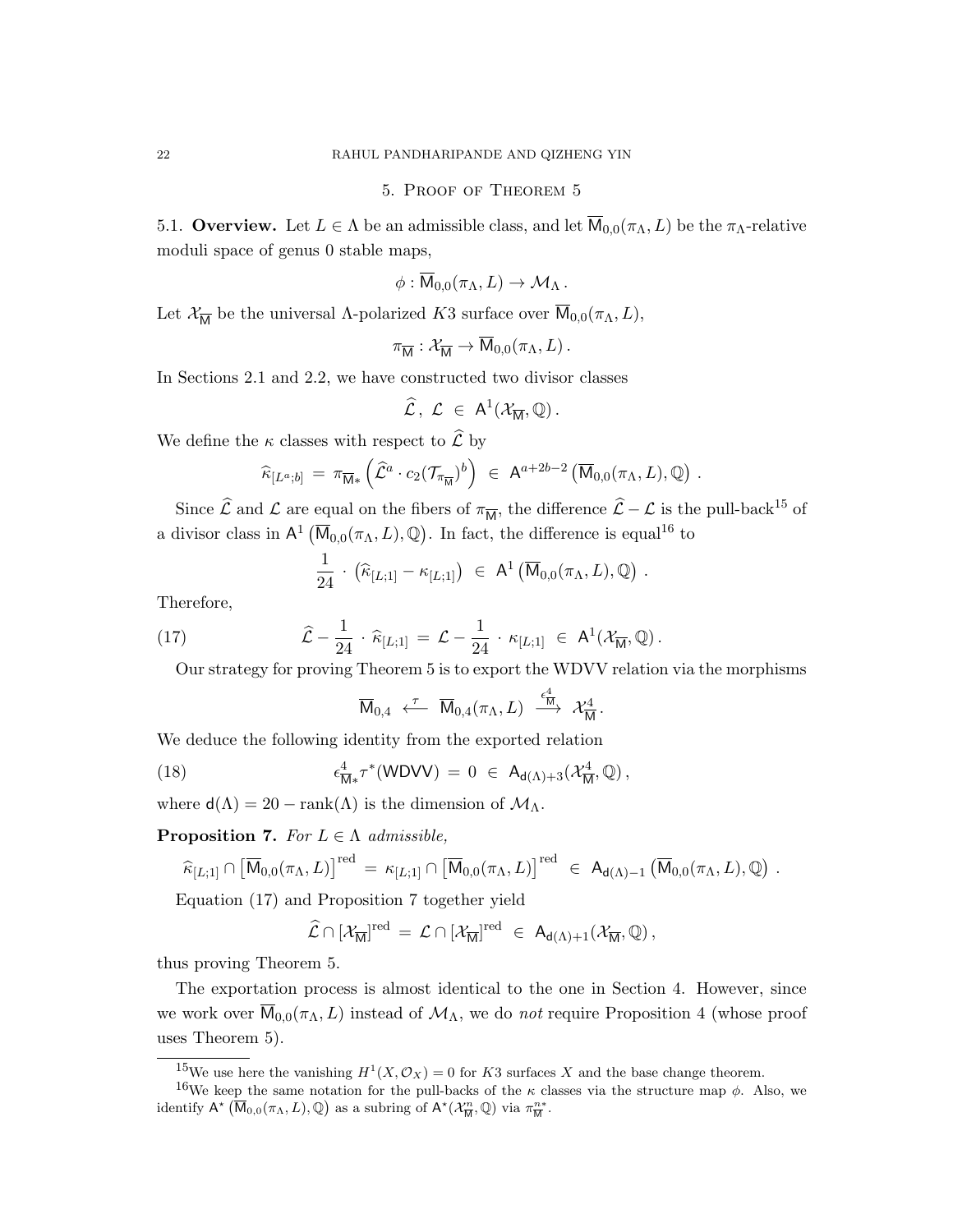#### 5. Proof of Theorem 5

5.1. Overview. Let  $L \in \Lambda$  be an admissible class, and let  $\overline{M}_{0,0}(\pi_{\Lambda}, L)$  be the  $\pi_{\Lambda}$ -relative moduli space of genus 0 stable maps,

$$
\phi:\overline{\mathsf{M}}_{0,0}(\pi_{\Lambda},L)\to \mathcal{M}_{\Lambda}.
$$

Let  $\mathcal{X}_{\overline{M}}$  be the universal  $\Lambda$ -polarized K3 surface over  $\overline{M}_{0,0}(\pi_{\Lambda}, L)$ ,

$$
\pi_{\overline{\mathsf{M}}} : \mathcal{X}_{\overline{\mathsf{M}}} \to \overline{\mathsf{M}}_{0,0}(\pi_{\Lambda}, L) .
$$

In Sections 2.1 and 2.2, we have constructed two divisor classes

$$
\widehat{\mathcal{L}}, \ \mathcal{L} \ \in \ \mathsf{A}^1(\mathcal{X}_{\overline{\mathsf{M}}}, \mathbb{Q}).
$$

We define the  $\kappa$  classes with respect to  $\widehat{\mathcal{L}}$  by

$$
\widehat{\kappa}_{[L^a;b]} = \pi_{\overline{\mathsf{M}}*} \left( \widehat{\mathcal{L}}^a \cdot c_2(\mathcal{T}_{\pi_{\overline{\mathsf{M}}}})^b \right) \in \mathsf{A}^{a+2b-2} \left( \overline{\mathsf{M}}_{0,0}(\pi_{\Lambda}, L), \mathbb{Q} \right) .
$$

Since  $\hat{\mathcal{L}}$  and  $\mathcal{L}$  are equal on the fibers of  $\pi_{\overline{M}}$ , the difference  $\hat{\mathcal{L}} - \mathcal{L}$  is the pull-back<sup>15</sup> of a divisor class in  $\mathsf{A}^1(\overline{\mathsf{M}}_{0,0}(\pi_{\Lambda}, L), \mathbb{Q})$ . In fact, the difference is equal<sup>16</sup> to

$$
\frac{1}{24} \cdot (\widehat{\kappa}_{[L;1]} - \kappa_{[L;1]}) \in A^1(\overline{\mathsf{M}}_{0,0}(\pi_{\Lambda}, L), \mathbb{Q}) .
$$

Therefore,

(17) 
$$
\widehat{\mathcal{L}} - \frac{1}{24} \cdot \widehat{\kappa}_{[L;1]} = \mathcal{L} - \frac{1}{24} \cdot \kappa_{[L;1]} \in A^1(\mathcal{X}_{\overline{M}}, \mathbb{Q}).
$$

Our strategy for proving Theorem 5 is to export the WDVV relation via the morphisms

$$
\overline{\mathsf{M}}_{0,4}\;\stackrel{\tau}{\longleftarrow}\;\overline{\mathsf{M}}_{0,4}(\pi_\Lambda,L)\;\stackrel{\epsilon_\mathsf{M}^4}{\longrightarrow}\; \mathcal{X}_{\overline{\mathsf{M}}}^4\,.
$$

We deduce the following identity from the exported relation

(18) 
$$
\epsilon^4_{\overline{M}*}\tau^*(WDVV) = 0 \in A_{d(\Lambda)+3}(\mathcal{X}_{\overline{M}}^4,\mathbb{Q}),
$$

where  $d(\Lambda) = 20 - \text{rank}(\Lambda)$  is the dimension of  $\mathcal{M}_{\Lambda}$ .

**Proposition 7.** For  $L \in \Lambda$  admissible,

$$
\widehat{\kappa}_{[L;1]}\cap\left[\overline{\mathsf{M}}_{0,0}(\pi_\Lambda,L)\right]^\mathrm{red}\,=\,\kappa_{[L;1]}\cap\left[\overline{\mathsf{M}}_{0,0}(\pi_\Lambda,L)\right]^\mathrm{red}\;\in\;\mathsf{A}_{\mathsf{d}(\Lambda)-1}\left(\overline{\mathsf{M}}_{0,0}(\pi_\Lambda,L),\mathbb{Q}\right)\,.
$$

Equation (17) and Proposition 7 together yield

$$
\widehat{\mathcal{L}}\cap [\mathcal{X}_{\overline{M}}]^{\mathrm{red}}\,=\,\mathcal{L}\cap [\mathcal{X}_{\overline{M}}]^{\mathrm{red}}\,\,\in\,\,A_{d(\Lambda)+1}(\mathcal{X}_{\overline{M}},\mathbb{Q})\,,
$$

thus proving Theorem 5.

The exportation process is almost identical to the one in Section 4. However, since we work over  $\overline{M}_{0,0}(\pi_{\Lambda}, L)$  instead of  $\mathcal{M}_{\Lambda}$ , we do *not* require Proposition 4 (whose proof uses Theorem 5).

<sup>&</sup>lt;sup>15</sup>We use here the vanishing  $H^1(X, \mathcal{O}_X) = 0$  for K3 surfaces X and the base change theorem.

<sup>&</sup>lt;sup>16</sup>We keep the same notation for the pull-backs of the  $\kappa$  classes via the structure map  $\phi$ . Also, we identify  $A^{\star}(\overline{\mathsf{M}}_{0,0}(\pi_{\Lambda},L),\mathbb{Q})$  as a subring of  $A^{\star}(\mathcal{X}_{\overline{\mathsf{M}}}^n,\mathbb{Q})$  via  $\pi_{\overline{\mathsf{M}}}^{n*}$ .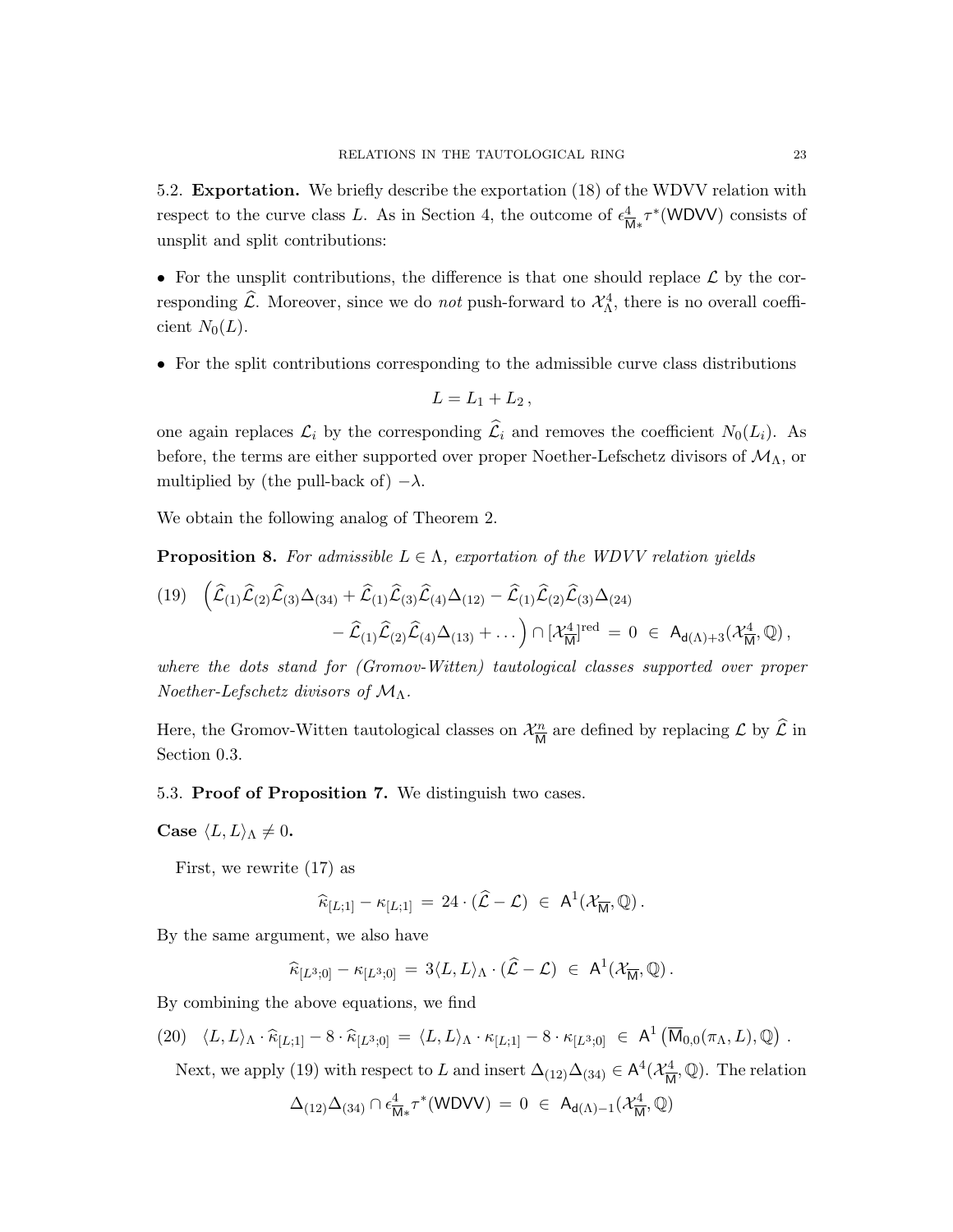5.2. Exportation. We briefly describe the exportation (18) of the WDVV relation with respect to the curve class L. As in Section 4, the outcome of  $\epsilon_{\overline{k}}^4$  $\frac{4}{M_*}\tau^*(WDVV)$  consists of unsplit and split contributions:

• For the unsplit contributions, the difference is that one should replace  $\mathcal L$  by the corresponding  $\widehat{\mathcal{L}}$ . Moreover, since we do *not* push-forward to  $\mathcal{X}_{\Lambda}^4$ , there is no overall coefficient  $N_0(L)$ .

• For the split contributions corresponding to the admissible curve class distributions

$$
L=L_1+L_2,
$$

one again replaces  $\mathcal{L}_i$  by the corresponding  $\widehat{\mathcal{L}}_i$  and removes the coefficient  $N_0(L_i)$ . As before, the terms are either supported over proper Noether-Lefschetz divisors of  $\mathcal{M}_{\Lambda}$ , or multiplied by (the pull-back of)  $-\lambda$ .

We obtain the following analog of Theorem 2.

**Proposition 8.** For admissible  $L \in \Lambda$ , exportation of the WDVV relation yields

$$
\begin{aligned} (19) \quad & \left(\widehat{\mathcal{L}}_{(1)}\widehat{\mathcal{L}}_{(2)}\widehat{\mathcal{L}}_{(3)}\Delta_{(34)} + \widehat{\mathcal{L}}_{(1)}\widehat{\mathcal{L}}_{(3)}\widehat{\mathcal{L}}_{(4)}\Delta_{(12)} - \widehat{\mathcal{L}}_{(1)}\widehat{\mathcal{L}}_{(2)}\widehat{\mathcal{L}}_{(3)}\Delta_{(24)} \right. \\ & \left. - \widehat{\mathcal{L}}_{(1)}\widehat{\mathcal{L}}_{(2)}\widehat{\mathcal{L}}_{(4)}\Delta_{(13)} + \dots \right) \cap \left[\mathcal{X}_{\overline{\mathsf{M}}}^{\underline{4}}\right]^{\mathrm{red}} \, = \, 0 \; \in \; \mathsf{A}_{\mathsf{d}(\Lambda) + 3}(\mathcal{X}_{\overline{\mathsf{M}}}^{\underline{4}},\mathbb{Q}) \, , \end{aligned}
$$

where the dots stand for (Gromov-Witten) tautological classes supported over proper Noether-Lefschetz divisors of  $\mathcal{M}_{\Lambda}$ .

Here, the Gromov-Witten tautological classes on  $\mathcal{X}_{\overline{M}}^n$  $\frac{m}{M}$  are defined by replacing  $\mathcal L$  by  $\mathcal L$  in Section 0.3.

### 5.3. Proof of Proposition 7. We distinguish two cases.

Case  $\langle L, L \rangle_{\Lambda} \neq 0$ .

First, we rewrite (17) as

$$
\widehat{\kappa}_{[L;1]} - \kappa_{[L;1]} = 24 \cdot (\widehat{\mathcal{L}} - \mathcal{L}) \in \mathsf{A}^1(\mathcal{X}_{\overline{\mathsf{M}}}, \mathbb{Q}).
$$

By the same argument, we also have

$$
\widehat{\kappa}_{[L^3;0]} - \kappa_{[L^3;0]} = 3\langle L, L\rangle_{\Lambda} \cdot (\widehat{\mathcal{L}} - \mathcal{L}) \in \mathsf{A}^1(\mathcal{X}_{\overline{\mathsf{M}}}, \mathbb{Q}).
$$

By combining the above equations, we find

$$
(20) \quad \langle L, L \rangle_{\Lambda} \cdot \widehat{\kappa}_{[L;1]} - 8 \cdot \widehat{\kappa}_{[L^3;0]} = \langle L, L \rangle_{\Lambda} \cdot \kappa_{[L;1]} - 8 \cdot \kappa_{[L^3;0]} \in A^1 \left( \overline{M}_{0,0}(\pi_{\Lambda}, L), \mathbb{Q} \right).
$$

Next, we apply (19) with respect to L and insert  $\Delta_{(12)}\Delta_{(34)} \in A^4(\mathcal{X}_{\overline{M}}^4)$  $\frac{d^4}{M}, \mathbb{Q}$ . The relation

$$
\Delta_{(12)}\Delta_{(34)}\cap \epsilon^4_{\overline{\mathsf{M}}*}\tau^*(\mathsf{WDVV})\,=\,0\;\in\; \mathsf{A}_{\mathsf{d}(\Lambda)-1}(\mathcal{X}^4_{\overline{\mathsf{M}}},\mathbb{Q})
$$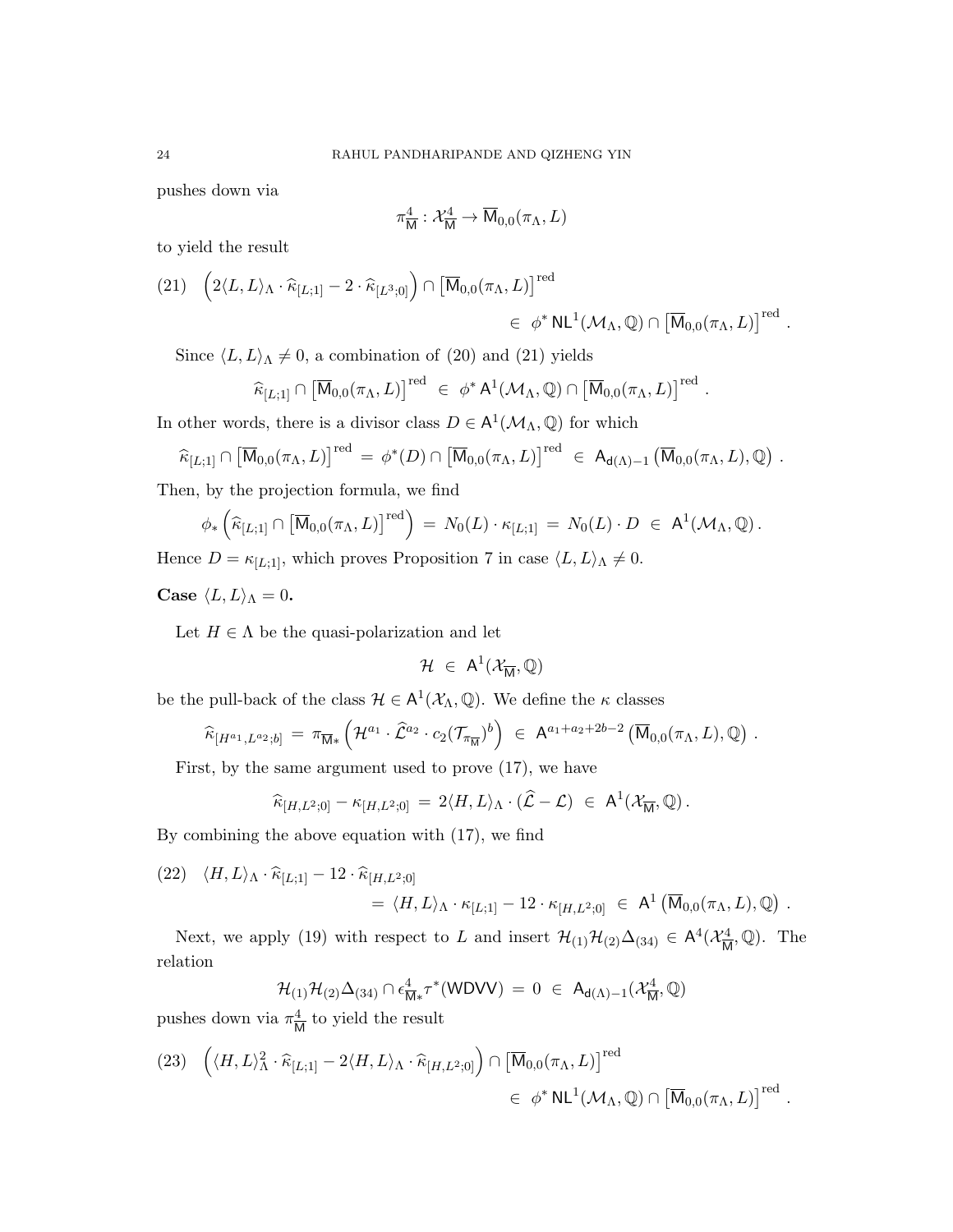pushes down via

$$
\pi_{\overline{\mathsf{M}}}^{4}:\mathcal{X}_{\overline{\mathsf{M}}}^{4}\rightarrow\overline{\mathsf{M}}_{0,0}(\pi_{\Lambda},L)
$$

to yield the result

$$
(21) \quad \left(2\langle L, L\rangle_{\Lambda} \cdot \widehat{\kappa}_{[L;1]} - 2 \cdot \widehat{\kappa}_{[L^3;0]}\right) \cap \left[\overline{\mathsf{M}}_{0,0}(\pi_{\Lambda}, L)\right]^{\text{red}} \\ \in \phi^* \mathsf{NL}^1(\mathcal{M}_{\Lambda}, \mathbb{Q}) \cap \left[\overline{\mathsf{M}}_{0,0}(\pi_{\Lambda}, L)\right]^{\text{red}}.
$$

Since  $\langle L, L \rangle_{\Lambda} \neq 0$ , a combination of (20) and (21) yields

$$
\widehat{\kappa}_{[L;1]} \cap \left[ \overline{\mathsf{M}}_{0,0}(\pi_{\Lambda},L) \right]^{\text{red}} \in \phi^* \mathsf{A}^1(\mathcal{M}_{\Lambda},\mathbb{Q}) \cap \left[ \overline{\mathsf{M}}_{0,0}(\pi_{\Lambda},L) \right]^{\text{red}}.
$$

In other words, there is a divisor class  $D \in A^1(\mathcal{M}_\Lambda, \mathbb{Q})$  for which

$$
\widehat{\kappa}_{[L;1]} \cap \left[\overline{\mathsf{M}}_{0,0}(\pi_{\Lambda},L)\right]^{\text{red}} = \phi^*(D) \cap \left[\overline{\mathsf{M}}_{0,0}(\pi_{\Lambda},L)\right]^{\text{red}} \in \mathsf{A}_{d(\Lambda)-1} \left(\overline{\mathsf{M}}_{0,0}(\pi_{\Lambda},L),\mathbb{Q}\right).
$$

Then, by the projection formula, we find

$$
\phi_*\left(\widehat{\kappa}_{[L;1]}\cap\left[\overline{\mathsf{M}}_{0,0}(\pi_\Lambda,L)\right]^\mathrm{red}\right) = N_0(L)\cdot\kappa_{[L;1]} = N_0(L)\cdot D \in \mathsf{A}^1(\mathcal{M}_\Lambda,\mathbb{Q})\,.
$$

Hence  $D = \kappa_{[L;1]}$ , which proves Proposition 7 in case  $\langle L, L \rangle_{\Lambda} \neq 0$ .

Case  $\langle L, L \rangle_{\Lambda} = 0$ .

Let  $H \in \Lambda$  be the quasi-polarization and let

$$
\mathcal{H}~\in~A^1(\mathcal{X}_{\overline{M}},\mathbb{Q})
$$

be the pull-back of the class  $\mathcal{H} \in A^1(\mathcal{X}_\Lambda, \mathbb{Q})$ . We define the  $\kappa$  classes

$$
\widehat{\kappa}_{[H^{a_1},L^{a_2};b]} = \pi_{\overline{\mathsf{M}}*}\left(\mathcal{H}^{a_1}\cdot\widehat{\mathcal{L}}^{a_2}\cdot c_2(\mathcal{T}_{\pi_{\overline{\mathsf{M}}}})^b\right) \in \mathsf{A}^{a_1+a_2+2b-2}(\overline{\mathsf{M}}_{0,0}(\pi_{\Lambda},L),\mathbb{Q}) .
$$

First, by the same argument used to prove (17), we have

$$
\widehat{\kappa}_{[H,L^2;0]} - \kappa_{[H,L^2;0]} = 2 \langle H, L \rangle_{\Lambda} \cdot (\widehat{\mathcal{L}} - \mathcal{L}) \in \mathsf{A}^1(\mathcal{X}_{\overline{\mathsf{M}}}, \mathbb{Q}).
$$

By combining the above equation with (17), we find

(22)  $\langle H, L \rangle_{\Lambda} \cdot \hat{\kappa}_{[L;1]} - 12 \cdot \hat{\kappa}_{[H,L^2;0]}$  $\hspace{0.1 cm} = \hspace{0.1 cm} \langle H, L \rangle_{\Lambda} \cdot \kappa_{[L;1]} - 12 \cdot \kappa_{[H,L^{2};0]} \hspace{0.1 cm} \in \hspace{0.1 cm} \mathsf{A}^1\left(\overline{\mathsf{M}}_{0,0}(\pi_{\Lambda},L),\mathbb{Q}\right) \, .$ 

Next, we apply (19) with respect to L and insert  $\mathcal{H}_{(1)}\mathcal{H}_{(2)}\Delta_{(34)} \in A^4(\mathcal{X}_{\overline{M}}^4)$  $\frac{d^4}{M}$ , Q). The relation

$$
\mathcal{H}_{(1)}\mathcal{H}_{(2)}\Delta_{(34)}\cap \epsilon^4_{\overline{\mathsf{M}}*}\tau^*(\mathsf{WDVV})\,=\,0\;\in\; \mathsf{A}_{\mathsf{d}(\Lambda)-1}(\mathcal{X}^4_{\overline{\mathsf{M}}},\mathbb{Q})
$$

pushes down via  $\pi^4$  $\frac{4}{M}$  to yield the result

(23) 
$$
\left( \langle H, L \rangle_{\Lambda}^2 \cdot \widehat{\kappa}_{[L;1]} - 2 \langle H, L \rangle_{\Lambda} \cdot \widehat{\kappa}_{[H,L^2;0]} \right) \cap \left[ \overline{\mathsf{M}}_{0,0}(\pi_{\Lambda}, L) \right]^{\text{red}} \in \phi^* \mathsf{NL}^1(\mathcal{M}_{\Lambda}, \mathbb{Q}) \cap \left[ \overline{\mathsf{M}}_{0,0}(\pi_{\Lambda}, L) \right]^{\text{red}}.
$$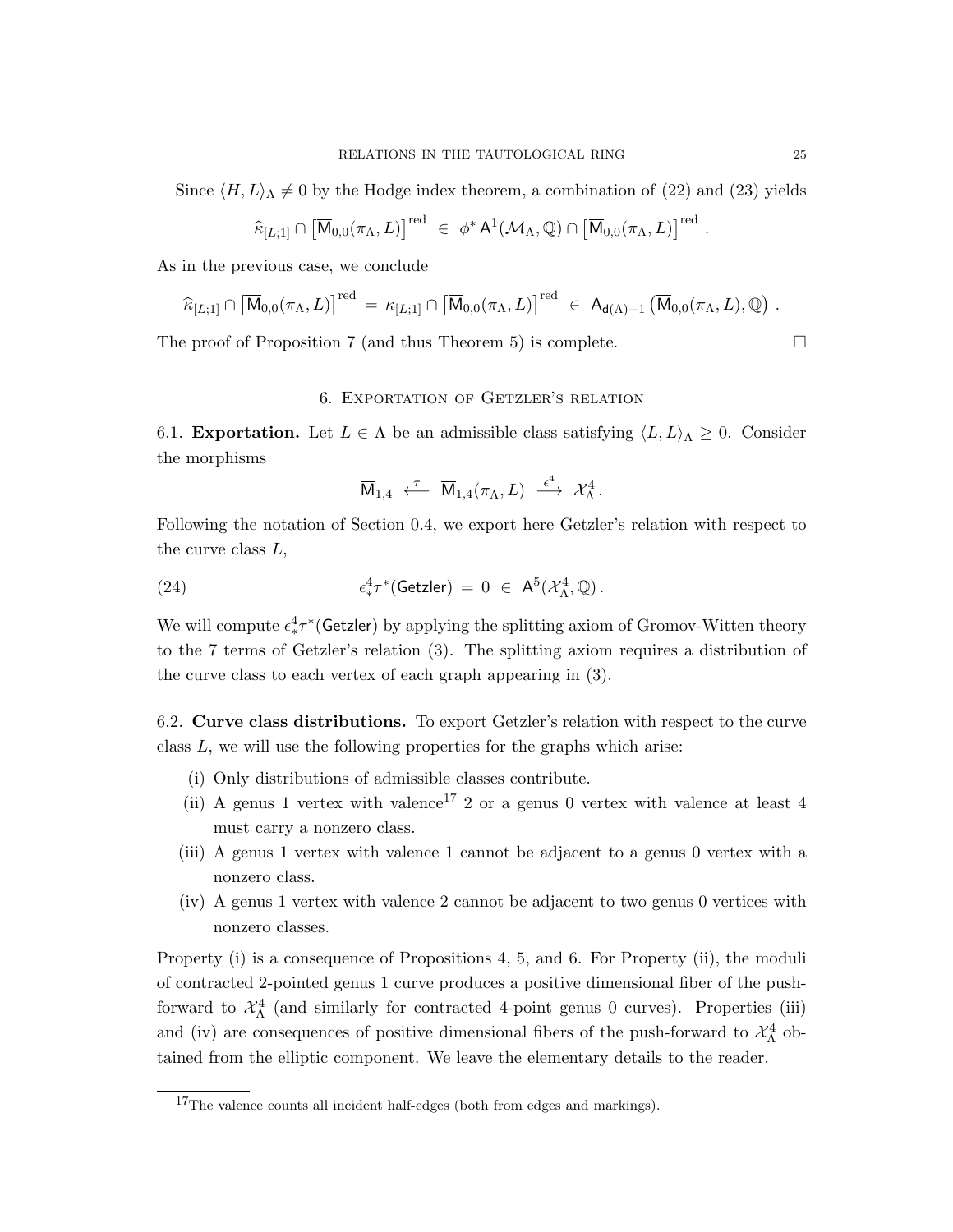$$
\widehat{\kappa}_{[L;1]} \cap \left[\overline{\mathsf{M}}_{0,0}(\pi_{\Lambda},L)\right]^{\text{red}} \in \phi^* \mathsf{A}^1(\mathcal{M}_{\Lambda},\mathbb{Q}) \cap \left[\overline{\mathsf{M}}_{0,0}(\pi_{\Lambda},L)\right]^{\text{red}}.
$$

As in the previous case, we conclude

$$
\widehat{\kappa}_{[L;1]} \cap \left[\overline{\mathsf{M}}_{0,0}(\pi_{\Lambda},L)\right]^{\text{red}} = \kappa_{[L;1]} \cap \left[\overline{\mathsf{M}}_{0,0}(\pi_{\Lambda},L)\right]^{\text{red}} \in \mathsf{A}_{d(\Lambda)-1}\left(\overline{\mathsf{M}}_{0,0}(\pi_{\Lambda},L),\mathbb{Q}\right).
$$

The proof of Proposition 7 (and thus Theorem 5) is complete.  $\Box$ 

#### 6. Exportation of Getzler's relation

6.1. **Exportation.** Let  $L \in \Lambda$  be an admissible class satisfying  $\langle L, L \rangle_{\Lambda} \geq 0$ . Consider the morphisms

$$
\overline{\mathsf{M}}_{1,4} \overset{\tau}{\longleftarrow} \overline{\mathsf{M}}_{1,4}(\pi_{\Lambda},L) \overset{\epsilon^4}{\longrightarrow} \mathcal{X}_{\Lambda}^4.
$$

Following the notation of Section 0.4, we export here Getzler's relation with respect to the curve class L,

(24) 
$$
\epsilon^4_* \tau^* (\text{Getzler}) = 0 \in \mathsf{A}^5(\mathcal{X}_{\Lambda}^4, \mathbb{Q}).
$$

We will compute  $\epsilon^4_* \tau^*$  (Getzler) by applying the splitting axiom of Gromov-Witten theory to the 7 terms of Getzler's relation (3). The splitting axiom requires a distribution of the curve class to each vertex of each graph appearing in (3).

6.2. Curve class distributions. To export Getzler's relation with respect to the curve class  $L$ , we will use the following properties for the graphs which arise:

- (i) Only distributions of admissible classes contribute.
- (ii) A genus 1 vertex with valence<sup>17</sup> 2 or a genus 0 vertex with valence at least 4 must carry a nonzero class.
- (iii) A genus 1 vertex with valence 1 cannot be adjacent to a genus 0 vertex with a nonzero class.
- (iv) A genus 1 vertex with valence 2 cannot be adjacent to two genus 0 vertices with nonzero classes.

Property (i) is a consequence of Propositions 4, 5, and 6. For Property (ii), the moduli of contracted 2-pointed genus 1 curve produces a positive dimensional fiber of the pushforward to  $\mathcal{X}_{\Lambda}^4$  (and similarly for contracted 4-point genus 0 curves). Properties (iii) and (iv) are consequences of positive dimensional fibers of the push-forward to  $\mathcal{X}_{\Lambda}^4$  obtained from the elliptic component. We leave the elementary details to the reader.

<sup>&</sup>lt;sup>17</sup>The valence counts all incident half-edges (both from edges and markings).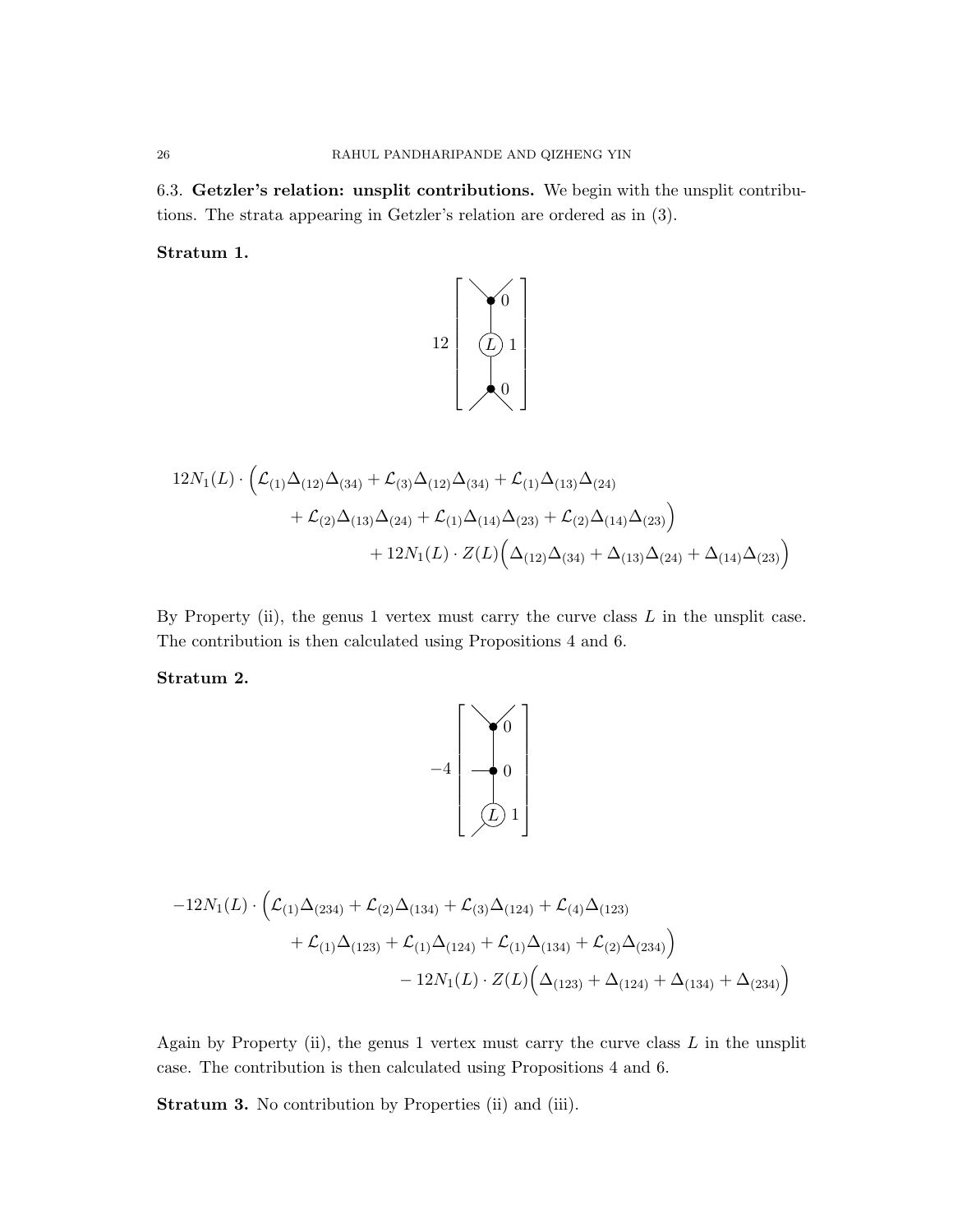6.3. Getzler's relation: unsplit contributions. We begin with the unsplit contributions. The strata appearing in Getzler's relation are ordered as in (3).

Stratum 1.



$$
12N_1(L) \cdot \left( \mathcal{L}_{(1)} \Delta_{(12)} \Delta_{(34)} + \mathcal{L}_{(3)} \Delta_{(12)} \Delta_{(34)} + \mathcal{L}_{(1)} \Delta_{(13)} \Delta_{(24)} + \mathcal{L}_{(2)} \Delta_{(13)} \Delta_{(24)} + \mathcal{L}_{(1)} \Delta_{(14)} \Delta_{(23)} + \mathcal{L}_{(2)} \Delta_{(14)} \Delta_{(23)} \right) + 12N_1(L) \cdot Z(L) \left( \Delta_{(12)} \Delta_{(34)} + \Delta_{(13)} \Delta_{(24)} + \Delta_{(14)} \Delta_{(23)} \right)
$$

By Property (ii), the genus 1 vertex must carry the curve class  $L$  in the unsplit case. The contribution is then calculated using Propositions 4 and 6.

Stratum 2.



$$
-12N_{1}(L)\cdot \left(\mathcal{L}_{(1)}\Delta_{(234)} + \mathcal{L}_{(2)}\Delta_{(134)} + \mathcal{L}_{(3)}\Delta_{(124)} + \mathcal{L}_{(4)}\Delta_{(123)} + \mathcal{L}_{(1)}\Delta_{(123)} + \mathcal{L}_{(1)}\Delta_{(124)} + \mathcal{L}_{(1)}\Delta_{(134)} + \mathcal{L}_{(2)}\Delta_{(234)}\right) - 12N_{1}(L)\cdot Z(L)\Big(\Delta_{(123)} + \Delta_{(124)} + \Delta_{(134)} + \Delta_{(234)}\Big)
$$

Again by Property (ii), the genus  $1$  vertex must carry the curve class  $L$  in the unsplit case. The contribution is then calculated using Propositions 4 and 6.

Stratum 3. No contribution by Properties (ii) and (iii).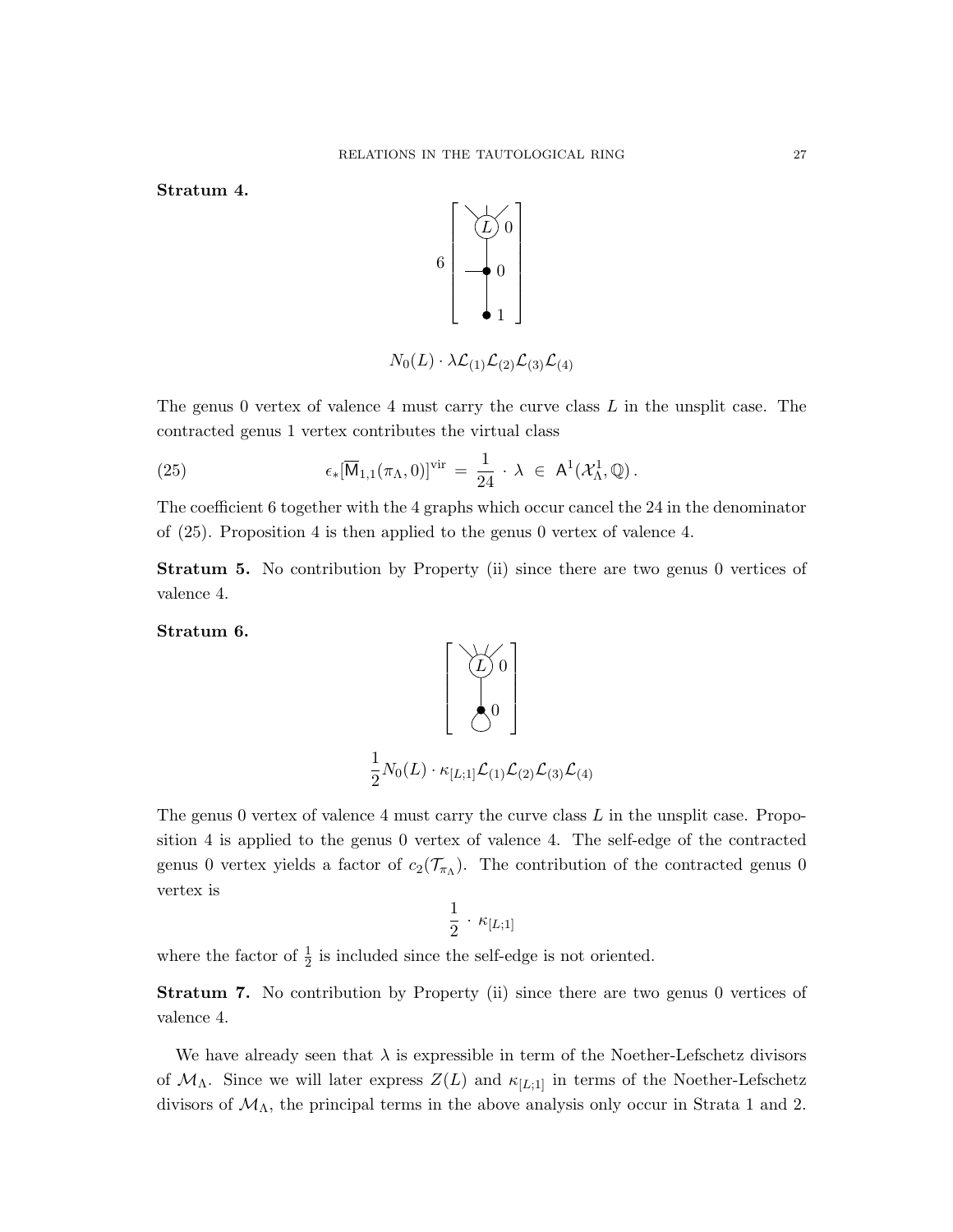Stratum 4.



$$
N_0(L) \cdot \lambda \mathcal{L}_{(1)} \mathcal{L}_{(2)} \mathcal{L}_{(3)} \mathcal{L}_{(4)}
$$

The genus 0 vertex of valence 4 must carry the curve class  $L$  in the unsplit case. The contracted genus 1 vertex contributes the virtual class

(25) 
$$
\epsilon_*[\overline{\mathsf{M}}_{1,1}(\pi_{\Lambda},0)]^{\text{vir}} = \frac{1}{24} \cdot \lambda \in \mathsf{A}^1(\mathcal{X}_{\Lambda}^1,\mathbb{Q}).
$$

The coefficient 6 together with the 4 graphs which occur cancel the 24 in the denominator of (25). Proposition 4 is then applied to the genus 0 vertex of valence 4.

Stratum 5. No contribution by Property (ii) since there are two genus 0 vertices of valence 4.

Stratum 6.



The genus 0 vertex of valence 4 must carry the curve class  $L$  in the unsplit case. Proposition 4 is applied to the genus 0 vertex of valence 4. The self-edge of the contracted genus 0 vertex yields a factor of  $c_2(\mathcal{T}_{\pi_{\Lambda}})$ . The contribution of the contracted genus 0 vertex is

$$
\frac{1}{2} \cdot \kappa_{[L;1]}
$$

where the factor of  $\frac{1}{2}$  is included since the self-edge is not oriented.

Stratum 7. No contribution by Property (ii) since there are two genus 0 vertices of valence 4.

We have already seen that  $\lambda$  is expressible in term of the Noether-Lefschetz divisors of  $\mathcal{M}_{\Lambda}$ . Since we will later express  $Z(L)$  and  $\kappa_{[L;1]}$  in terms of the Noether-Lefschetz divisors of  $\mathcal{M}_{\Lambda}$ , the principal terms in the above analysis only occur in Strata 1 and 2.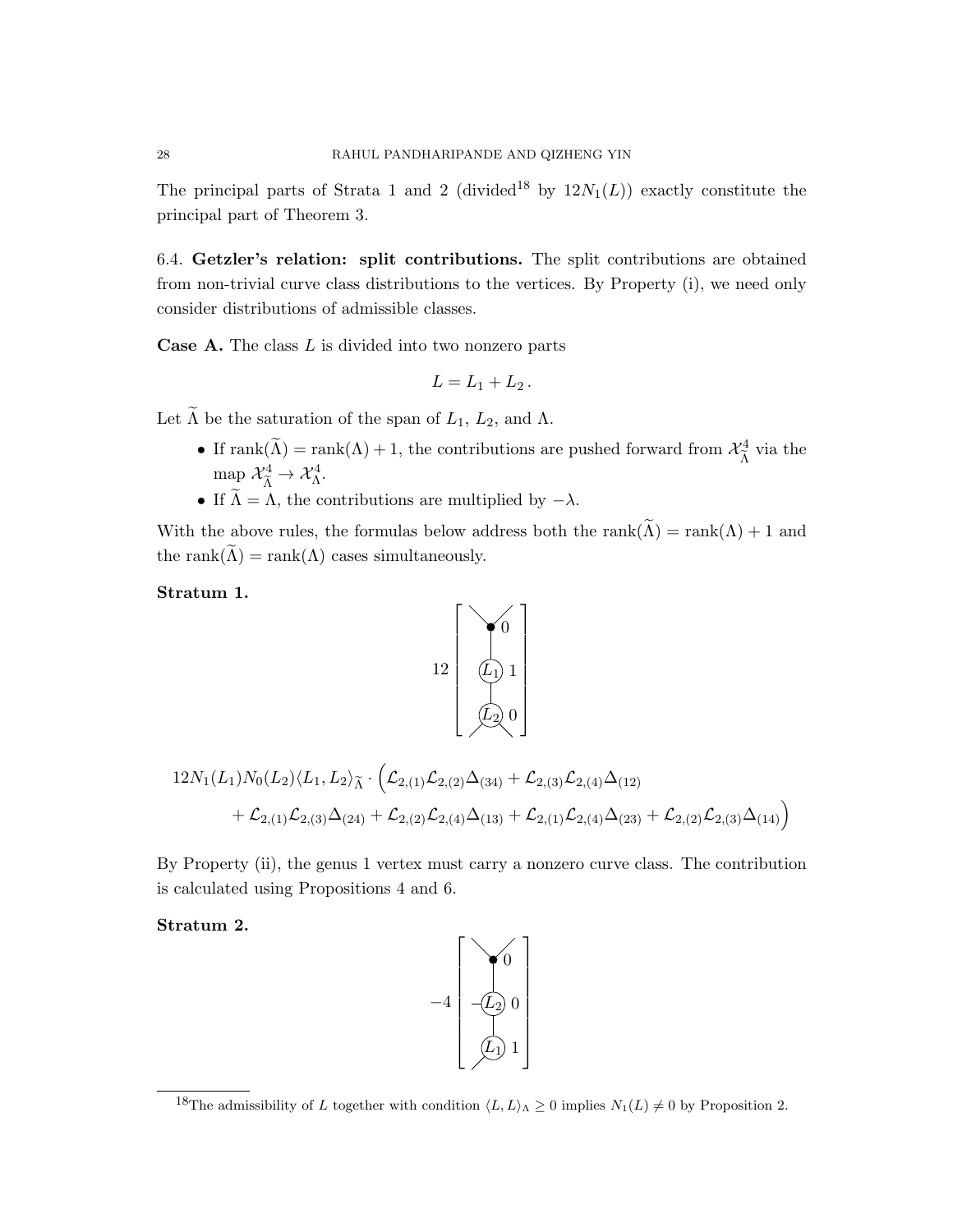The principal parts of Strata 1 and 2 (divided<sup>18</sup> by  $12N_1(L)$ ) exactly constitute the principal part of Theorem 3.

6.4. Getzler's relation: split contributions. The split contributions are obtained from non-trivial curve class distributions to the vertices. By Property (i), we need only consider distributions of admissible classes.

**Case A.** The class  $L$  is divided into two nonzero parts

$$
L=L_1+L_2.
$$

Let  $\widetilde{\Lambda}$  be the saturation of the span of  $L_1$ ,  $L_2$ , and  $\Lambda$ .

- If rank $(\tilde{\Lambda})$  = rank $(\Lambda)$  + 1, the contributions are pushed forward from  $\mathcal{X}_{\tilde{\Lambda}}^4$  $\frac{a}{\tilde{\Lambda}}$  via the map  $\mathcal{X}_{\widetilde{\Lambda}}^4 \to \mathcal{X}_{\Lambda}^4$ .
- If  $\widetilde{\Lambda} = \Lambda$ , the contributions are multiplied by  $-\lambda$ .

With the above rules, the formulas below address both the rank( $\widetilde{\Lambda}$ ) = rank( $\Lambda$ ) + 1 and the rank $(\tilde{\Lambda})$  = rank $(\Lambda)$  cases simultaneously.

### Stratum 1.

$$
12\left[\begin{array}{c}\sqrt{0}\\0\\0\\0\end{array}\right]
$$

$$
12N_1(L_1)N_0(L_2)\langle L_1, L_2\rangle_{\widetilde{\Lambda}} \cdot \left(\mathcal{L}_{2,(1)}\mathcal{L}_{2,(2)}\Delta_{(34)} + \mathcal{L}_{2,(3)}\mathcal{L}_{2,(4)}\Delta_{(12)}\right.+ \mathcal{L}_{2,(1)}\mathcal{L}_{2,(3)}\Delta_{(24)} + \mathcal{L}_{2,(2)}\mathcal{L}_{2,(4)}\Delta_{(13)} + \mathcal{L}_{2,(1)}\mathcal{L}_{2,(4)}\Delta_{(23)} + \mathcal{L}_{2,(2)}\mathcal{L}_{2,(3)}\Delta_{(14)}\right)
$$

By Property (ii), the genus 1 vertex must carry a nonzero curve class. The contribution is calculated using Propositions 4 and 6.

Stratum 2.



<sup>&</sup>lt;sup>18</sup>The admissibility of L together with condition  $\langle L, L \rangle_{\Lambda} \geq 0$  implies  $N_1(L) \neq 0$  by Proposition 2.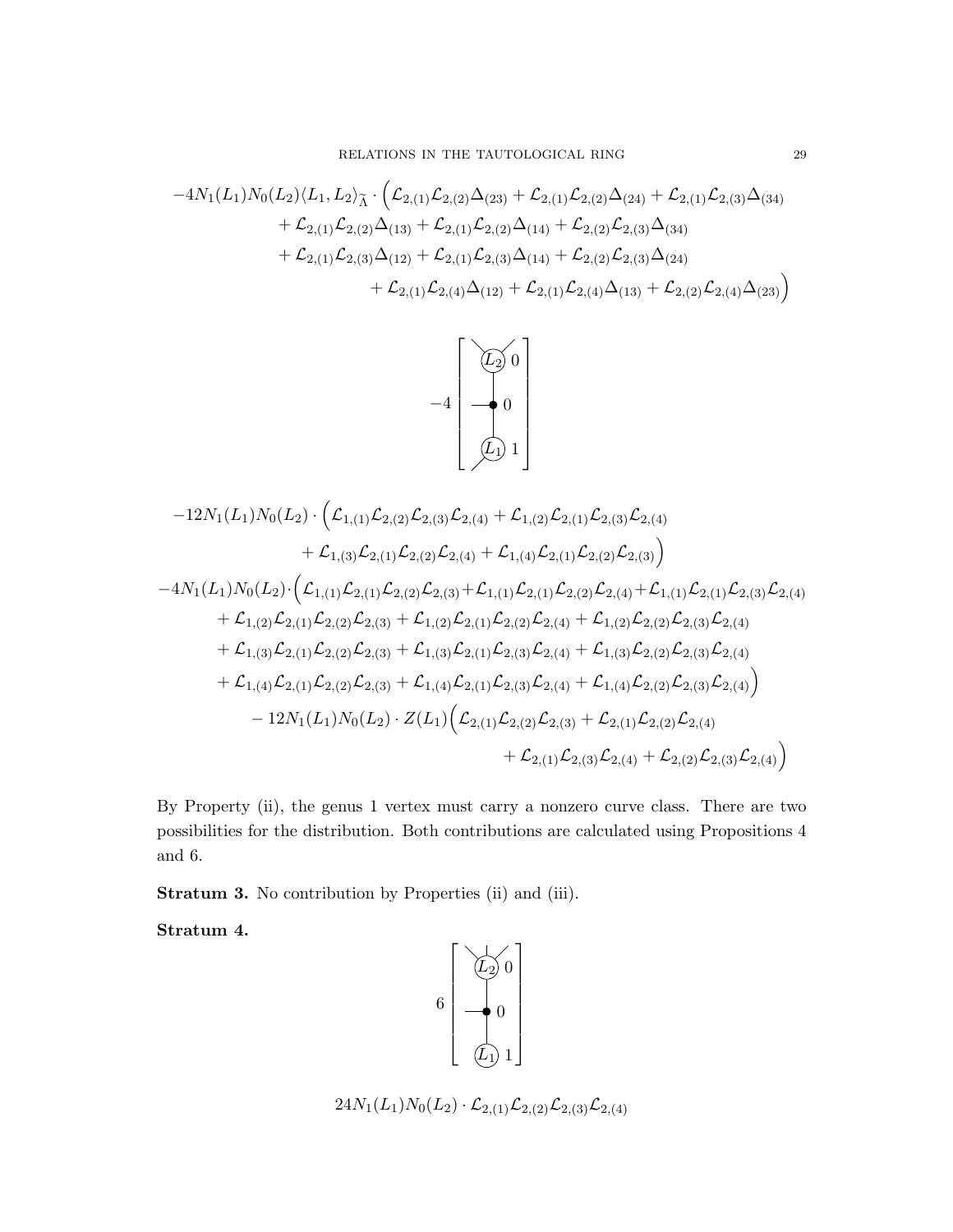$$
-4N_1(L_1)N_0(L_2)\langle L_1, L_2\rangle_{\widetilde{\Lambda}}\cdot \Big( \mathcal{L}_{2,(1)}\mathcal{L}_{2,(2)}\Delta_{(23)} + \mathcal{L}_{2,(1)}\mathcal{L}_{2,(2)}\Delta_{(24)} + \mathcal{L}_{2,(1)}\mathcal{L}_{2,(3)}\Delta_{(34)} + \mathcal{L}_{2,(1)}\mathcal{L}_{2,(2)}\Delta_{(13)} + \mathcal{L}_{2,(1)}\mathcal{L}_{2,(2)}\Delta_{(14)} + \mathcal{L}_{2,(2)}\mathcal{L}_{2,(3)}\Delta_{(34)} + \mathcal{L}_{2,(1)}\mathcal{L}_{2,(3)}\Delta_{(12)} + \mathcal{L}_{2,(1)}\mathcal{L}_{2,(3)}\Delta_{(14)} + \mathcal{L}_{2,(2)}\mathcal{L}_{2,(3)}\Delta_{(24)} + \mathcal{L}_{2,(1)}\mathcal{L}_{2,(4)}\Delta_{(12)} + \mathcal{L}_{2,(1)}\mathcal{L}_{2,(4)}\Delta_{(13)} + \mathcal{L}_{2,(2)}\mathcal{L}_{2,(4)}\Delta_{(23)} \Big)
$$



$$
-12N_{1}(L_{1})N_{0}(L_{2})\cdot \Big( \mathcal{L}_{1,(1)}\mathcal{L}_{2,(2)}\mathcal{L}_{2,(3)}\mathcal{L}_{2,(4)} + \mathcal{L}_{1,(2)}\mathcal{L}_{2,(1)}\mathcal{L}_{2,(3)}\mathcal{L}_{2,(4)} + \mathcal{L}_{1,(3)}\mathcal{L}_{2,(1)}\mathcal{L}_{2,(2)}\mathcal{L}_{2,(4)} + \mathcal{L}_{1,(4)}\mathcal{L}_{2,(1)}\mathcal{L}_{2,(2)}\mathcal{L}_{2,(3)} \Big)
$$
  
-4N\_{1}(L\_{1})N\_{0}(L\_{2})\cdot \Big( \mathcal{L}\_{1,(1)}\mathcal{L}\_{2,(1)}\mathcal{L}\_{2,(2)}\mathcal{L}\_{2,(3)} + \mathcal{L}\_{1,(1)}\mathcal{L}\_{2,(1)}\mathcal{L}\_{2,(2)}\mathcal{L}\_{2,(3)} + \mathcal{L}\_{1,(1)}\mathcal{L}\_{2,(1)}\mathcal{L}\_{2,(2)}\mathcal{L}\_{2,(4)} + \mathcal{L}\_{1,(2)}\mathcal{L}\_{2,(1)}\mathcal{L}\_{2,(2)}\mathcal{L}\_{2,(3)} + \mathcal{L}\_{1,(2)}\mathcal{L}\_{2,(1)}\mathcal{L}\_{2,(2)}\mathcal{L}\_{2,(3)} + \mathcal{L}\_{1,(3)}\mathcal{L}\_{2,(1)}\mathcal{L}\_{2,(2)}\mathcal{L}\_{2,(3)} + \mathcal{L}\_{1,(3)}\mathcal{L}\_{2,(1)}\mathcal{L}\_{2,(2)}\mathcal{L}\_{2,(3)} + \mathcal{L}\_{1,(3)}\mathcal{L}\_{2,(1)}\mathcal{L}\_{2,(2)}\mathcal{L}\_{2,(3)} + \mathcal{L}\_{1,(3)}\mathcal{L}\_{2,(1)}\mathcal{L}\_{2,(2)}\mathcal{L}\_{2,(3)}\mathcal{L}\_{2,(4)} + \mathcal{L}\_{1,(4)}\mathcal{L}\_{2,(1)}\mathcal{L}\_{2,(2)}\mathcal{L}\_{2,(3)} + \mathcal{L}\_{1,(4)}\mathcal{L}\_{2,(1)}\mathcal{L}\_{2,(1)}\mathcal{L}\_{2,(2)}\mathcal{L}\_{2,(1)}\mathcal{L}\_{2,(2)}\mathcal{L}\_{2,(3)}\mathcal{L}\_{2,(4)} \Big)  
-12N\_{1}(L\_{1})N\_{0}(L\_{2})\cdot Z(L\_{1})\Big( \mathcal{L}\_{

By Property (ii), the genus 1 vertex must carry a nonzero curve class. There are two possibilities for the distribution. Both contributions are calculated using Propositions 4 and 6.

Stratum 3. No contribution by Properties (ii) and (iii).

Stratum 4.

$$
\begin{bmatrix}\n\overrightarrow{L_2} & 0 \\
0 & 0 \\
0 & 1\n\end{bmatrix}
$$

 $24N_1(L_1)N_0(L_2) \cdot \mathcal{L}_{2,(1)}\mathcal{L}_{2,(2)}\mathcal{L}_{2,(3)}\mathcal{L}_{2,(4)}$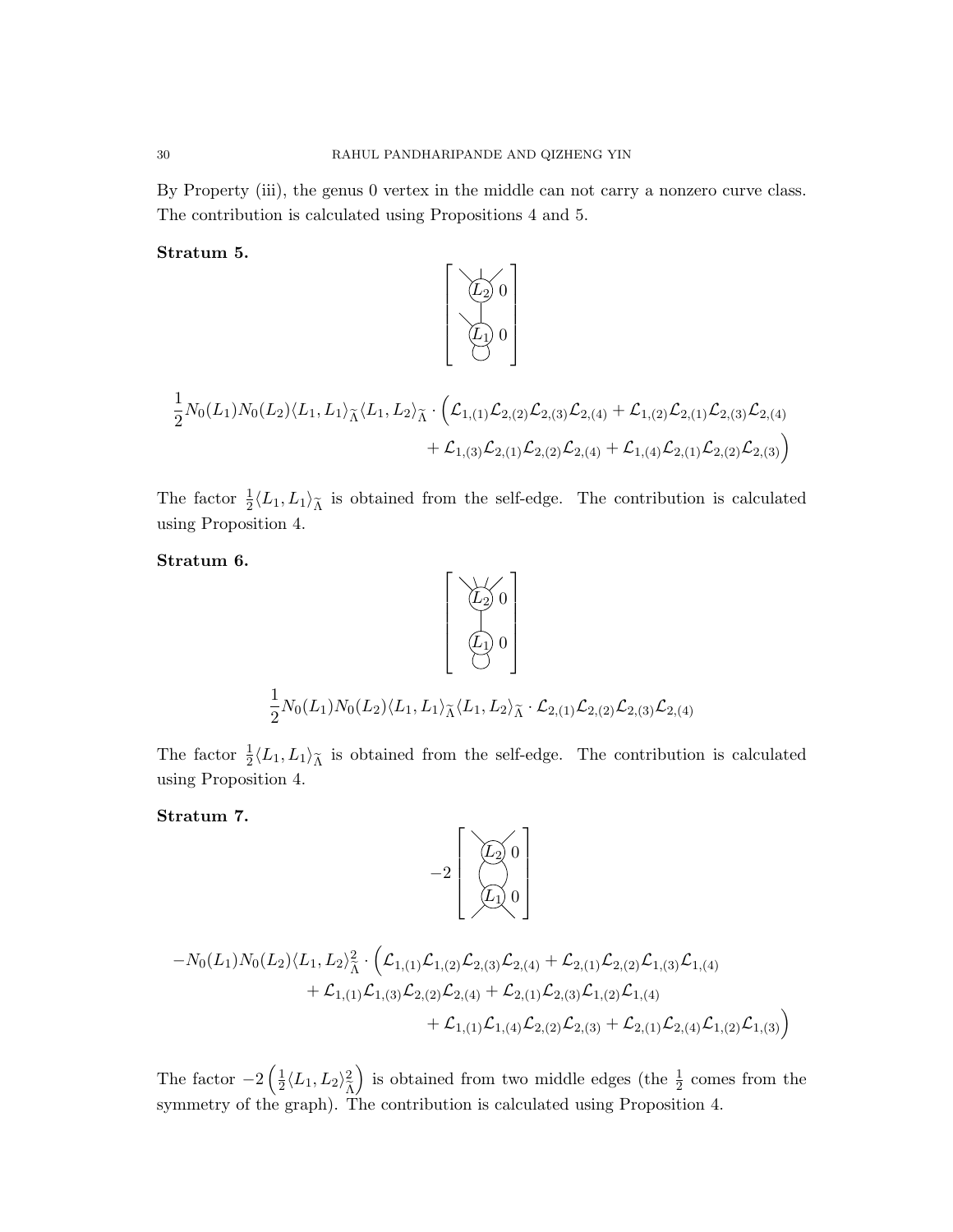By Property (iii), the genus 0 vertex in the middle can not carry a nonzero curve class. The contribution is calculated using Propositions 4 and 5.

1

 $\sqrt{ }$ 

Stratum 5.

$$
\begin{bmatrix}\n(L_2) & 0 \\
(L_1) & 0 \\
\vdots \\
2^{N_0(L_1)N_0(L_2)\langle L_1, L_1\rangle_{\widetilde{\Lambda}}\langle L_1, L_2\rangle_{\widetilde{\Lambda}}}\cdot \left(\mathcal{L}_{1,(1)}\mathcal{L}_{2,(2)}\mathcal{L}_{2,(3)}\mathcal{L}_{2,(4)} + \mathcal{L}_{1,(2)}\mathcal{L}_{2,(1)}\mathcal{L}_{2,(3)}\mathcal{L}_{2,(4)} \\
&+ \mathcal{L}_{1,(3)}\mathcal{L}_{2,(1)}\mathcal{L}_{2,(2)}\mathcal{L}_{2,(4)} + \mathcal{L}_{1,(4)}\mathcal{L}_{2,(1)}\mathcal{L}_{2,(2)}\mathcal{L}_{2,(3)}\right)}\n\end{bmatrix}
$$

The factor  $\frac{1}{2} \langle L_1, L_1 \rangle_{\tilde{\Lambda}}$  is obtained from the self-edge. The contribution is calculated using Proposition 4.

Stratum 6.



The factor  $\frac{1}{2} \langle L_1, L_1 \rangle_{\tilde{\Lambda}}$  is obtained from the self-edge. The contribution is calculated using Proposition 4.

### Stratum 7.

$$
-2\left[\begin{array}{c}\sqrt{L_2} & 0\\ \sqrt{L_1} & 0 \end{array}\right]
$$

$$
-N_0(L_1)N_0(L_2)\langle L_1, L_2\rangle_{\tilde{\Lambda}}^2 \cdot \Big( \mathcal{L}_{1,(1)}\mathcal{L}_{1,(2)}\mathcal{L}_{2,(3)}\mathcal{L}_{2,(4)} + \mathcal{L}_{2,(1)}\mathcal{L}_{2,(2)}\mathcal{L}_{1,(3)}\mathcal{L}_{1,(4)} + \mathcal{L}_{1,(1)}\mathcal{L}_{1,(3)}\mathcal{L}_{2,(2)}\mathcal{L}_{2,(4)} + \mathcal{L}_{2,(1)}\mathcal{L}_{2,(3)}\mathcal{L}_{1,(2)}\mathcal{L}_{1,(4)} + \mathcal{L}_{1,(1)}\mathcal{L}_{1,(4)}\mathcal{L}_{2,(2)}\mathcal{L}_{2,(3)} + \mathcal{L}_{2,(1)}\mathcal{L}_{2,(4)}\mathcal{L}_{1,(2)}\mathcal{L}_{1,(3)} \Big)
$$

The factor  $-2\left(\frac{1}{2}\right)$  $\frac{1}{2}\langle L_1,L_2\rangle_{\widetilde{\Lambda}}^2$  $\frac{\Lambda}{2}$ ) is obtained from two middle edges (the  $\frac{1}{2}$  comes from the symmetry of the graph). The contribution is calculated using Proposition 4.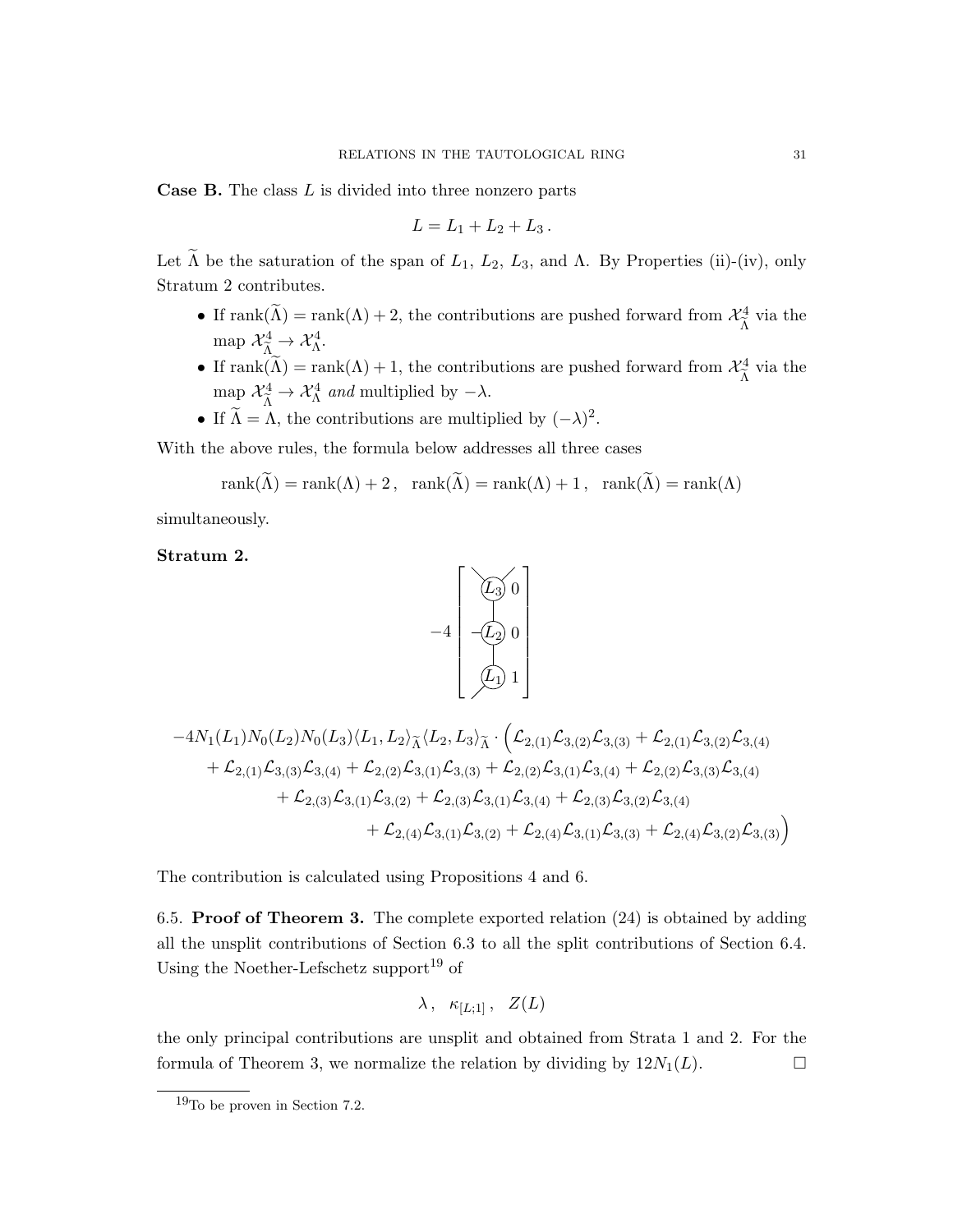**Case B.** The class  $L$  is divided into three nonzero parts

$$
L = L_1 + L_2 + L_3 \, .
$$

Let  $\widetilde{\Lambda}$  be the saturation of the span of  $L_1$ ,  $L_2$ ,  $L_3$ , and  $\Lambda$ . By Properties (ii)-(iv), only Stratum 2 contributes.

- If rank $(\tilde{\Lambda})$  = rank $(\Lambda)$  + 2, the contributions are pushed forward from  $\mathcal{X}_{\tilde{\Lambda}}^4$  $\frac{a}{\tilde{\Lambda}}$  via the map  $\mathcal{X}_{\widetilde{\Lambda}}^4 \to \mathcal{X}_{\Lambda}^4$ .
- If  $rank(\tilde{\Lambda}) = rank(\Lambda) + 1$ , the contributions are pushed forward from  $\mathcal{X}_{\tilde{\Lambda}}^4$  $\frac{\gamma_4}{\tilde{\Lambda}}$  via the map  $\mathcal{X}_{\tilde{\Lambda}}^4 \to \mathcal{X}_{\Lambda}^4$  and multiplied by  $-\lambda$ .
- If  $\widetilde{\Lambda} = \Lambda$ , the contributions are multiplied by  $(-\lambda)^2$ .

With the above rules, the formula below addresses all three cases

$$
rank(\Lambda) = rank(\Lambda) + 2, rank(\Lambda) = rank(\Lambda) + 1, rank(\Lambda) = rank(\Lambda)
$$

simultaneously.

# Stratum 2.



$$
-4N_1(L_1)N_0(L_2)N_0(L_3)\langle L_1, L_2\rangle_{\widetilde{\Lambda}}\langle L_2, L_3\rangle_{\widetilde{\Lambda}}\cdot \Big(\mathcal{L}_{2,(1)}\mathcal{L}_{3,(2)}\mathcal{L}_{3,(3)} + \mathcal{L}_{2,(1)}\mathcal{L}_{3,(2)}\mathcal{L}_{3,(4)} + \mathcal{L}_{2,(1)}\mathcal{L}_{3,(3)}\mathcal{L}_{3,(4)} + \mathcal{L}_{2,(2)}\mathcal{L}_{3,(1)}\mathcal{L}_{3,(3)} + \mathcal{L}_{2,(2)}\mathcal{L}_{3,(1)}\mathcal{L}_{3,(4)} + \mathcal{L}_{2,(3)}\mathcal{L}_{3,(4)} + \mathcal{L}_{2,(3)}\mathcal{L}_{3,(1)}\mathcal{L}_{3,(2)} + \mathcal{L}_{2,(3)}\mathcal{L}_{3,(1)}\mathcal{L}_{3,(4)} + \mathcal{L}_{2,(3)}\mathcal{L}_{3,(2)}\mathcal{L}_{3,(4)} + \mathcal{L}_{2,(4)}\mathcal{L}_{3,(1)}\mathcal{L}_{3,(2)} + \mathcal{L}_{2,(4)}\mathcal{L}_{3,(1)}\mathcal{L}_{3,(3)} + \mathcal{L}_{2,(4)}\mathcal{L}_{3,(2)}\mathcal{L}_{3,(3)} \Big)
$$

The contribution is calculated using Propositions 4 and 6.

6.5. Proof of Theorem 3. The complete exported relation (24) is obtained by adding all the unsplit contributions of Section 6.3 to all the split contributions of Section 6.4. Using the Noether-Lefschetz support<sup>19</sup> of

$$
\lambda\,,\ \ \kappa_{[L;1]}\,,\ \ Z(L)
$$

the only principal contributions are unsplit and obtained from Strata 1 and 2. For the formula of Theorem 3, we normalize the relation by dividing by  $12N_1(L)$ .

<sup>19</sup>To be proven in Section 7.2.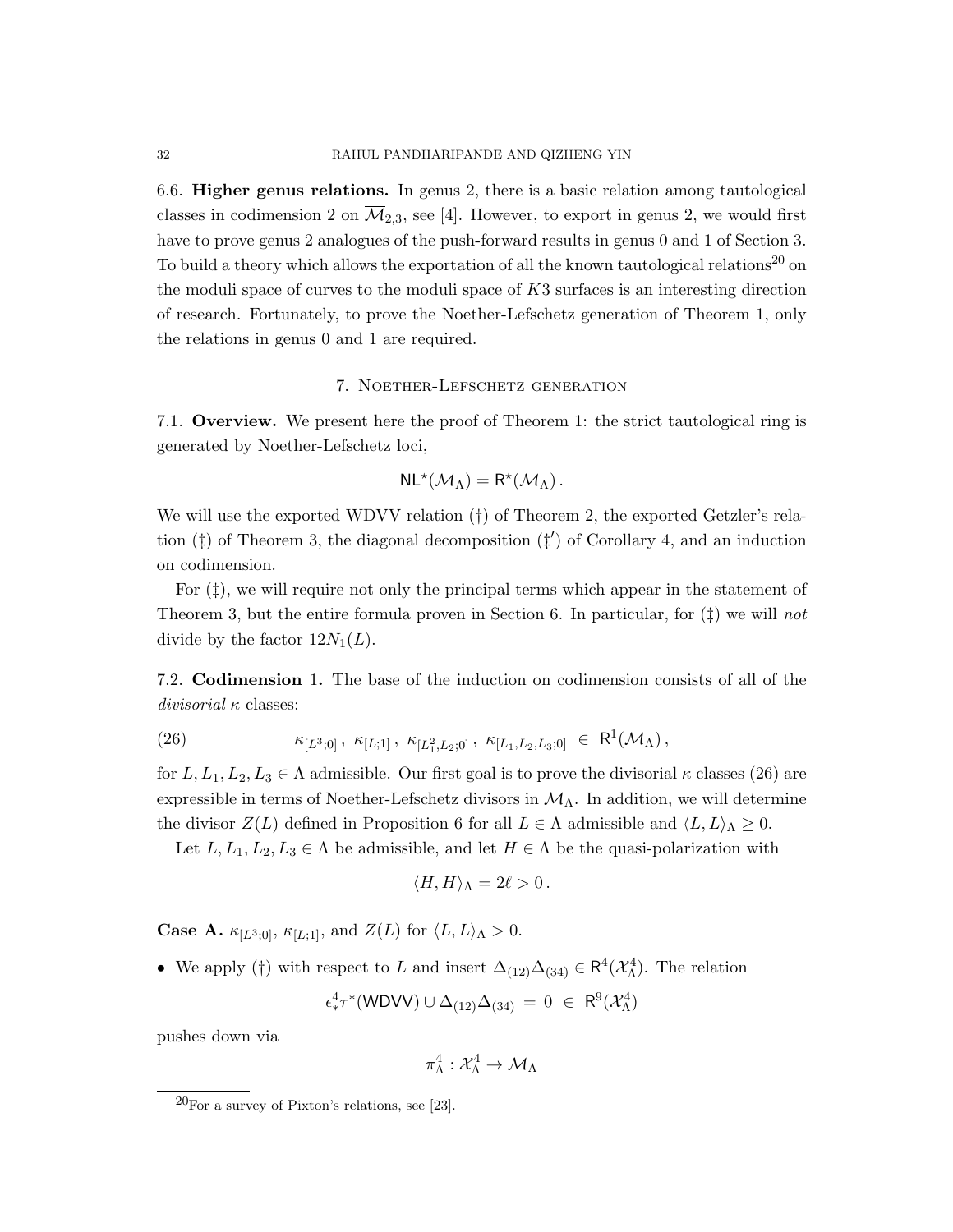6.6. Higher genus relations. In genus 2, there is a basic relation among tautological classes in codimension 2 on  $\overline{\mathcal{M}}_{2,3}$ , see [4]. However, to export in genus 2, we would first have to prove genus 2 analogues of the push-forward results in genus 0 and 1 of Section 3. To build a theory which allows the exportation of all the known tautological relations<sup>20</sup> on the moduli space of curves to the moduli space of  $K3$  surfaces is an interesting direction of research. Fortunately, to prove the Noether-Lefschetz generation of Theorem 1, only the relations in genus 0 and 1 are required.

### 7. Noether-Lefschetz generation

7.1. Overview. We present here the proof of Theorem 1: the strict tautological ring is generated by Noether-Lefschetz loci,

$$
NL^{\star}(\mathcal{M}_{\Lambda})=R^{\star}(\mathcal{M}_{\Lambda}).
$$

We will use the exported WDVV relation (†) of Theorem 2, the exported Getzler's relation  $(\ddagger)$  of Theorem 3, the diagonal decomposition  $(\ddagger')$  of Corollary 4, and an induction on codimension.

For  $(\ddagger)$ , we will require not only the principal terms which appear in the statement of Theorem 3, but the entire formula proven in Section 6. In particular, for  $(\ddagger)$  we will not divide by the factor  $12N_1(L)$ .

7.2. Codimension 1. The base of the induction on codimension consists of all of the divisorial  $\kappa$  classes:

(26) 
$$
\kappa_{[L^3;0]}, \kappa_{[L;1]}, \kappa_{[L_1^2,L_2;0]}, \kappa_{[L_1,L_2,L_3;0]} \in \mathbb{R}^1(\mathcal{M}_{\Lambda}),
$$

for  $L, L_1, L_2, L_3 \in \Lambda$  admissible. Our first goal is to prove the divisorial  $\kappa$  classes (26) are expressible in terms of Noether-Lefschetz divisors in  $\mathcal{M}_{\Lambda}$ . In addition, we will determine the divisor  $Z(L)$  defined in Proposition 6 for all  $L \in \Lambda$  admissible and  $\langle L, L \rangle_{\Lambda} \geq 0$ .

Let  $L, L_1, L_2, L_3 \in \Lambda$  be admissible, and let  $H \in \Lambda$  be the quasi-polarization with

$$
\langle H, H \rangle_{\Lambda} = 2\ell > 0.
$$

**Case A.**  $\kappa_{[L^3;0]}, \kappa_{[L;1]},$  and  $Z(L)$  for  $\langle L, L \rangle_{\Lambda} > 0$ .

• We apply (†) with respect to L and insert  $\Delta_{(12)}\Delta_{(34)} \in \mathsf{R}^4(\mathcal{X}_{\Lambda}^4)$ . The relation

$$
\epsilon_*^4\tau^*(\text{WDVV})\cup\Delta_{(12)}\Delta_{(34)}\,=\,0\;\in\;\mathsf{R}^9(\mathcal{X}_\Lambda^4)
$$

pushes down via

$$
\pi^4_\Lambda: \mathcal{X}_\Lambda^4 \to \mathcal{M}_\Lambda
$$

 $20$ For a survey of Pixton's relations, see [23].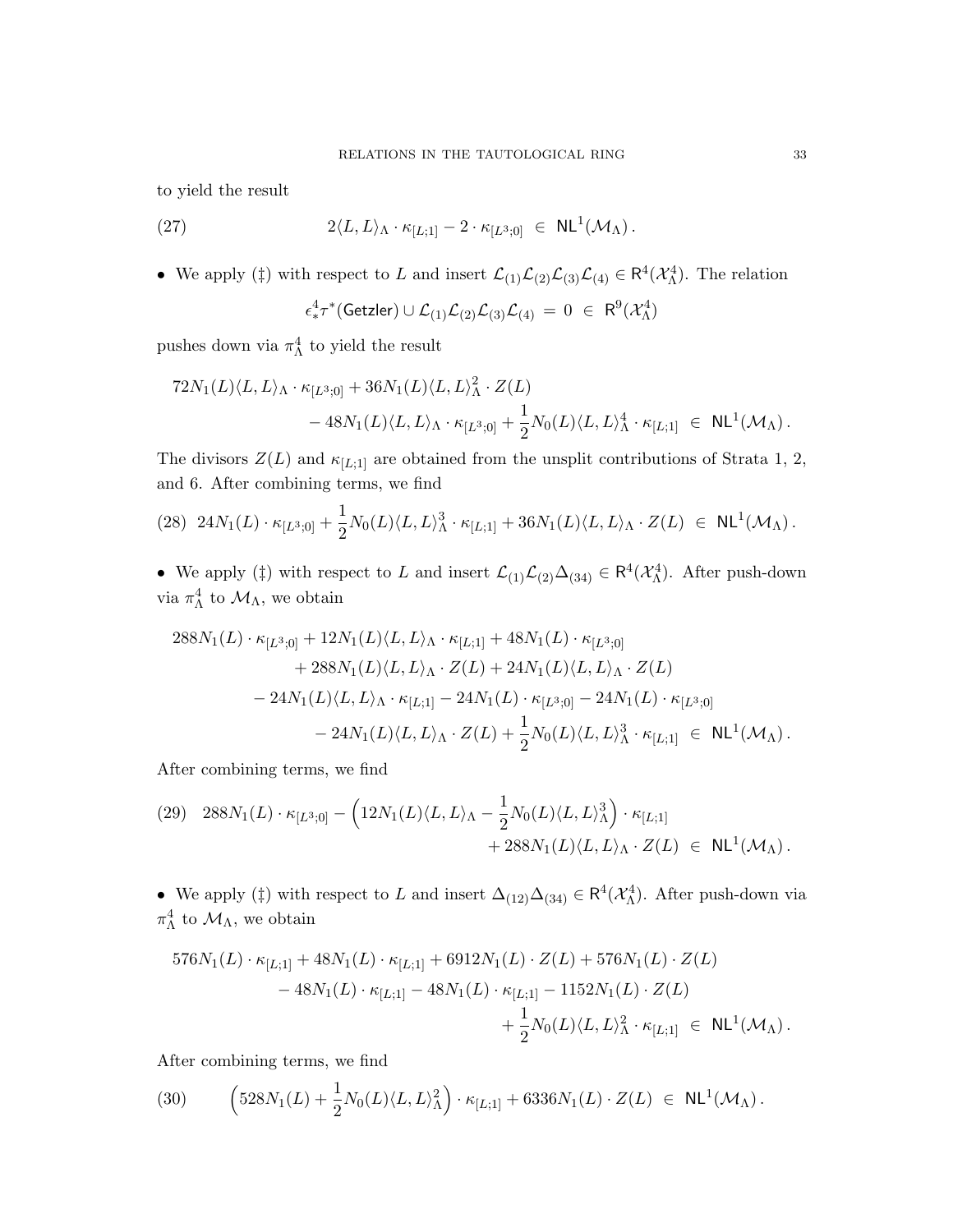to yield the result

(27) 
$$
2\langle L, L\rangle_{\Lambda} \cdot \kappa_{[L;1]} - 2 \cdot \kappa_{[L^3;0]} \in \mathsf{NL}^1(\mathcal{M}_{\Lambda}).
$$

• We apply (‡) with respect to L and insert  $\mathcal{L}_{(1)}\mathcal{L}_{(2)}\mathcal{L}_{(3)}\mathcal{L}_{(4)} \in \mathbb{R}^4(\mathcal{X}_{\Lambda}^4)$ . The relation

$$
\epsilon_*^4\tau^*(\mathsf{Getzler}) \cup \mathcal{L}_{(1)}\mathcal{L}_{(2)}\mathcal{L}_{(3)}\mathcal{L}_{(4)} \ = \ 0 \ \in \ \mathsf{R}^9(\mathcal{X}_{\Lambda}^4)
$$

pushes down via  $\pi_{\Lambda}^4$  to yield the result

$$
72N_1(L)\langle L, L\rangle_{\Lambda} \cdot \kappa_{[L^3;0]} + 36N_1(L)\langle L, L\rangle_{\Lambda}^2 \cdot Z(L)
$$
  
- 48N<sub>1</sub>(L)\langle L, L\rangle\_{\Lambda} \cdot \kappa\_{[L^3;0]} + \frac{1}{2}N\_0(L)\langle L, L\rangle\_{\Lambda}^4 \cdot \kappa\_{[L;1]} \in NL^1(\mathcal{M}\_{\Lambda}).

The divisors  $Z(L)$  and  $\kappa_{[L;1]}$  are obtained from the unsplit contributions of Strata 1, 2, and 6. After combining terms, we find

$$
(28) \ 24N_1(L) \cdot \kappa_{[L^3;0]} + \frac{1}{2}N_0(L)\langle L, L\rangle^3_{\Lambda} \cdot \kappa_{[L;1]} + 36N_1(L)\langle L, L\rangle_{\Lambda} \cdot Z(L) \in \ \mathsf{NL}^1(\mathcal{M}_{\Lambda})\,.
$$

• We apply (‡) with respect to L and insert  $\mathcal{L}_{(1)}\mathcal{L}_{(2)}\Delta_{(34)} \in \mathsf{R}^4(\mathcal{X}_{\Lambda}^4)$ . After push-down via  $\pi^4_\Lambda$  to  $\mathcal{M}_\Lambda$ , we obtain

$$
\begin{aligned} 288N_1(L)\cdot\kappa_{[L^3;0]}+12N_1(L)\langle L,L\rangle_{\Lambda}\cdot\kappa_{[L;1]}+48N_1(L)\cdot\kappa_{[L^3;0]}\\ &+288N_1(L)\langle L,L\rangle_{\Lambda}\cdot Z(L)+24N_1(L)\langle L,L\rangle_{\Lambda}\cdot Z(L)\\ &-24N_1(L)\langle L,L\rangle_{\Lambda}\cdot\kappa_{[L;1]}-24N_1(L)\cdot\kappa_{[L^3;0]}-24N_1(L)\cdot\kappa_{[L^3;0]}\\ &-24N_1(L)\langle L,L\rangle_{\Lambda}\cdot Z(L)+\frac{1}{2}N_0(L)\langle L,L\rangle_{\Lambda}^3\cdot\kappa_{[L;1]}~\in~\mathrm{NL}^1(\mathcal{M}_{\Lambda})\,. \end{aligned}
$$

After combining terms, we find

$$
\begin{aligned} \text{(29)} \quad & 288N_1(L) \cdot \kappa_{[L^3;0]} - \left(12N_1(L)\langle L,L\rangle_{\Lambda} - \frac{1}{2}N_0(L)\langle L,L\rangle_{\Lambda}^3\right) \cdot \kappa_{[L;1]} \\ & + 288N_1(L)\langle L,L\rangle_{\Lambda} \cdot Z(L) \; \in \; \mathrm{NL}^1(\mathcal{M}_{\Lambda}) \,. \end{aligned}
$$

• We apply (‡) with respect to L and insert  $\Delta_{(12)}\Delta_{(34)} \in \mathsf{R}^4(\mathcal{X}_{\Lambda}^4)$ . After push-down via  $\pi^4_\Lambda$  to  $\mathcal{M}_\Lambda$ , we obtain

$$
576N_1(L) \cdot \kappa_{[L;1]} + 48N_1(L) \cdot \kappa_{[L;1]} + 6912N_1(L) \cdot Z(L) + 576N_1(L) \cdot Z(L)
$$
  
- 48N<sub>1</sub>(L) \cdot \kappa\_{[L;1]} - 48N\_1(L) \cdot \kappa\_{[L;1]} - 1152N\_1(L) \cdot Z(L)  
+  $\frac{1}{2}N_0(L)\langle L, L\rangle^2_{\Lambda} \cdot \kappa_{[L;1]} \in NL^1(\mathcal{M}_{\Lambda})$ .

After combining terms, we find

(30) 
$$
\left(528N_1(L) + \frac{1}{2}N_0(L)\langle L, L\rangle^2_{\Lambda}\right) \cdot \kappa_{[L;1]} + 6336N_1(L) \cdot Z(L) \in NL^1(\mathcal{M}_{\Lambda}).
$$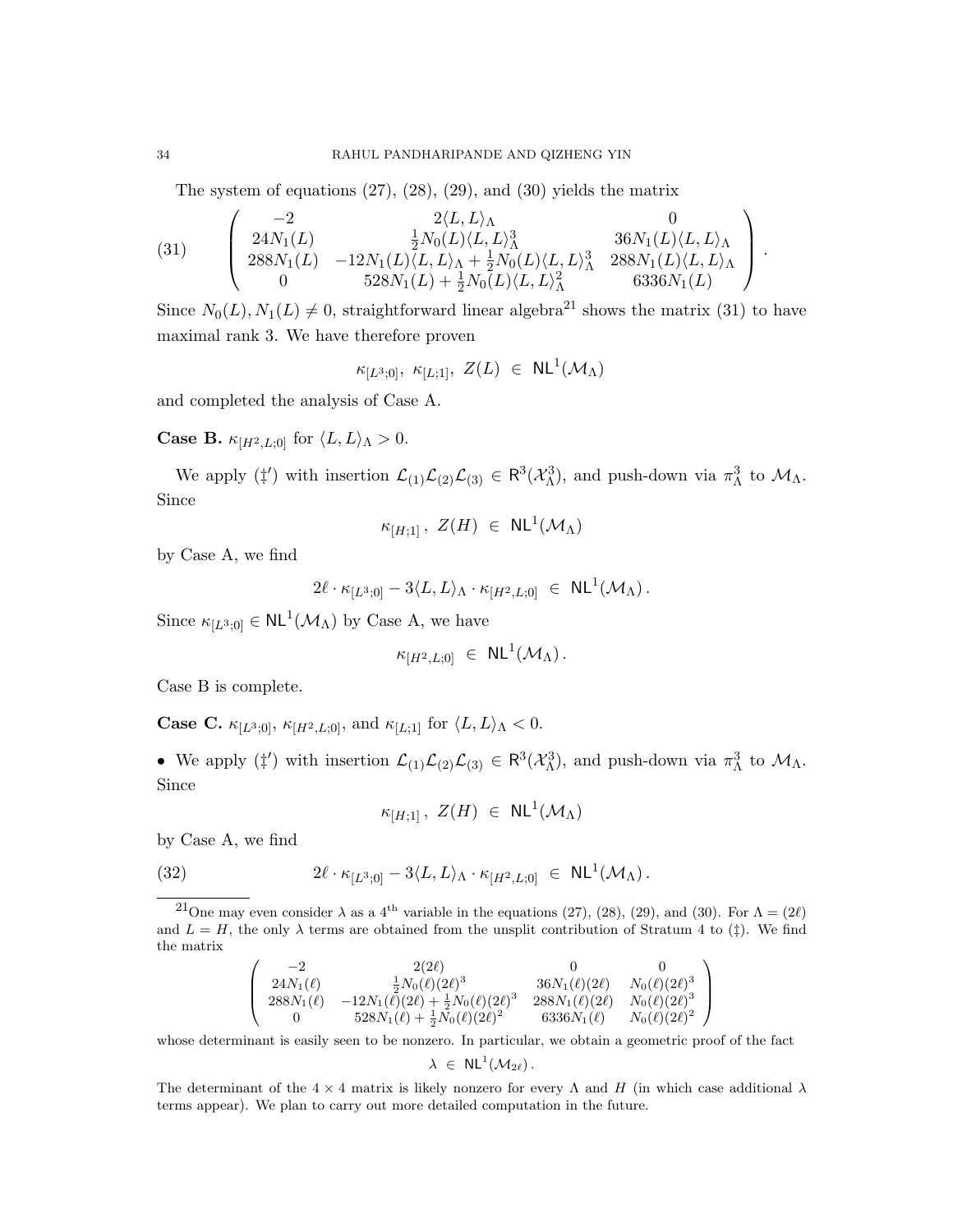The system of equations (27), (28), (29), and (30) yields the matrix

(31) 
$$
\begin{pmatrix}\n-2 & 2\langle L, L \rangle_{\Lambda} & 0 \\
24N_1(L) & \frac{1}{2}N_0(L)\langle L, L \rangle_{\Lambda}^3 & 36N_1(L)\langle L, L \rangle_{\Lambda} \\
288N_1(L) & -12N_1(L)\langle L, L \rangle_{\Lambda} + \frac{1}{2}N_0(L)\langle L, L \rangle_{\Lambda}^3 & 288N_1(L)\langle L, L \rangle_{\Lambda} \\
0 & 528N_1(L) + \frac{1}{2}N_0(L)\langle L, L \rangle_{\Lambda}^2 & 6336N_1(L)\n\end{pmatrix}.
$$

Since  $N_0(L)$ ,  $N_1(L) \neq 0$ , straightforward linear algebra<sup>21</sup> shows the matrix (31) to have maximal rank 3. We have therefore proven

$$
\kappa_{[L^3;0]}, \ \kappa_{[L;1]}, \ Z(L) \ \in \ \mathsf{NL}^1(\mathcal{M}_\Lambda)
$$

and completed the analysis of Case A.

**Case B.**  $\kappa_{[H^2, L; 0]}$  for  $\langle L, L \rangle_{\Lambda} > 0$ .

We apply ( $\sharp'$ ) with insertion  $\mathcal{L}_{(1)}\mathcal{L}_{(2)}\mathcal{L}_{(3)} \in \mathbb{R}^3(\mathcal{X}_{\Lambda}^3)$ , and push-down via  $\pi_{\Lambda}^3$  to  $\mathcal{M}_{\Lambda}$ . Since

$$
\kappa_{[H;1]},\ Z(H)\ \in\ \mathsf{NL}^1(\mathcal{M}_\Lambda)
$$

by Case A, we find

$$
2\ell \cdot \kappa_{[L^3;0]} - 3\langle L,L\rangle_\Lambda \cdot \kappa_{[H^2,L;0]} \;\in\; \mathrm{NL}^1(\mathcal{M}_\Lambda) \,.
$$

Since  $\kappa_{[L^3;0]} \in NL^1(\mathcal{M}_\Lambda)$  by Case A, we have

$$
\kappa_{[H^2,L;0]} \in \mathrm{NL}^1(\mathcal{M}_\Lambda).
$$

Case B is complete.

**Case C.**  $\kappa_{[L^3;0]}, \kappa_{[H^2,L;0]},$  and  $\kappa_{[L;1]}$  for  $\langle L, L \rangle_{\Lambda} < 0.$ 

• We apply  $(\ddagger')$  with insertion  $\mathcal{L}_{(1)}\mathcal{L}_{(2)}\mathcal{L}_{(3)} \in \mathbb{R}^3(\mathcal{X}_{\Lambda}^3)$ , and push-down via  $\pi_{\Lambda}^3$  to  $\mathcal{M}_{\Lambda}$ . Since

$$
\kappa_{[H;1]},\ Z(H)\ \in\ \mathsf{NL}^1(\mathcal{M}_\Lambda)
$$

by Case A, we find

(32) 
$$
2\ell \cdot \kappa_{[L^3;0]} - 3\langle L,L\rangle_{\Lambda} \cdot \kappa_{[H^2,L;0]} \in NL^1(\mathcal{M}_{\Lambda}).
$$

$$
\left(\begin{array}{cccc} -2 & 2(2\ell) & 0 & 0 \\ 24N_1(\ell) & \frac{1}{2}N_0(\ell)(2\ell)^3 & 36N_1(\ell)(2\ell) & N_0(\ell)(2\ell)^3 \\ 288N_1(\ell) & -12N_1(\ell)(2\ell) + \frac{1}{2}N_0(\ell)(2\ell)^3 & 288N_1(\ell)(2\ell) & N_0(\ell)(2\ell)^3 \\ 0 & 528N_1(\ell) + \frac{1}{2}N_0(\ell)(2\ell)^2 & 6336N_1(\ell) & N_0(\ell)(2\ell)^2 \end{array}\right)
$$

whose determinant is easily seen to be nonzero. In particular, we obtain a geometric proof of the fact

$$
\lambda \ \in \ \mathsf{NL}^1(\mathcal{M}_{2\ell})\,.
$$

The determinant of the  $4 \times 4$  matrix is likely nonzero for every  $\Lambda$  and H (in which case additional  $\lambda$ terms appear). We plan to carry out more detailed computation in the future.

<sup>&</sup>lt;sup>21</sup>One may even consider  $\lambda$  as a 4<sup>th</sup> variable in the equations (27), (28), (29), and (30). For  $\Lambda = (2\ell)$ and  $L = H$ , the only  $\lambda$  terms are obtained from the unsplit contribution of Stratum 4 to ( $\ddagger$ ). We find the matrix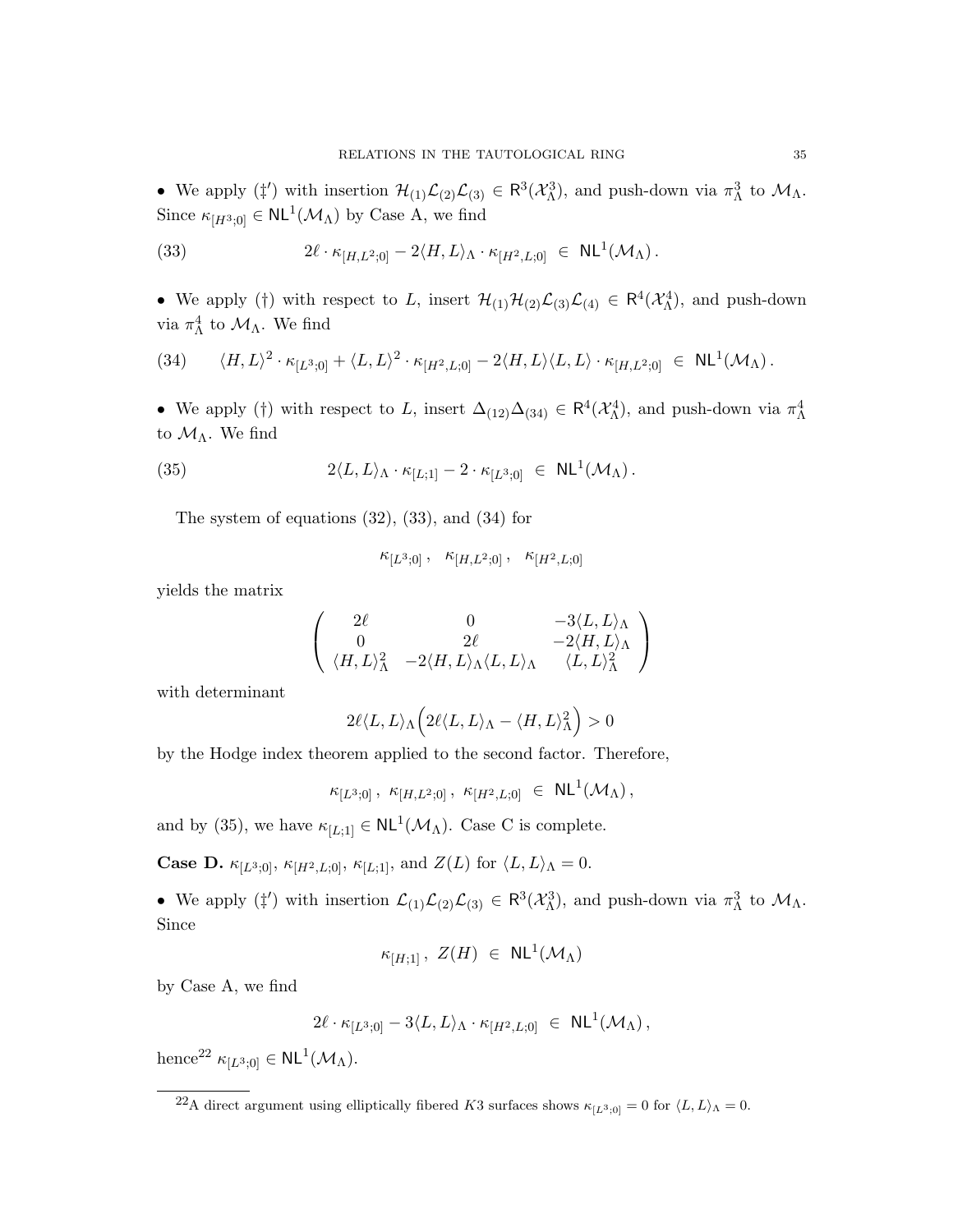• We apply  $(\ddagger')$  with insertion  $\mathcal{H}_{(1)}\mathcal{L}_{(2)}\mathcal{L}_{(3)} \in \mathbb{R}^3(\mathcal{X}_{\Lambda}^3)$ , and push-down via  $\pi_{\Lambda}^3$  to  $\mathcal{M}_{\Lambda}$ . Since  $\kappa_{[H^3,0]} \in NL^1(\mathcal{M}_\Lambda)$  by Case A, we find

(33) 
$$
2\ell \cdot \kappa_{[H,L^2;0]} - 2\langle H,L\rangle_{\Lambda} \cdot \kappa_{[H^2,L;0]} \in NL^1(\mathcal{M}_{\Lambda}).
$$

• We apply (†) with respect to L, insert  $\mathcal{H}_{(1)}\mathcal{H}_{(2)}\mathcal{L}_{(3)}\mathcal{L}_{(4)} \in \mathbb{R}^4(\mathcal{X}_{\Lambda}^4)$ , and push-down via  $\pi^4_\Lambda$  to  $\mathcal{M}_\Lambda$ . We find

$$
(34) \qquad \langle H, L \rangle^2 \cdot \kappa_{[L^3;0]} + \langle L, L \rangle^2 \cdot \kappa_{[H^2,L;0]} - 2 \langle H, L \rangle \langle L, L \rangle \cdot \kappa_{[H,L^2;0]} \in \mathsf{NL}^1(\mathcal{M}_\Lambda).
$$

• We apply (†) with respect to L, insert  $\Delta_{(12)}\Delta_{(34)} \in \mathsf{R}^4(\mathcal{X}_{\Lambda}^4)$ , and push-down via  $\pi_{\Lambda}^4$ to  $\mathcal{M}_{\Lambda}$ . We find

(35) 
$$
2\langle L, L\rangle_{\Lambda} \cdot \kappa_{[L;1]} - 2 \cdot \kappa_{[L^3;0]} \in \mathsf{NL}^1(\mathcal{M}_{\Lambda}).
$$

The system of equations (32), (33), and (34) for

$$
\kappa_{[L^3;0]}\,,\quad \kappa_{[H,L^2;0]}\,,\quad \kappa_{[H^2,L;0]}\,
$$

yields the matrix

$$
\left(\begin{array}{ccc}\n2\ell & 0 & -3\langle L, L \rangle_{\Lambda} \\
0 & 2\ell & -2\langle H, L \rangle_{\Lambda} \\
\langle H, L \rangle_{\Lambda}^2 & -2\langle H, L \rangle_{\Lambda} \langle L, L \rangle_{\Lambda} & \langle L, L \rangle_{\Lambda}^2\n\end{array}\right)
$$

with determinant

$$
2\ell\langle L,L\rangle_{\Lambda}\Big(2\ell\langle L,L\rangle_{\Lambda}-\langle H,L\rangle_{\Lambda}^2\Big)>0
$$

by the Hodge index theorem applied to the second factor. Therefore,

 $\kappa_{[L^3;0]} \, , \,\, \kappa_{[H,L^2;0]} \, , \,\, \kappa_{[H^2,L;0]} \,\, \in \,\, \mathsf{NL}^1(\mathcal{M}_\Lambda) \, ,$ 

and by (35), we have  $\kappa_{[L;1]} \in NL^1(\mathcal{M}_\Lambda)$ . Case C is complete.

**Case D.**  $\kappa_{[L^3:0]}, \kappa_{[H^2,L:0]}, \kappa_{[L:1]},$  and  $Z(L)$  for  $\langle L, L \rangle_{\Lambda} = 0$ .

• We apply  $(\ddagger')$  with insertion  $\mathcal{L}_{(1)}\mathcal{L}_{(2)}\mathcal{L}_{(3)} \in \mathbb{R}^3(\mathcal{X}_{\Lambda}^3)$ , and push-down via  $\pi_{\Lambda}^3$  to  $\mathcal{M}_{\Lambda}$ . Since

$$
\kappa_{[H;1]}\,,\ Z(H)\ \in\ \mathsf{NL}^1(\mathcal{M}_\Lambda)
$$

by Case A, we find

$$
2\ell \cdot \kappa_{[L^3;0]} - 3\langle L,L\rangle_{\Lambda} \cdot \kappa_{[H^2,L;0]} \ \in \ \mathsf{NL}^1(\mathcal{M}_{\Lambda}),
$$

hence<sup>22</sup>  $\kappa_{[L^3;0]} \in NL^1(\mathcal{M}_\Lambda)$ .

<sup>&</sup>lt;sup>22</sup>A direct argument using elliptically fibered K3 surfaces shows  $\kappa_{[L^3,0]} = 0$  for  $\langle L, L \rangle$ <sub>A</sub> = 0.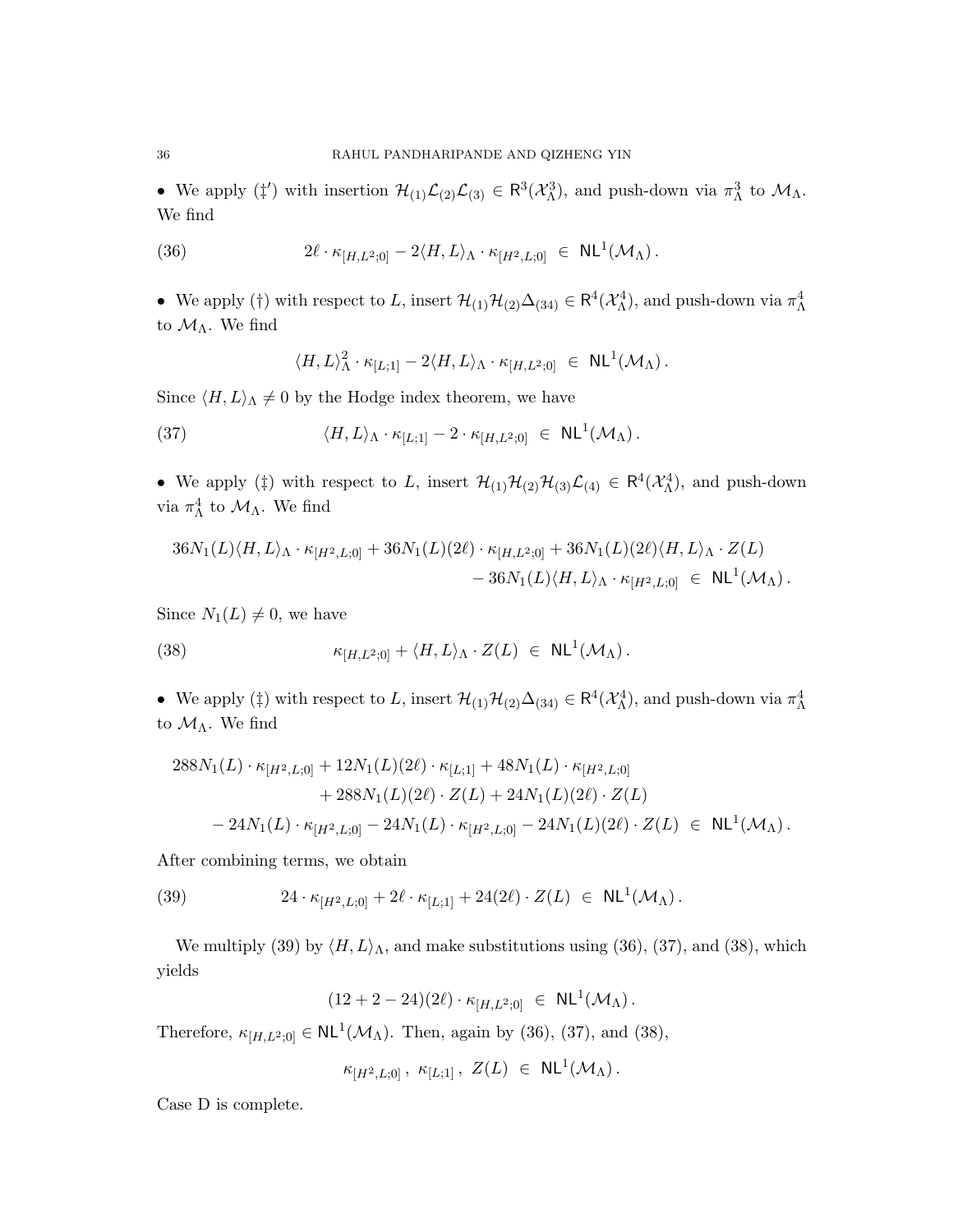• We apply  $(\ddagger')$  with insertion  $\mathcal{H}_{(1)}\mathcal{L}_{(2)}\mathcal{L}_{(3)} \in \mathbb{R}^3(\mathcal{X}_{\Lambda}^3)$ , and push-down via  $\pi_{\Lambda}^3$  to  $\mathcal{M}_{\Lambda}$ . We find

(36) 
$$
2\ell \cdot \kappa_{[H,L^2;0]} - 2\langle H,L\rangle_{\Lambda} \cdot \kappa_{[H^2,L;0]} \in NL^1(\mathcal{M}_{\Lambda}).
$$

• We apply (†) with respect to L, insert  $\mathcal{H}_{(1)}\mathcal{H}_{(2)}\Delta_{(34)} \in \mathsf{R}^4(\mathcal{X}_{\Lambda}^4)$ , and push-down via  $\pi_{\Lambda}^4$ to  $\mathcal{M}_{\Lambda}$ . We find

$$
\langle H, L \rangle^2_{\Lambda} \cdot \kappa_{[L;1]} - 2 \langle H, L \rangle_{\Lambda} \cdot \kappa_{[H,L^2;0]} \;\; \in \;\; \mathsf{NL}^1(\mathcal{M}_{\Lambda}) \, .
$$

Since  $\langle H, L \rangle_{\Lambda} \neq 0$  by the Hodge index theorem, we have

(37) 
$$
\langle H, L \rangle_{\Lambda} \cdot \kappa_{[L;1]} - 2 \cdot \kappa_{[H,L^2;0]} \in \mathrm{NL}^1(\mathcal{M}_{\Lambda}).
$$

• We apply ( $\ddagger$ ) with respect to L, insert  $\mathcal{H}_{(1)}\mathcal{H}_{(2)}\mathcal{H}_{(3)}\mathcal{L}_{(4)} \in \mathbb{R}^4(\mathcal{X}_{\Lambda}^4)$ , and push-down via  $\pi^4_\Lambda$  to  $\mathcal{M}_\Lambda$ . We find

$$
36N_1(L)\langle H, L\rangle_{\Lambda} \cdot \kappa_{[H^2, L; 0]} + 36N_1(L)(2\ell) \cdot \kappa_{[H, L^2; 0]} + 36N_1(L)(2\ell)\langle H, L\rangle_{\Lambda} \cdot Z(L)
$$
  
- 36N<sub>1</sub>(L)\langle H, L\rangle\_{\Lambda} \cdot \kappa\_{[H^2, L; 0]} \in NL^1(\mathcal{M}\_{\Lambda}).

Since  $N_1(L) \neq 0$ , we have

(38) 
$$
\kappa_{[H,L^2;0]} + \langle H,L\rangle_{\Lambda} \cdot Z(L) \in \text{NL}^1(\mathcal{M}_{\Lambda}).
$$

• We apply (‡) with respect to L, insert  $\mathcal{H}_{(1)}\mathcal{H}_{(2)}\Delta_{(34)} \in \mathsf{R}^4(\mathcal{X}_{\Lambda}^4)$ , and push-down via  $\pi_{\Lambda}^4$ to  $\mathcal{M}_{\Lambda}$ . We find

$$
288N_1(L) \cdot \kappa_{[H^2,L;0]} + 12N_1(L)(2\ell) \cdot \kappa_{[L;1]} + 48N_1(L) \cdot \kappa_{[H^2,L;0]} + 288N_1(L)(2\ell) \cdot Z(L) + 24N_1(L)(2\ell) \cdot Z(L) - 24N_1(L) \cdot \kappa_{[H^2,L;0]} - 24N_1(L) \cdot \kappa_{[H^2,L;0]} - 24N_1(L)(2\ell) \cdot Z(L) \in NL^1(\mathcal{M}_{\Lambda}).
$$

After combining terms, we obtain

(39) 
$$
24 \cdot \kappa_{[H^2, L, 0]} + 2\ell \cdot \kappa_{[L, 1]} + 24(2\ell) \cdot Z(L) \in \text{NL}^1(\mathcal{M}_{\Lambda}).
$$

We multiply (39) by  $\langle H, L \rangle_{\Lambda}$ , and make substitutions using (36), (37), and (38), which yields

 $(12 + 2 - 24)(2\ell) \cdot \kappa_{[H,L^2;0]} \in \mathsf{NL}^1(\mathcal{M}_\Lambda).$ 

Therefore,  $\kappa_{[H,L^2;0]} \in \mathsf{NL}^1(\mathcal{M}_\Lambda)$ . Then, again by (36), (37), and (38),

$$
\kappa_{[H^2,L;0]}\,,\,\,\kappa_{[L;1]}\,,\,\,Z(L)\,\,\in\,\,\mathrm{NL}^1(\mathcal{M}_\Lambda)\,.
$$

Case D is complete.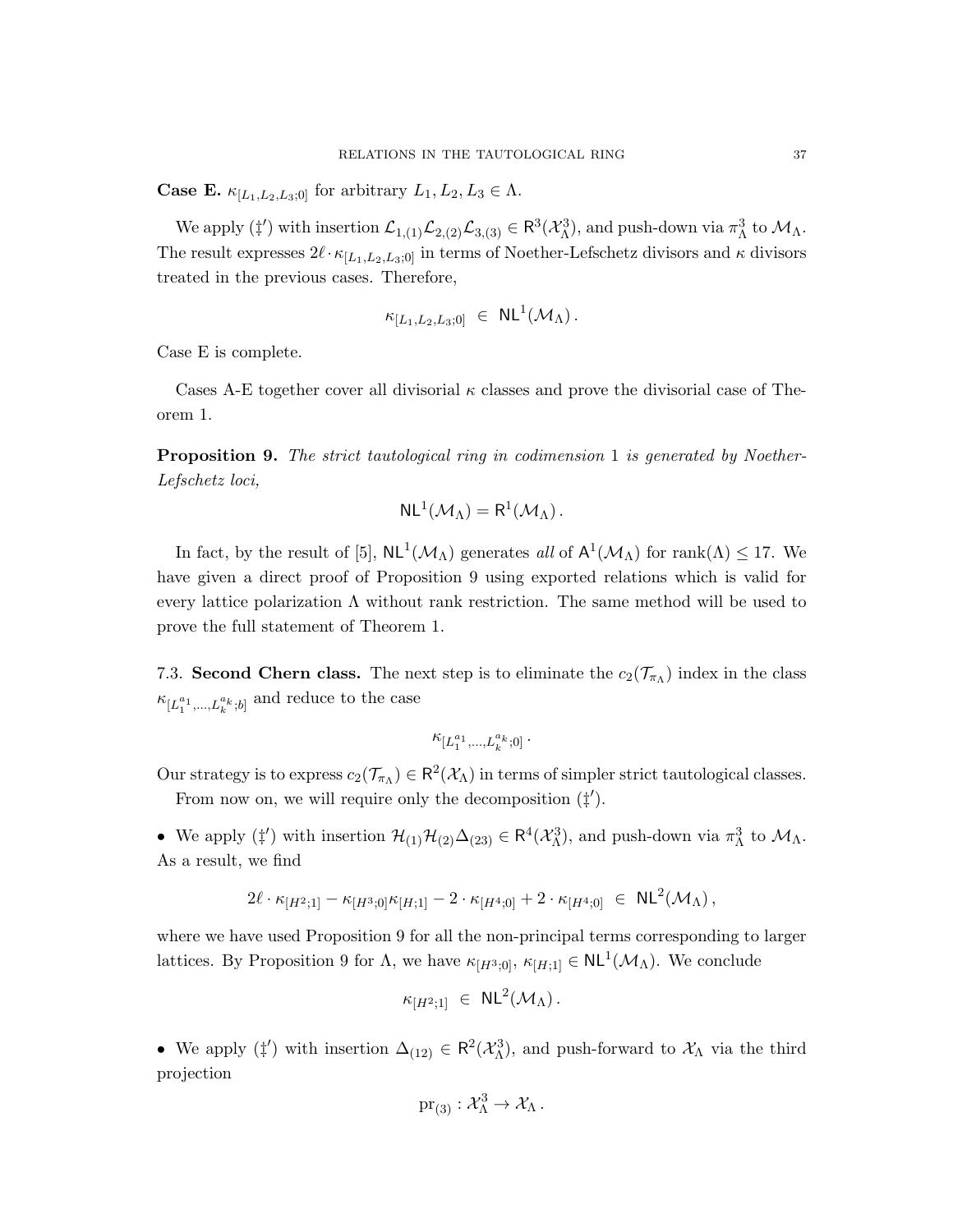**Case E.**  $\kappa_{[L_1,L_2,L_3;0]}$  for arbitrary  $L_1, L_2, L_3 \in \Lambda$ .

We apply  $(\ddagger')$  with insertion  $\mathcal{L}_{1,(1)}\mathcal{L}_{2,(2)}\mathcal{L}_{3,(3)} \in \mathbb{R}^3(\mathcal{X}_{\Lambda}^3)$ , and push-down via  $\pi_{\Lambda}^3$  to  $\mathcal{M}_{\Lambda}$ . The result expresses  $2\ell \cdot \kappa_{[L_1,L_2,L_3;0]}$  in terms of Noether-Lefschetz divisors and  $\kappa$  divisors treated in the previous cases. Therefore,

$$
\kappa_{[L_1,L_2,L_3;0]} \ \in \ \mathsf{NL}^1(\mathcal{M}_\Lambda) \, .
$$

Case E is complete.

Cases A-E together cover all divisorial  $\kappa$  classes and prove the divisorial case of Theorem 1.

Proposition 9. The strict tautological ring in codimension 1 is generated by Noether-Lefschetz loci,

$$
NL^1(\mathcal{M}_\Lambda)=R^1(\mathcal{M}_\Lambda)\,.
$$

In fact, by the result of [5],  $\text{NL}^1(\mathcal{M}_\Lambda)$  generates all of  $\mathsf{A}^1(\mathcal{M}_\Lambda)$  for rank $(\Lambda) \leq 17$ . We have given a direct proof of Proposition 9 using exported relations which is valid for every lattice polarization  $\Lambda$  without rank restriction. The same method will be used to prove the full statement of Theorem 1.

7.3. Second Chern class. The next step is to eliminate the  $c_2(\mathcal{T}_{\pi_{\Lambda}})$  index in the class  $\kappa_{[L_1^{a_1}, \ldots, L_k^{a_k};b]}$  and reduce to the case

$$
\kappa_{[L_1^{a_1},...,L_k^{a_k};0]} \, .
$$

Our strategy is to express  $c_2(\mathcal{T}_{\pi_\Lambda}) \in \mathsf{R}^2(\mathcal{X}_\Lambda)$  in terms of simpler strict tautological classes. From now on, we will require only the decomposition  $(\ddagger')$ .

• We apply  $(\ddagger')$  with insertion  $\mathcal{H}_{(1)}\mathcal{H}_{(2)}\Delta_{(23)} \in \mathsf{R}^4(\mathcal{X}_{\Lambda}^3)$ , and push-down via  $\pi_{\Lambda}^3$  to  $\mathcal{M}_{\Lambda}$ . As a result, we find

$$
2\ell \cdot \kappa_{[H^2;1]} - \kappa_{[H^3;0]} \kappa_{[H;1]} - 2 \cdot \kappa_{[H^4;0]} + 2 \cdot \kappa_{[H^4;0]} \in \mathsf{NL}^2(\mathcal{M}_{\Lambda}),
$$

where we have used Proposition 9 for all the non-principal terms corresponding to larger lattices. By Proposition 9 for  $\Lambda$ , we have  $\kappa_{[H^3;0]}$ ,  $\kappa_{[H;1]} \in \mathsf{NL}^1(\mathcal{M}_\Lambda)$ . We conclude

$$
\kappa_{[H^2;1]} \ \in \ \mathsf{NL}^2(\mathcal{M}_\Lambda) \, .
$$

• We apply  $(\ddagger')$  with insertion  $\Delta_{(12)} \in \mathbb{R}^2(\mathcal{X}_{\Lambda}^3)$ , and push-forward to  $\mathcal{X}_{\Lambda}$  via the third projection

$$
\mathrm{pr}_{(3)}:\mathcal{X}^3_\Lambda\to \mathcal{X}_\Lambda\,.
$$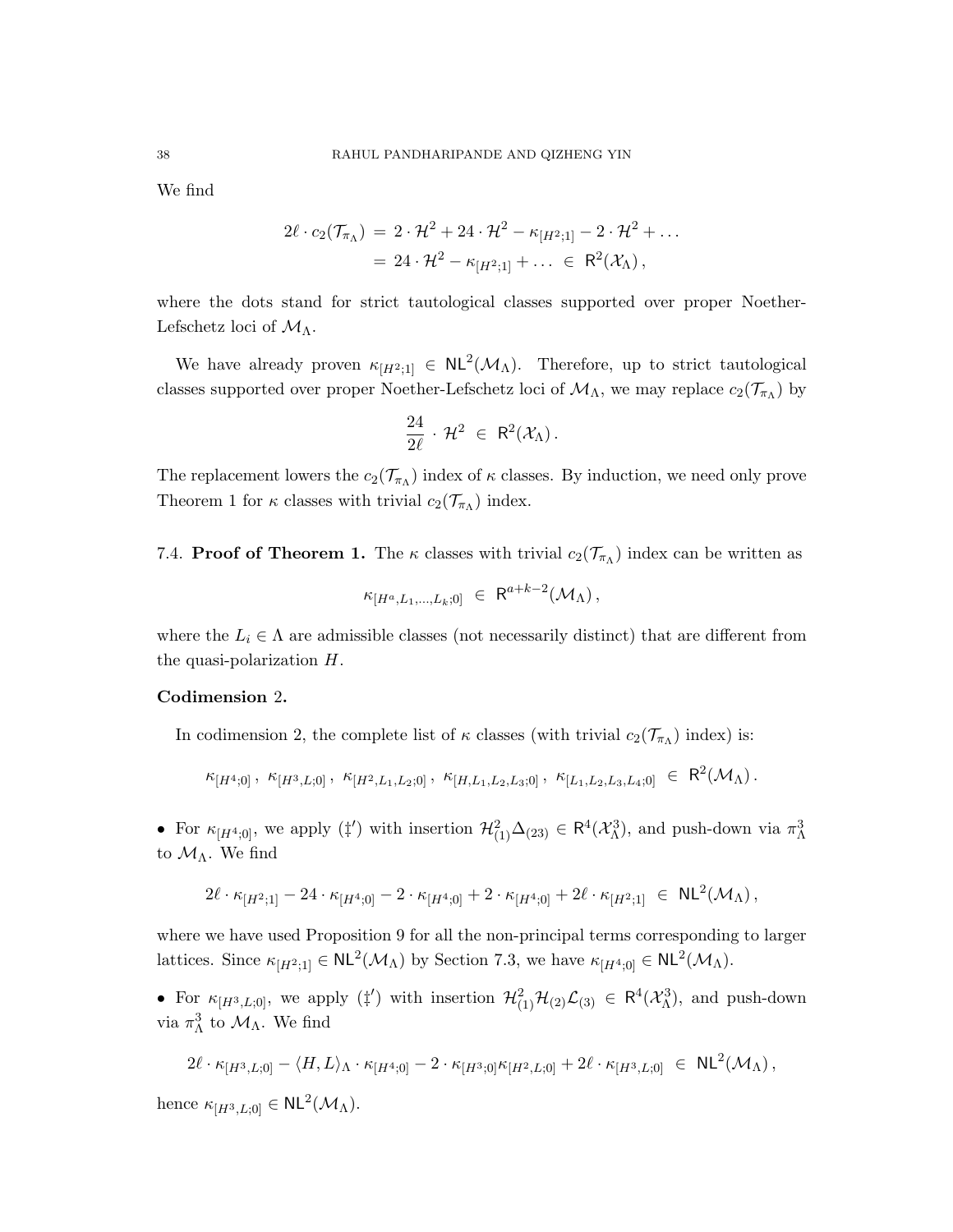We find

$$
2\ell \cdot c_2(\mathcal{T}_{\pi_\Lambda}) = 2 \cdot \mathcal{H}^2 + 24 \cdot \mathcal{H}^2 - \kappa_{[H^2;1]} - 2 \cdot \mathcal{H}^2 + \dots
$$
  
= 24 \cdot \mathcal{H}^2 - \kappa\_{[H^2;1]} + \dots \in \mathsf{R}^2(\mathcal{X}\_\Lambda),

where the dots stand for strict tautological classes supported over proper Noether-Lefschetz loci of  $\mathcal{M}_{\Lambda}$ .

We have already proven  $\kappa_{[H^2;1]} \in NL^2(\mathcal{M}_\Lambda)$ . Therefore, up to strict tautological classes supported over proper Noether-Lefschetz loci of  $\mathcal{M}_{\Lambda}$ , we may replace  $c_2(\mathcal{T}_{\pi_{\Lambda}})$  by

$$
\frac{24}{2\ell}\,\cdot\,\mathcal{H}^2\,\,\in\,\,\mathsf{R}^2(\mathcal{X}_\Lambda)\,.
$$

The replacement lowers the  $c_2(\mathcal{T}_{\pi_\Lambda})$  index of  $\kappa$  classes. By induction, we need only prove Theorem 1 for  $\kappa$  classes with trivial  $c_2(\mathcal{T}_{\pi_{\Lambda}})$  index.

7.4. **Proof of Theorem 1.** The  $\kappa$  classes with trivial  $c_2(\mathcal{T}_{\pi_{\Lambda}})$  index can be written as

$$
\kappa_{[H^a, L_1, \ldots, L_k; 0]} \ \in \ \mathsf{R}^{a+k-2}(\mathcal{M}_{\Lambda}),
$$

where the  $L_i \in \Lambda$  are admissible classes (not necessarily distinct) that are different from the quasi-polarization H.

#### Codimension 2.

In codimension 2, the complete list of  $\kappa$  classes (with trivial  $c_2(\mathcal{T}_{\pi_\Lambda})$  index) is:

 $\kappa_{[H^4;0]} \, , \; \kappa_{[H^3,L;0]} \, , \; \kappa_{[H^2,L_1,L_2;0]} \, , \; \kappa_{[H,L_1,L_2,L_3;0]}\, , \; \kappa_{[L_1,L_2,L_3,L_4;0]} \; \in \; \mathsf{R}^2(\mathcal{M}_\Lambda) \, .$ 

• For  $\kappa_{[H^4;0]}$ , we apply  $(\ddagger')$  with insertion  $\mathcal{H}^2_{(1)}\Delta_{(23)} \in \mathsf{R}^4(\mathcal{X}_\Lambda^3)$ , and push-down via  $\pi_\Lambda^3$ to  $\mathcal{M}_\Lambda.$  We find

$$
2\ell \cdot \kappa_{[H^2;1]} - 24 \cdot \kappa_{[H^4;0]} - 2 \cdot \kappa_{[H^4;0]} + 2 \cdot \kappa_{[H^4;0]} + 2 \ell \cdot \kappa_{[H^2;1]} \; \in \; \mathrm{NL}^2(\mathcal{M}_{\Lambda})\,,
$$

where we have used Proposition 9 for all the non-principal terms corresponding to larger lattices. Since  $\kappa_{[H^2;1]} \in NL^2(\mathcal{M}_\Lambda)$  by Section 7.3, we have  $\kappa_{[H^4;0]} \in NL^2(\mathcal{M}_\Lambda)$ .

• For  $\kappa_{[H^3,L;0]}$ , we apply  $(\ddagger')$  with insertion  $\mathcal{H}^2_{(1)}\mathcal{H}_{(2)}\mathcal{L}_{(3)} \in \mathbb{R}^4(\mathcal{X}_{\Lambda}^3)$ , and push-down via  $\pi_{\Lambda}^3$  to  $\mathcal{M}_{\Lambda}$ . We find

$$
2\ell \cdot \kappa_{[H^3,L;0]} - \langle H, L \rangle_{\Lambda} \cdot \kappa_{[H^4;0]} - 2 \cdot \kappa_{[H^3;0]} \kappa_{[H^2,L;0]} + 2\ell \cdot \kappa_{[H^3,L;0]} \in \mathrm{NL}^2(\mathcal{M}_{\Lambda}),
$$

hence  $\kappa_{[H^3,L;0]} \in NL^2(\mathcal{M}_\Lambda)$ .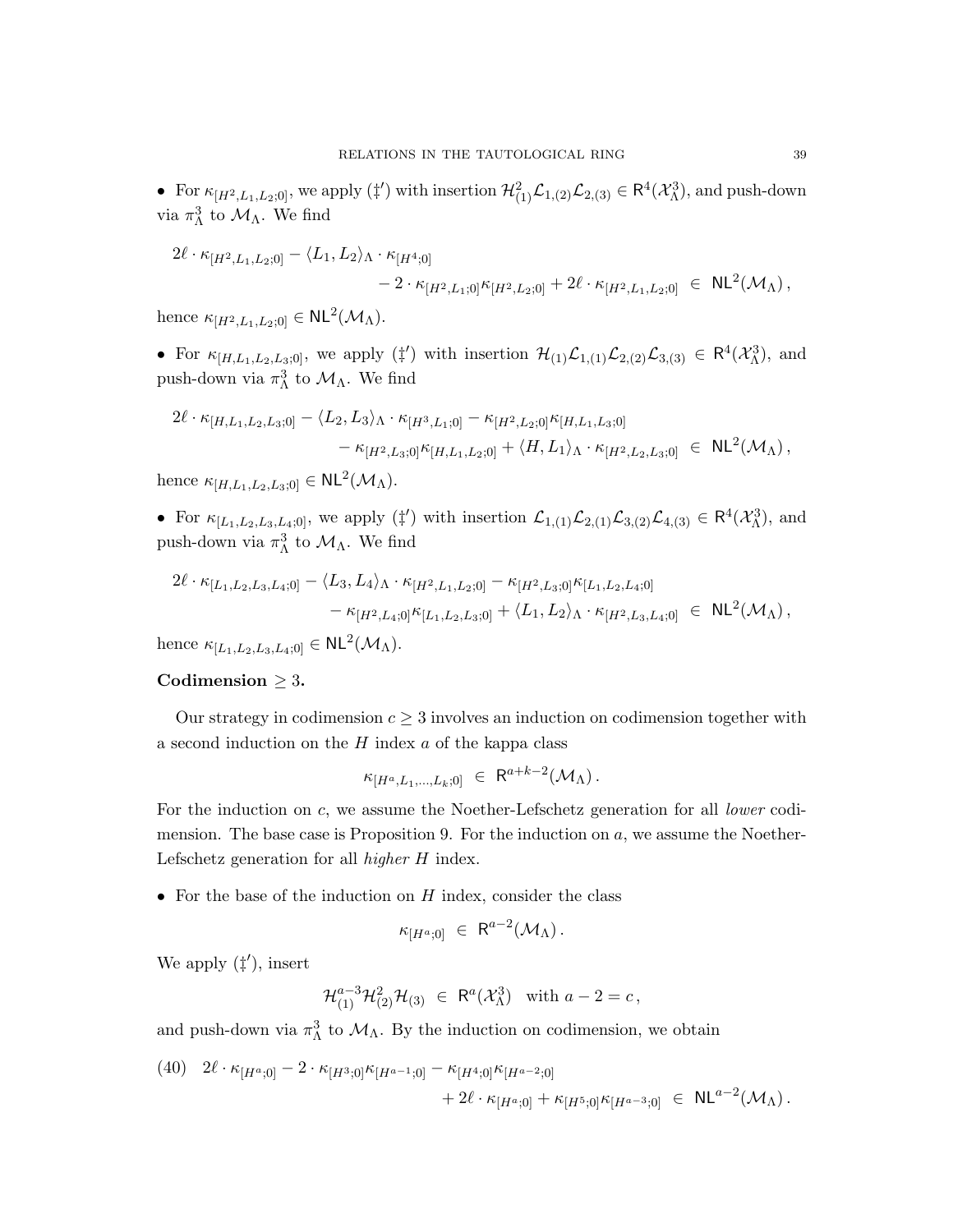• For  $\kappa_{[H^2,L_1,L_2;0]}$ , we apply  $(\ddagger')$  with insertion  $\mathcal{H}^2_{(1)}\mathcal{L}_{1,(2)}\mathcal{L}_{2,(3)} \in \mathsf{R}^4(\mathcal{X}_\Lambda^3)$ , and push-down via  $\pi_{\Lambda}^3$  to  $\mathcal{M}_{\Lambda}$ . We find

$$
2\ell \cdot \kappa_{[H^2, L_1, L_2; 0]} - \langle L_1, L_2 \rangle_{\Lambda} \cdot \kappa_{[H^4; 0]} - 2 \cdot \kappa_{[H^2, L_1; 0]} \kappa_{[H^2, L_2; 0]} + 2\ell \cdot \kappa_{[H^2, L_1, L_2; 0]} \in NL^2(\mathcal{M}_{\Lambda}),
$$

hence  $\kappa_{[H^2,L_1,L_2;0]} \in NL^2(\mathcal{M}_\Lambda)$ .

• For  $\kappa_{[H,L_1,L_2,L_3;0]}$ , we apply  $(\ddagger')$  with insertion  $\mathcal{H}_{(1)}\mathcal{L}_{1,(1)}\mathcal{L}_{2,(2)}\mathcal{L}_{3,(3)} \in \mathbb{R}^4(\mathcal{X}_{\Lambda}^3)$ , and push-down via  $\pi_{\Lambda}^3$  to  $\mathcal{M}_{\Lambda}$ . We find

$$
2\ell \cdot \kappa_{[H,L_1,L_2,L_3;0]} - \langle L_2, L_3 \rangle_{\Lambda} \cdot \kappa_{[H^3,L_1;0]} - \kappa_{[H^2,L_2;0]} \kappa_{[H,L_1,L_3;0]} - \kappa_{[H^2,L_3;0]} \kappa_{[H,L_1,L_2;0]} + \langle H, L_1 \rangle_{\Lambda} \cdot \kappa_{[H^2,L_2,L_3;0]} \in NL^2(\mathcal{M}_{\Lambda}),
$$

hence  $\kappa_{[H,L_1,L_2,L_3;0]} \in NL^2(\mathcal{M}_\Lambda)$ .

• For  $\kappa_{[L_1,L_2,L_3,L_4,0]}$ , we apply  $(\ddagger')$  with insertion  $\mathcal{L}_{1,(1)}\mathcal{L}_{2,(1)}\mathcal{L}_{3,(2)}\mathcal{L}_{4,(3)} \in \mathbb{R}^4(\mathcal{X}_\Lambda^3)$ , and push-down via  $\pi_{\Lambda}^3$  to  $\mathcal{M}_{\Lambda}$ . We find

$$
2\ell \cdot \kappa_{[L_1, L_2, L_3, L_4; 0]} - \langle L_3, L_4 \rangle_{\Lambda} \cdot \kappa_{[H^2, L_1, L_2; 0]} - \kappa_{[H^2, L_3; 0]} \kappa_{[L_1, L_2, L_4; 0]} - \kappa_{[H^2, L_4; 0]} \kappa_{[L_1, L_2, L_3; 0]} + \langle L_1, L_2 \rangle_{\Lambda} \cdot \kappa_{[H^2, L_3, L_4; 0]} \in NL^2(\mathcal{M}_{\Lambda}),
$$

hence  $\kappa_{[L_1,L_2,L_3,L_4;0]} \in NL^2(\mathcal{M}_\Lambda)$ .

## Codimension  $\geq 3$ .

Our strategy in codimension  $c \geq 3$  involves an induction on codimension together with a second induction on the  $H$  index  $a$  of the kappa class

$$
\kappa_{[H^a,L_1,\ldots,L_k;0]} \ \in \ \mathsf{R}^{a+k-2}(\mathcal{M}_\Lambda) \, .
$$

For the induction on c, we assume the Noether-Lefschetz generation for all *lower* codimension. The base case is Proposition 9. For the induction on  $a$ , we assume the Noether-Lefschetz generation for all higher H index.

• For the base of the induction on  $H$  index, consider the class

$$
\kappa_{[H^a;0]} \ \in \ \mathsf{R}^{a-2}(\mathcal{M}_\Lambda) \, .
$$

We apply  $(\ddagger')$ , insert

$$
\mathcal{H}_{(1)}^{a-3}\mathcal{H}_{(2)}^2\mathcal{H}_{(3)} \ \in \ \mathsf{R}^a(\mathcal{X}_{\Lambda}^3) \quad \text{with } a-2=c\,,
$$

and push-down via  $\pi_{\Lambda}^3$  to  $\mathcal{M}_{\Lambda}$ . By the induction on codimension, we obtain

(40) 
$$
2\ell \cdot \kappa_{[H^a;0]} - 2 \cdot \kappa_{[H^3;0]} \kappa_{[H^{a-1};0]} - \kappa_{[H^4;0]} \kappa_{[H^{a-2};0]} + 2\ell \cdot \kappa_{[H^a;0]} + \kappa_{[H^5;0]} \kappa_{[H^{a-3};0]} \in NL^{a-2}(\mathcal{M}_{\Lambda}).
$$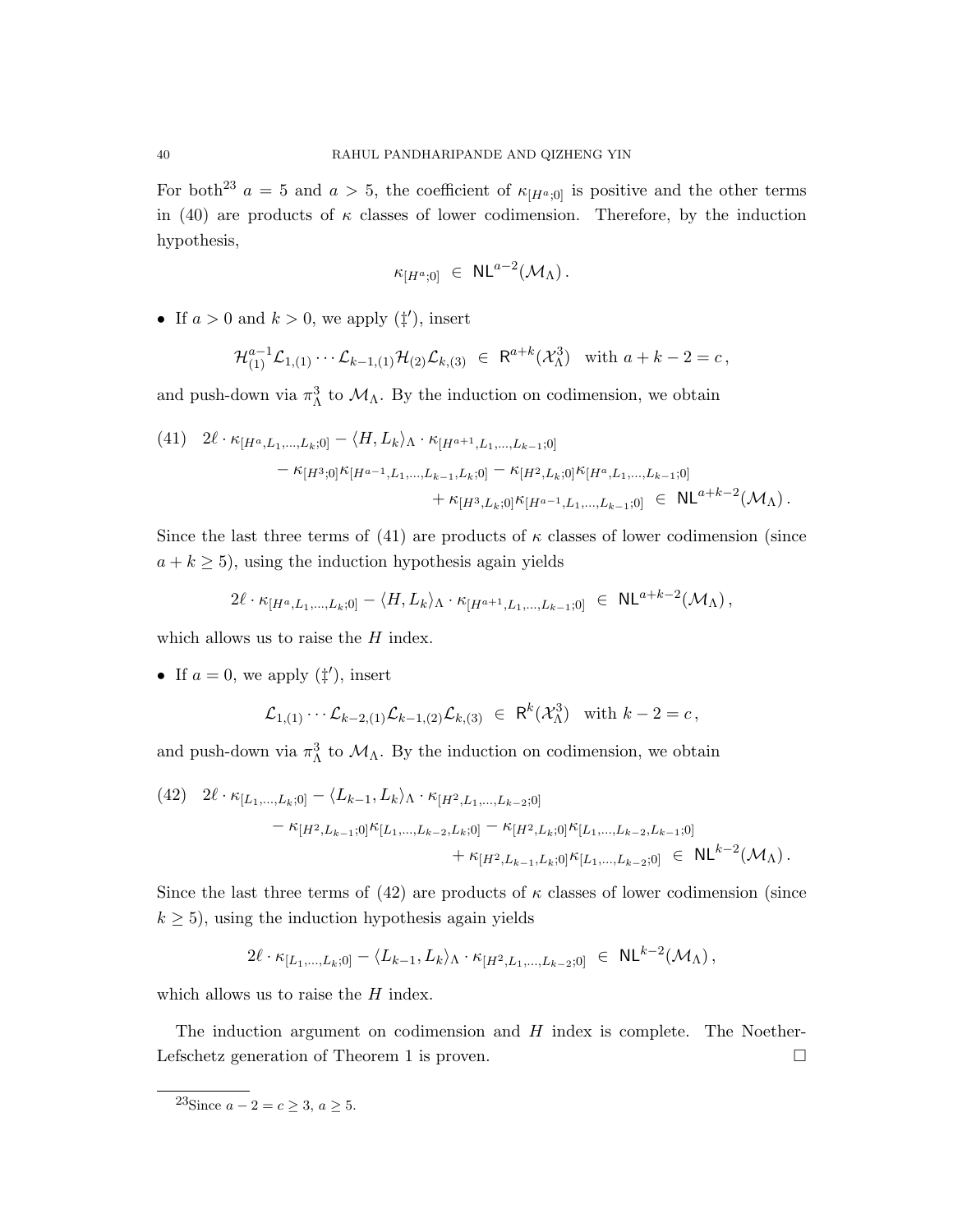For both<sup>23</sup>  $a = 5$  and  $a > 5$ , the coefficient of  $\kappa_{[H^a,0]}$  is positive and the other terms in (40) are products of  $\kappa$  classes of lower codimension. Therefore, by the induction hypothesis,

$$
\kappa_{[H^a;0]} \ \in \ \mathsf{NL}^{a-2}(\mathcal{M}_\Lambda) \, .
$$

• If  $a > 0$  and  $k > 0$ , we apply  $(\ddagger')$ , insert

$$
\mathcal{H}_{(1)}^{a-1}\mathcal{L}_{1,(1)}\cdots \mathcal{L}_{k-1,(1)}\mathcal{H}_{(2)}\mathcal{L}_{k,(3)} \in \mathsf{R}^{a+k}(\mathcal{X}_{\Lambda}^3) \text{ with } a+k-2=c,
$$

and push-down via  $\pi_{\Lambda}^3$  to  $\mathcal{M}_{\Lambda}$ . By the induction on codimension, we obtain

(41) 
$$
2\ell \cdot \kappa_{[H^a, L_1, ..., L_k; 0]} - \langle H, L_k \rangle_{\Lambda} \cdot \kappa_{[H^{a+1}, L_1, ..., L_{k-1}; 0]} - \kappa_{[H^3; 0]} \kappa_{[H^{a-1}, L_1, ..., L_{k-1}, L_k; 0]} - \kappa_{[H^2, L_k; 0]} \kappa_{[H^a, L_1, ..., L_{k-1}; 0]} + \kappa_{[H^3, L_k; 0]} \kappa_{[H^{a-1}, L_1, ..., L_{k-1}; 0]} \in NL^{a+k-2}(\mathcal{M}_{\Lambda}).
$$

Since the last three terms of (41) are products of  $\kappa$  classes of lower codimension (since  $a + k \geq 5$ , using the induction hypothesis again yields

$$
2\ell \cdot \kappa_{[H^a, L_1, ..., L_k; 0]} - \langle H, L_k \rangle_{\Lambda} \cdot \kappa_{[H^{a+1}, L_1, ..., L_{k-1}; 0]} \in \mathrm{NL}^{a+k-2}(\mathcal{M}_{\Lambda}),
$$

which allows us to raise the  $H$  index.

• If  $a = 0$ , we apply  $(\ddagger')$ , insert

$$
\mathcal{L}_{1,(1)} \cdots \mathcal{L}_{k-2,(1)} \mathcal{L}_{k-1,(2)} \mathcal{L}_{k,(3)} \in \mathsf{R}^k(\mathcal{X}_{\Lambda}^3) \text{ with } k-2 = c,
$$

and push-down via  $\pi_{\Lambda}^3$  to  $\mathcal{M}_{\Lambda}$ . By the induction on codimension, we obtain

$$
(42) \quad 2\ell \cdot \kappa_{[L_1, \ldots, L_k; 0]} - \langle L_{k-1}, L_k \rangle_{\Lambda} \cdot \kappa_{[H^2, L_1, \ldots, L_{k-2}; 0]}
$$

$$
- \kappa_{[H^2, L_{k-1}; 0]} \kappa_{[L_1, \ldots, L_{k-2}, L_k; 0]} - \kappa_{[H^2, L_k; 0]} \kappa_{[L_1, \ldots, L_{k-2}, L_{k-1}; 0]}
$$

$$
+ \kappa_{[H^2, L_{k-1}, L_k; 0]} \kappa_{[L_1, \ldots, L_{k-2}; 0]} \in \text{NL}^{k-2}(\mathcal{M}_{\Lambda}).
$$

Since the last three terms of (42) are products of  $\kappa$  classes of lower codimension (since  $k \geq 5$ , using the induction hypothesis again yields

$$
2\ell \cdot \kappa_{[L_1,...,L_k;0]} - \langle L_{k-1}, L_k \rangle_{\Lambda} \cdot \kappa_{[H^2,L_1,...,L_{k-2};0]} \ \in \ \mathsf{NL}^{k-2}(\mathcal{M}_{\Lambda}),
$$

which allows us to raise the  $H$  index.

The induction argument on codimension and  $H$  index is complete. The Noether-Lefschetz generation of Theorem 1 is proven.

 $^{23}$ Since  $a - 2 = c \geq 3, a \geq 5$ .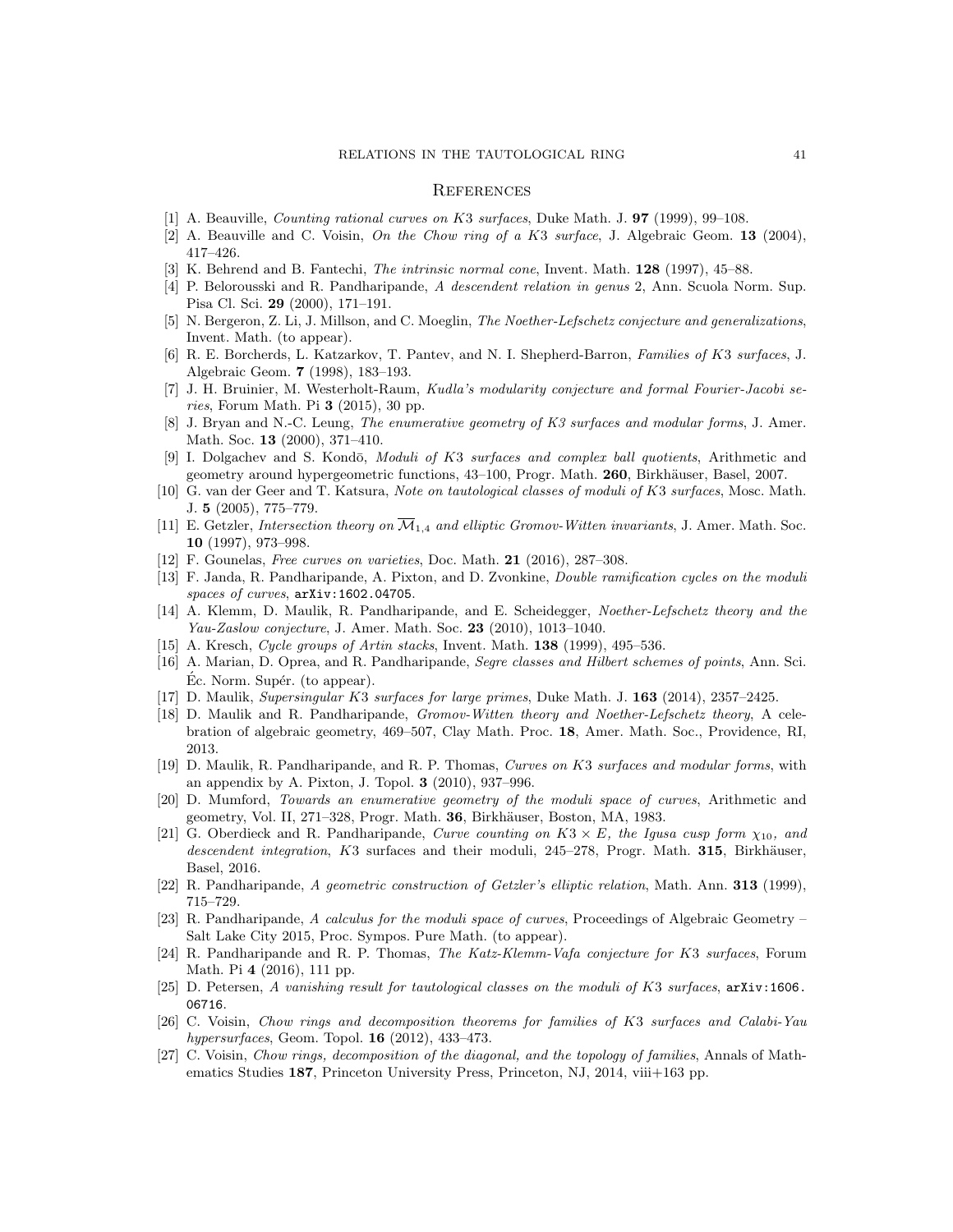#### **REFERENCES**

- [1] A. Beauville, *Counting rational curves on K3 surfaces*, Duke Math. J. **97** (1999), 99–108.
- [2] A. Beauville and C. Voisin, On the Chow ring of a K3 surface, J. Algebraic Geom. 13 (2004), 417–426.
- [3] K. Behrend and B. Fantechi, The intrinsic normal cone, Invent. Math. 128 (1997), 45–88.
- [4] P. Belorousski and R. Pandharipande, A descendent relation in genus 2, Ann. Scuola Norm. Sup. Pisa Cl. Sci. 29 (2000), 171–191.
- [5] N. Bergeron, Z. Li, J. Millson, and C. Moeglin, The Noether-Lefschetz conjecture and generalizations, Invent. Math. (to appear).
- [6] R. E. Borcherds, L. Katzarkov, T. Pantev, and N. I. Shepherd-Barron, Families of K3 surfaces, J. Algebraic Geom. 7 (1998), 183–193.
- [7] J. H. Bruinier, M. Westerholt-Raum, Kudla's modularity conjecture and formal Fourier-Jacobi series, Forum Math. Pi  $3$  (2015), 30 pp.
- [8] J. Bryan and N.-C. Leung, The enumerative geometry of K3 surfaces and modular forms, J. Amer. Math. Soc. 13 (2000), 371–410.
- [9] I. Dolgachev and S. Kondō, *Moduli of K3 surfaces and complex ball quotients*, Arithmetic and geometry around hypergeometric functions, 43–100, Progr. Math. **260**, Birkhäuser, Basel, 2007.
- [10] G. van der Geer and T. Katsura, Note on tautological classes of moduli of K3 surfaces, Mosc. Math. J. 5 (2005), 775–779.
- [11] E. Getzler, Intersection theory on  $\overline{\mathcal{M}}_{1,4}$  and elliptic Gromov-Witten invariants, J. Amer. Math. Soc. 10 (1997), 973–998.
- [12] F. Gounelas, Free curves on varieties, Doc. Math. 21 (2016), 287–308.
- [13] F. Janda, R. Pandharipande, A. Pixton, and D. Zvonkine, Double ramification cycles on the moduli spaces of curves, arXiv:1602.04705.
- [14] A. Klemm, D. Maulik, R. Pandharipande, and E. Scheidegger, Noether-Lefschetz theory and the Yau-Zaslow conjecture, J. Amer. Math. Soc. 23 (2010), 1013–1040.
- [15] A. Kresch, Cycle groups of Artin stacks, Invent. Math. 138 (1999), 495–536.
- [16] A. Marian, D. Oprea, and R. Pandharipande, Segre classes and Hilbert schemes of points, Ann. Sci. Ec. Norm. Supér. (to appear).
- [17] D. Maulik, Supersingular K3 surfaces for large primes, Duke Math. J. 163 (2014), 2357–2425.
- [18] D. Maulik and R. Pandharipande, *Gromov-Witten theory and Noether-Lefschetz theory*, A celebration of algebraic geometry, 469–507, Clay Math. Proc. 18, Amer. Math. Soc., Providence, RI, 2013.
- [19] D. Maulik, R. Pandharipande, and R. P. Thomas, Curves on K3 surfaces and modular forms, with an appendix by A. Pixton, J. Topol. 3 (2010), 937–996.
- [20] D. Mumford, Towards an enumerative geometry of the moduli space of curves, Arithmetic and geometry, Vol. II, 271–328, Progr. Math. 36, Birkhäuser, Boston, MA, 1983.
- [21] G. Oberdieck and R. Pandharipande, Curve counting on  $K3 \times E$ , the Igusa cusp form  $\chi_{10}$ , and descendent integration, K3 surfaces and their moduli, 245–278, Progr. Math. 315, Birkhäuser, Basel, 2016.
- [22] R. Pandharipande, A geometric construction of Getzler's elliptic relation, Math. Ann. 313 (1999), 715–729.
- [23] R. Pandharipande, A calculus for the moduli space of curves, Proceedings of Algebraic Geometry Salt Lake City 2015, Proc. Sympos. Pure Math. (to appear).
- [24] R. Pandharipande and R. P. Thomas, The Katz-Klemm-Vafa conjecture for K3 surfaces, Forum Math. Pi 4 (2016), 111 pp.
- [25] D. Petersen, A vanishing result for tautological classes on the moduli of K3 surfaces, arXiv:1606. 06716.
- [26] C. Voisin, Chow rings and decomposition theorems for families of K3 surfaces and Calabi-Yau hypersurfaces, Geom. Topol. 16 (2012), 433–473.
- [27] C. Voisin, Chow rings, decomposition of the diagonal, and the topology of families, Annals of Mathematics Studies 187, Princeton University Press, Princeton, NJ, 2014, viii+163 pp.